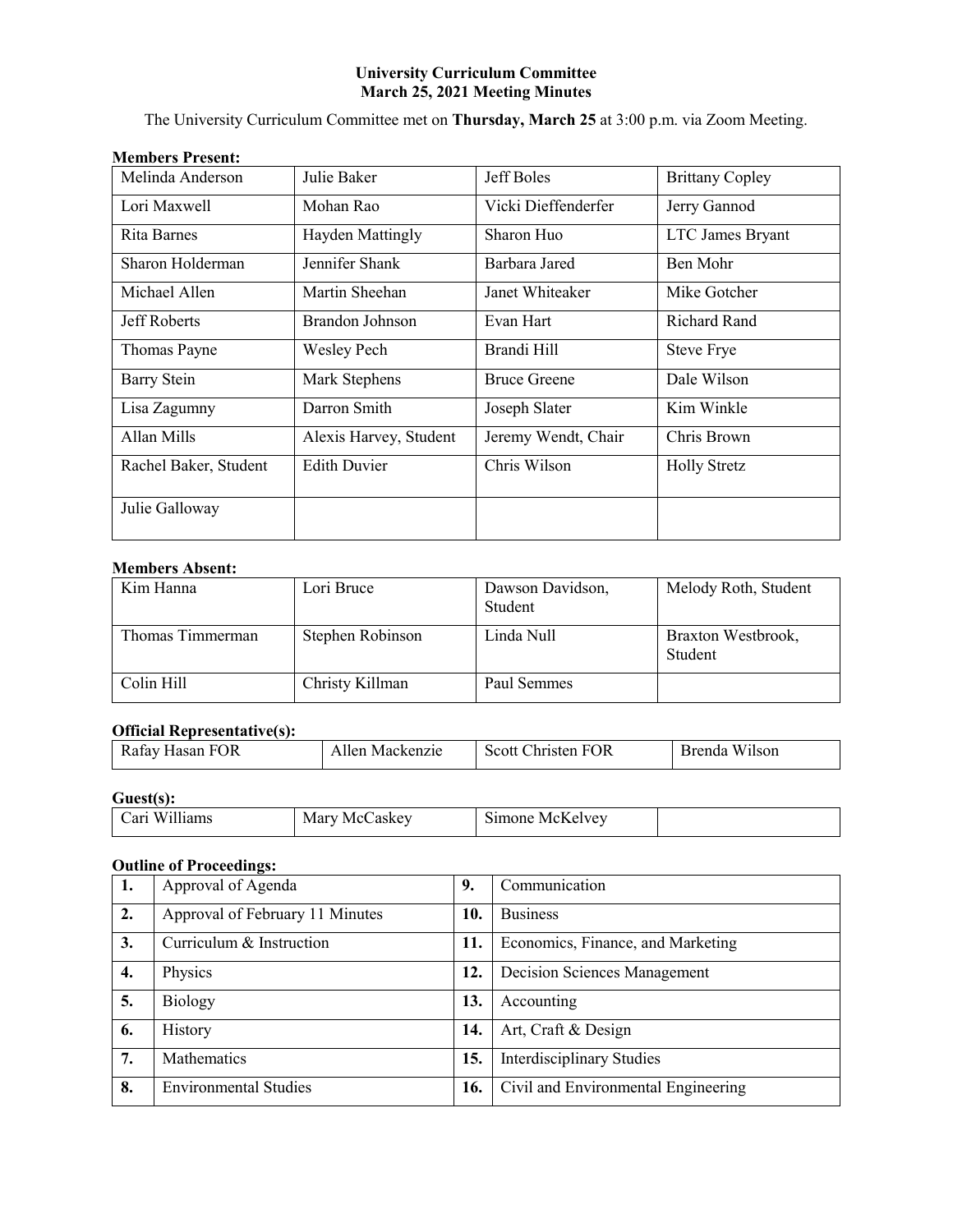## **University Curriculum Committee March 25, 2021 Meeting Minutes**

The University Curriculum Committee met on **Thursday, March 25** at 3:00 p.m. via Zoom Meeting.

| <b>Members Present:</b> |  |
|-------------------------|--|
|-------------------------|--|

| Melinda Anderson      | Julie Baker            | Jeff Boles          | <b>Brittany Copley</b> |
|-----------------------|------------------------|---------------------|------------------------|
| Lori Maxwell          | Mohan Rao              | Vicki Dieffenderfer | Jerry Gannod           |
| Rita Barnes           | Hayden Mattingly       | Sharon Huo          | LTC James Bryant       |
| Sharon Holderman      | Jennifer Shank         | Barbara Jared       | Ben Mohr               |
| Michael Allen         | Martin Sheehan         | Janet Whiteaker     | Mike Gotcher           |
| Jeff Roberts          | Brandon Johnson        | Evan Hart           | <b>Richard Rand</b>    |
| Thomas Payne          | Wesley Pech            | Brandi Hill         | <b>Steve Frye</b>      |
| <b>Barry Stein</b>    | Mark Stephens          | <b>Bruce Greene</b> | Dale Wilson            |
| Lisa Zagumny          | Darron Smith           | Joseph Slater       | Kim Winkle             |
| Allan Mills           | Alexis Harvey, Student | Jeremy Wendt, Chair | Chris Brown            |
| Rachel Baker, Student | <b>Edith Duvier</b>    | Chris Wilson        | <b>Holly Stretz</b>    |
| Julie Galloway        |                        |                     |                        |

## **Members Absent:**

| Kim Hanna        | Lori Bruce       | Dawson Davidson,<br>Student | Melody Roth, Student          |
|------------------|------------------|-----------------------------|-------------------------------|
| Thomas Timmerman | Stephen Robinson | Linda Null                  | Braxton Westbrook,<br>Student |
| Colin Hill       | Christy Killman  | Paul Semmes                 |                               |

### **Official Representative(s):**

| - - - -<br>- - - - -<br>--------<br>-- |                   |          |                  |
|----------------------------------------|-------------------|----------|------------------|
| ΩR<br>____                             | ⁄1e<br>$\sqrt{ }$ | -<br>) k | -- - - -<br>Isor |
|                                        |                   |          |                  |

## **Guest(s):**

| `arı<br>w<br>$\sim$ | Mar N<br>Me<br>askey | $\sim$<br>$\mathsf{A}$<br>aone<br>M<br><u>тк.</u><br>יי |  |
|---------------------|----------------------|---------------------------------------------------------|--|
|---------------------|----------------------|---------------------------------------------------------|--|

## **Outline of Proceedings:**

| 1. | Approval of Agenda              | 9.  | Communication                       |
|----|---------------------------------|-----|-------------------------------------|
| 2. | Approval of February 11 Minutes | 10. | <b>Business</b>                     |
| 3. | Curriculum & Instruction        | 11. | Economics, Finance, and Marketing   |
| 4. | Physics                         | 12. | Decision Sciences Management        |
| 5. | <b>Biology</b>                  | 13. | Accounting                          |
| 6. | <b>History</b>                  | 14. | Art, Craft & Design                 |
| 7. | Mathematics                     | 15. | <b>Interdisciplinary Studies</b>    |
| 8. | <b>Environmental Studies</b>    | 16. | Civil and Environmental Engineering |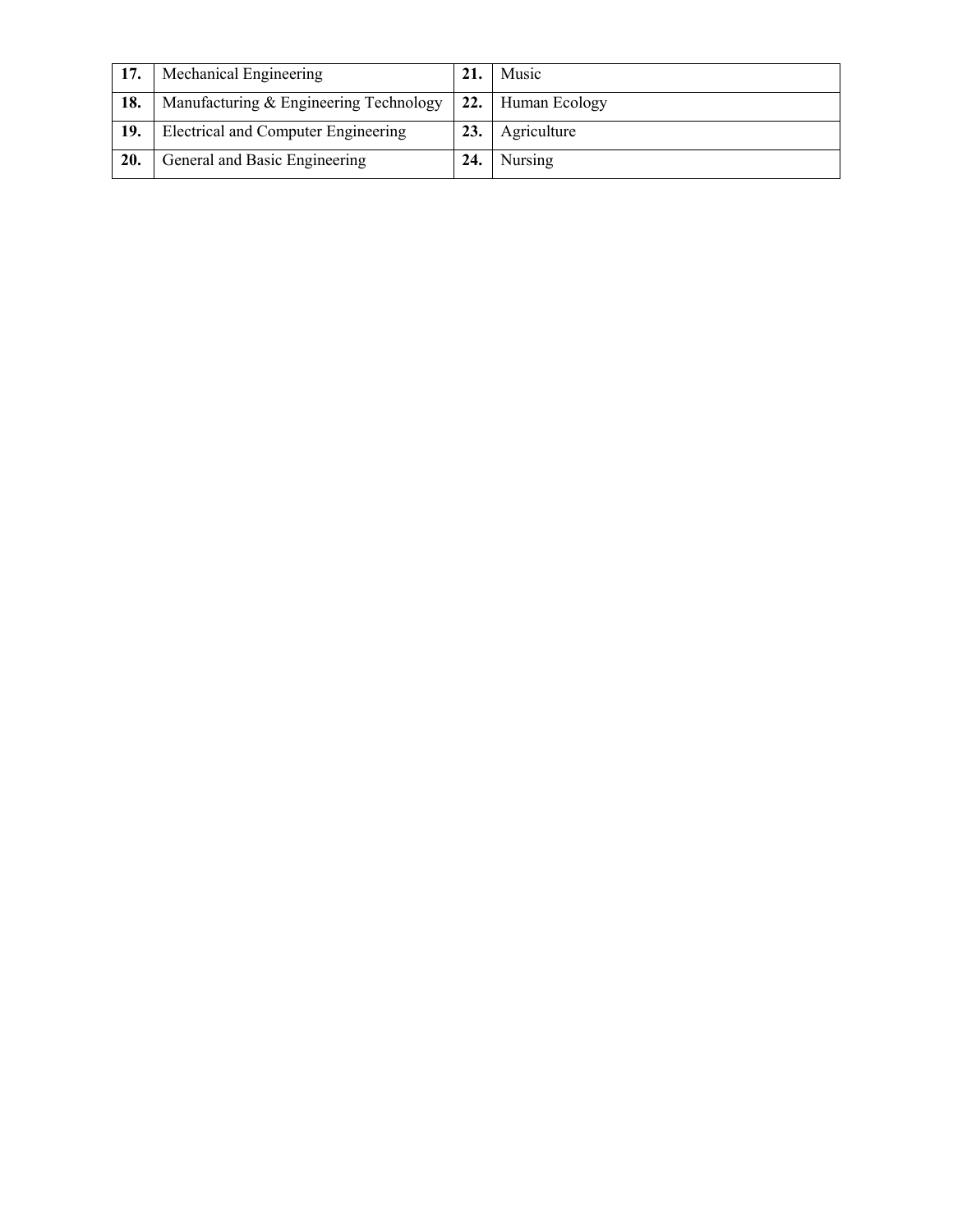| 17. | Mechanical Engineering                 | 21. | Music             |
|-----|----------------------------------------|-----|-------------------|
| 18. | Manufacturing & Engineering Technology |     | 22. Human Ecology |
| 19. | Electrical and Computer Engineering    | 23. | Agriculture       |
| 20. | General and Basic Engineering          | 24. | Nursing           |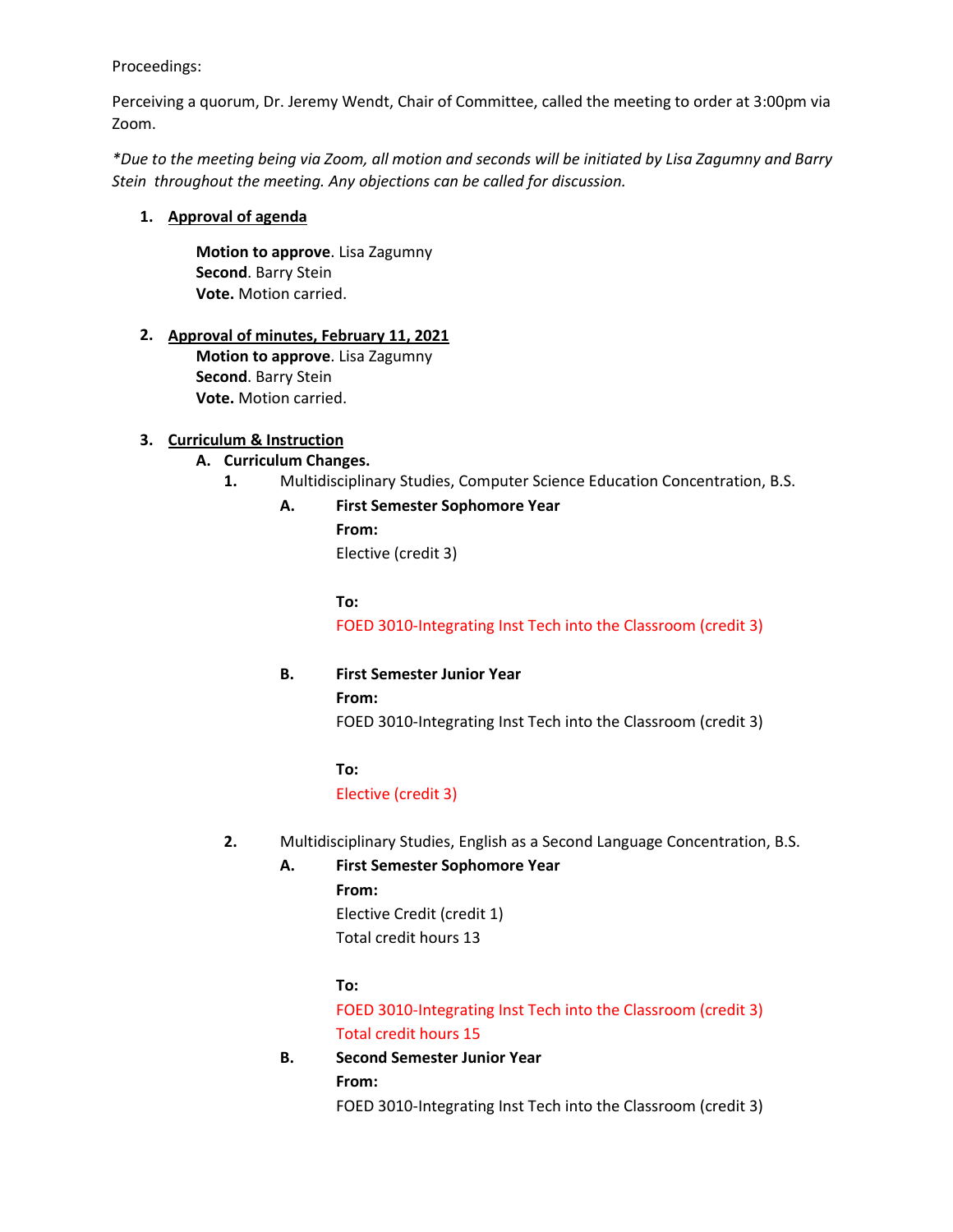## Proceedings:

Perceiving a quorum, Dr. Jeremy Wendt, Chair of Committee, called the meeting to order at 3:00pm via Zoom.

*\*Due to the meeting being via Zoom, all motion and seconds will be initiated by Lisa Zagumny and Barry Stein throughout the meeting. Any objections can be called for discussion.* 

## **1. Approval of agenda**

**Motion to approve**. Lisa Zagumny **Second**. Barry Stein **Vote.** Motion carried.

## **2. Approval of minutes, February 11, 2021**

**Motion to approve**. Lisa Zagumny **Second**. Barry Stein **Vote.** Motion carried.

## **3. Curriculum & Instruction**

## **A. Curriculum Changes.**

**1.** Multidisciplinary Studies, Computer Science Education Concentration, B.S.

## **A. First Semester Sophomore Year**

**From:** Elective (credit 3)

**To:**

FOED 3010-Integrating Inst Tech into the Classroom (credit 3)

## **B. First Semester Junior Year**

**From:**

FOED 3010-Integrating Inst Tech into the Classroom (credit 3)

## **To:**

Elective (credit 3)

**2.** Multidisciplinary Studies, English as a Second Language Concentration, B.S.

## **A. First Semester Sophomore Year**

**From:**

Elective Credit (credit 1) Total credit hours 13

## **To:**

FOED 3010-Integrating Inst Tech into the Classroom (credit 3) Total credit hours 15

## **B. Second Semester Junior Year From:**

FOED 3010-Integrating Inst Tech into the Classroom (credit 3)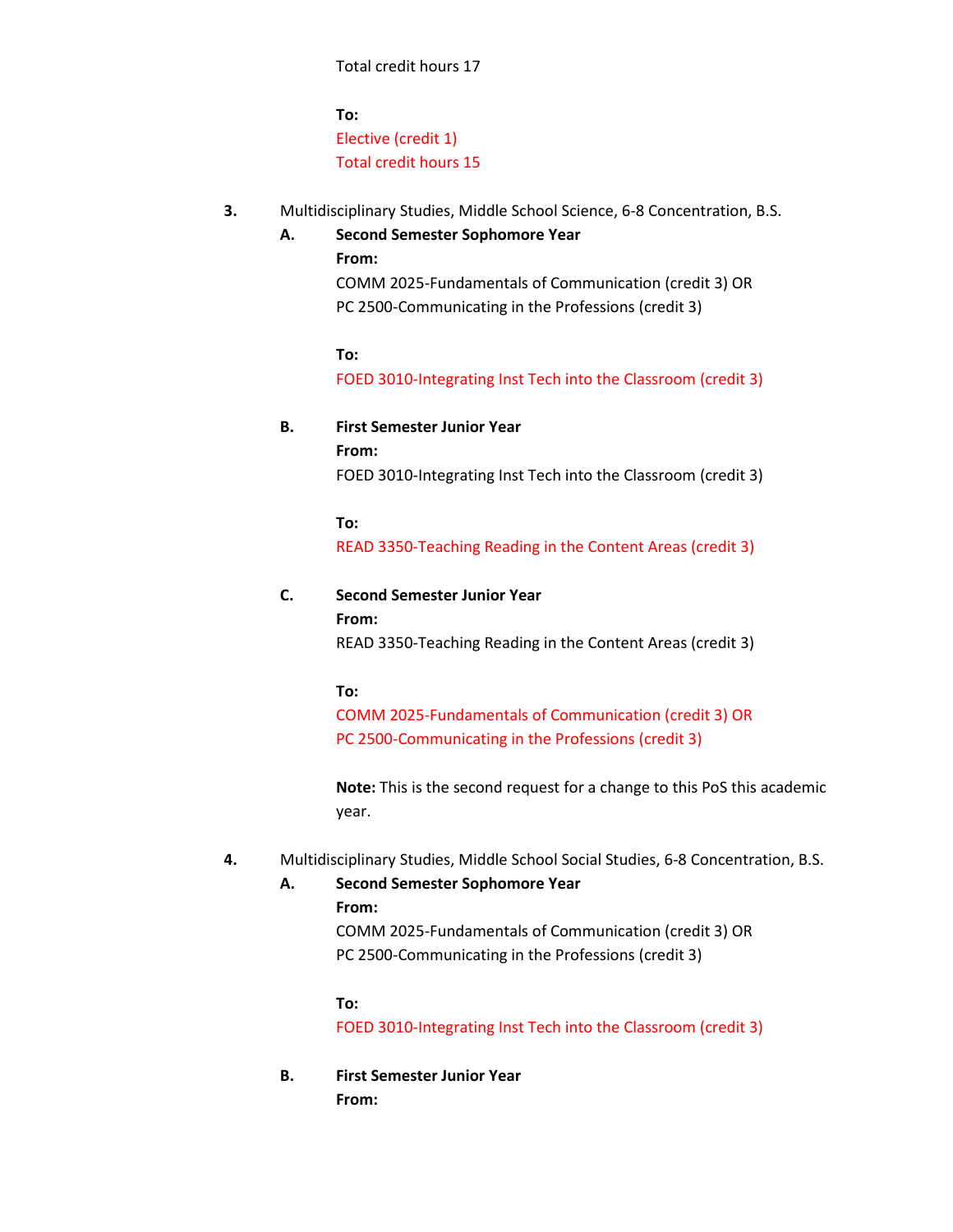**To:** Elective (credit 1) Total credit hours 15

- **3.** Multidisciplinary Studies, Middle School Science, 6-8 Concentration, B.S.
	- **A. Second Semester Sophomore Year From:** COMM 2025-Fundamentals of Communication (credit 3) OR PC 2500-Communicating in the Professions (credit 3)

**To:** FOED 3010-Integrating Inst Tech into the Classroom (credit 3)

**B. First Semester Junior Year From:** FOED 3010-Integrating Inst Tech into the Classroom (credit 3)

> **To:** READ 3350-Teaching Reading in the Content Areas (credit 3)

# **C. Second Semester Junior Year From:**

READ 3350-Teaching Reading in the Content Areas (credit 3)

## **To:**

COMM 2025-Fundamentals of Communication (credit 3) OR PC 2500-Communicating in the Professions (credit 3)

**Note:** This is the second request for a change to this PoS this academic year.

## **4.** Multidisciplinary Studies, Middle School Social Studies, 6-8 Concentration, B.S.

**A. Second Semester Sophomore Year**

## **From:**

COMM 2025-Fundamentals of Communication (credit 3) OR PC 2500-Communicating in the Professions (credit 3)

## **To:**

FOED 3010-Integrating Inst Tech into the Classroom (credit 3)

**B. First Semester Junior Year From:**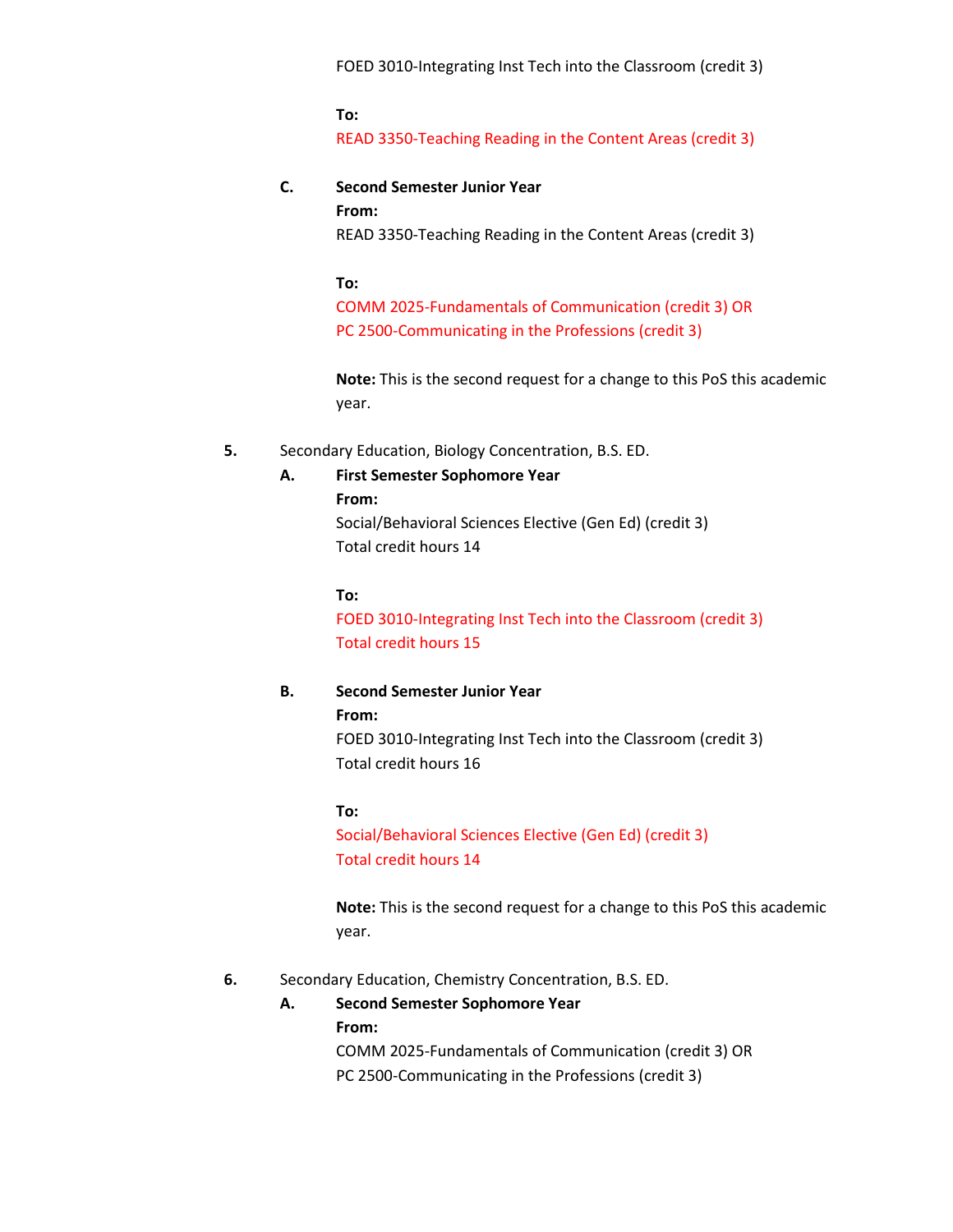FOED 3010-Integrating Inst Tech into the Classroom (credit 3)

**To:** READ 3350-Teaching Reading in the Content Areas (credit 3)

## **C. Second Semester Junior Year From:**

READ 3350-Teaching Reading in the Content Areas (credit 3)

**To:**

COMM 2025-Fundamentals of Communication (credit 3) OR PC 2500-Communicating in the Professions (credit 3)

**Note:** This is the second request for a change to this PoS this academic year.

## **5.** Secondary Education, Biology Concentration, B.S. ED.

## **A. First Semester Sophomore Year**

**From:**

Social/Behavioral Sciences Elective (Gen Ed) (credit 3) Total credit hours 14

**To:**

FOED 3010-Integrating Inst Tech into the Classroom (credit 3) Total credit hours 15

## **B. Second Semester Junior Year**

**From:** FOED 3010-Integrating Inst Tech into the Classroom (credit 3) Total credit hours 16

**To:** 

Social/Behavioral Sciences Elective (Gen Ed) (credit 3) Total credit hours 14

**Note:** This is the second request for a change to this PoS this academic year.

- **6.** Secondary Education, Chemistry Concentration, B.S. ED.
	- **A. Second Semester Sophomore Year From:** COMM 2025-Fundamentals of Communication (credit 3) OR PC 2500-Communicating in the Professions (credit 3)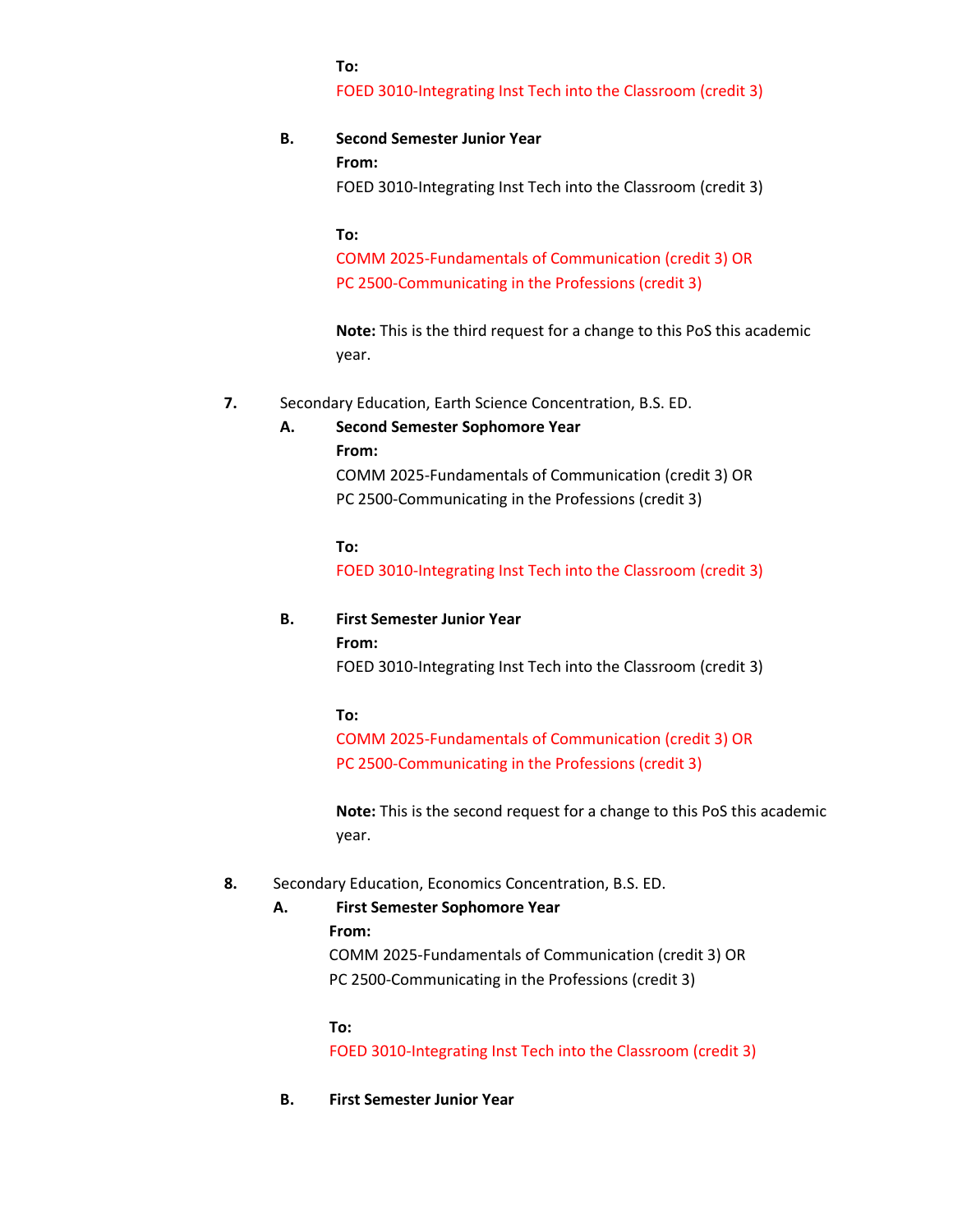#### **To:**

FOED 3010-Integrating Inst Tech into the Classroom (credit 3)

## **B. Second Semester Junior Year**

#### **From:**

FOED 3010-Integrating Inst Tech into the Classroom (credit 3)

#### **To:**

COMM 2025-Fundamentals of Communication (credit 3) OR PC 2500-Communicating in the Professions (credit 3)

**Note:** This is the third request for a change to this PoS this academic year.

**7.** Secondary Education, Earth Science Concentration, B.S. ED.

#### **A. Second Semester Sophomore Year**

**From:**

COMM 2025-Fundamentals of Communication (credit 3) OR PC 2500-Communicating in the Professions (credit 3)

## **To:**

FOED 3010-Integrating Inst Tech into the Classroom (credit 3)

## **B. First Semester Junior Year**

**From:**

FOED 3010-Integrating Inst Tech into the Classroom (credit 3)

### **To:**

COMM 2025-Fundamentals of Communication (credit 3) OR PC 2500-Communicating in the Professions (credit 3)

**Note:** This is the second request for a change to this PoS this academic year.

### **8.** Secondary Education, Economics Concentration, B.S. ED.

#### **A. First Semester Sophomore Year**

## **From:**

COMM 2025-Fundamentals of Communication (credit 3) OR PC 2500-Communicating in the Professions (credit 3)

### **To:**

FOED 3010-Integrating Inst Tech into the Classroom (credit 3)

## **B. First Semester Junior Year**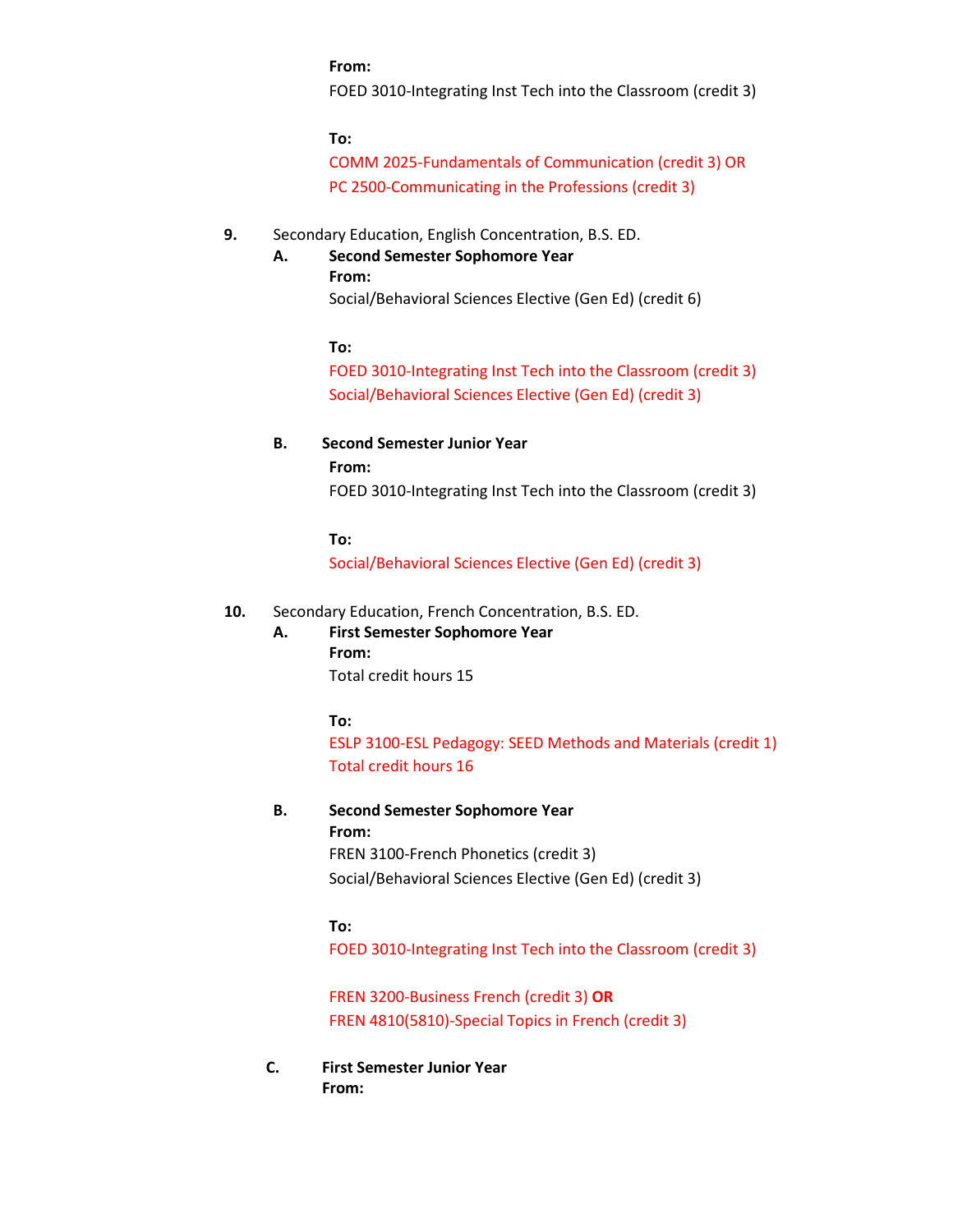#### **From:**

FOED 3010-Integrating Inst Tech into the Classroom (credit 3)

**To:**

COMM 2025-Fundamentals of Communication (credit 3) OR PC 2500-Communicating in the Professions (credit 3)

## **9.** Secondary Education, English Concentration, B.S. ED.

## **A. Second Semester Sophomore Year**

Social/Behavioral Sciences Elective (Gen Ed) (credit 6)

**To:**

**From:**

FOED 3010-Integrating Inst Tech into the Classroom (credit 3) Social/Behavioral Sciences Elective (Gen Ed) (credit 3)

### **B. Second Semester Junior Year**

### **From:**

FOED 3010-Integrating Inst Tech into the Classroom (credit 3)

**To:**

Social/Behavioral Sciences Elective (Gen Ed) (credit 3)

## **10.** Secondary Education, French Concentration, B.S. ED.

# **A. First Semester Sophomore Year**

**From:** Total credit hours 15

**To:**

ESLP 3100-ESL Pedagogy: SEED Methods and Materials (credit 1) Total credit hours 16

#### **B. Second Semester Sophomore Year From:**

FREN 3100-French Phonetics (credit 3)

## Social/Behavioral Sciences Elective (Gen Ed) (credit 3)

## **To:**

FOED 3010-Integrating Inst Tech into the Classroom (credit 3)

FREN 3200-Business French (credit 3) **OR** FREN 4810(5810)-Special Topics in French (credit 3)

**C. First Semester Junior Year From:**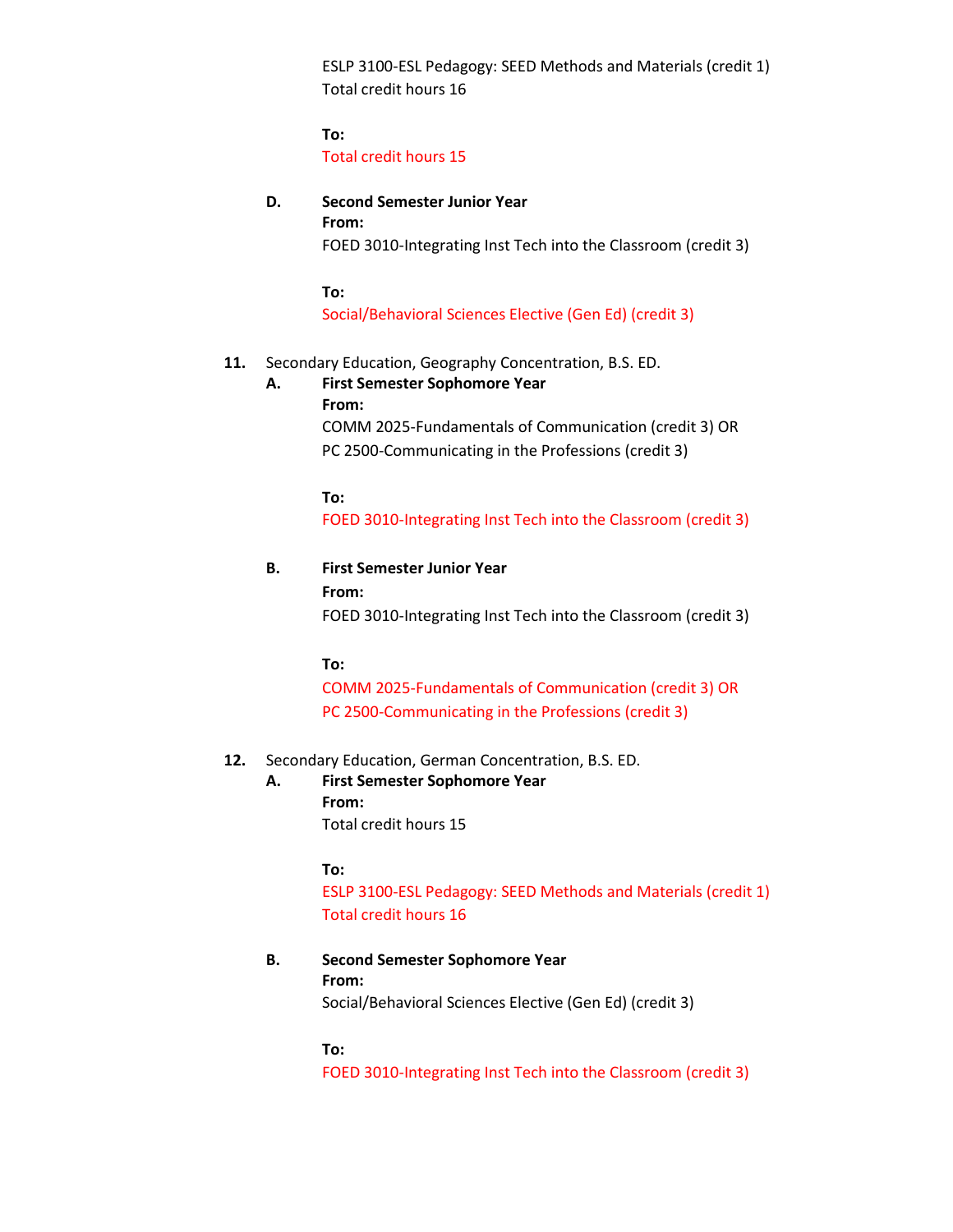ESLP 3100-ESL Pedagogy: SEED Methods and Materials (credit 1) Total credit hours 16

**To:** Total credit hours 15

## **D. Second Semester Junior Year**

**From:** FOED 3010-Integrating Inst Tech into the Classroom (credit 3)

**To:**

Social/Behavioral Sciences Elective (Gen Ed) (credit 3)

## **11.** Secondary Education, Geography Concentration, B.S. ED.

**A. First Semester Sophomore Year From:** COMM 2025-Fundamentals of Communication (credit 3) OR PC 2500-Communicating in the Professions (credit 3)

> **To:** FOED 3010-Integrating Inst Tech into the Classroom (credit 3)

**B. First Semester Junior Year From:** FOED 3010-Integrating Inst Tech into the Classroom (credit 3)

**To:**

COMM 2025-Fundamentals of Communication (credit 3) OR PC 2500-Communicating in the Professions (credit 3)

## **12.** Secondary Education, German Concentration, B.S. ED.

**A. First Semester Sophomore Year From:**

Total credit hours 15

**To:**

ESLP 3100-ESL Pedagogy: SEED Methods and Materials (credit 1) Total credit hours 16

**B. Second Semester Sophomore Year**

**From:**

Social/Behavioral Sciences Elective (Gen Ed) (credit 3)

**To:** 

FOED 3010-Integrating Inst Tech into the Classroom (credit 3)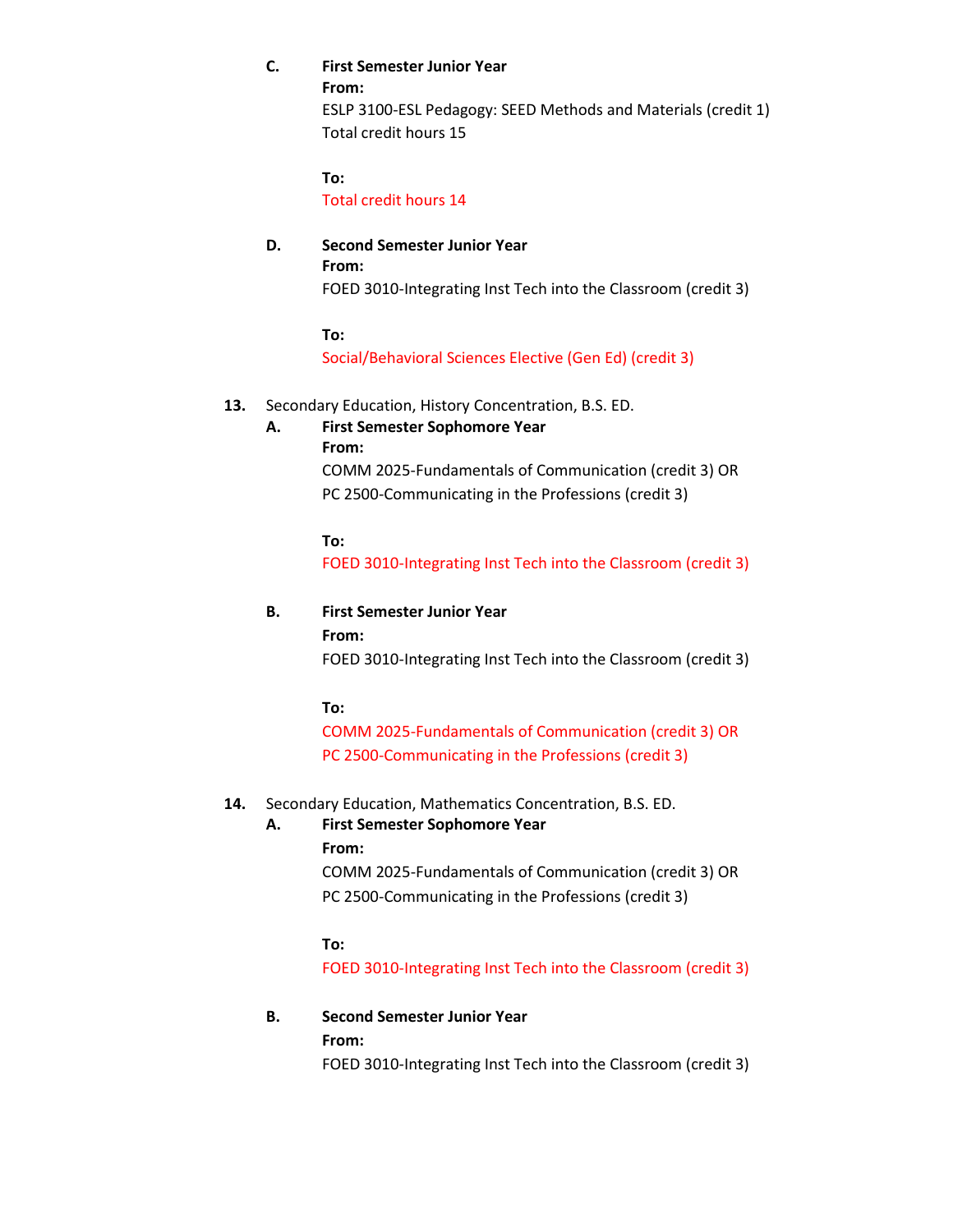## **C. First Semester Junior Year**

**From:**

ESLP 3100-ESL Pedagogy: SEED Methods and Materials (credit 1) Total credit hours 15

**To:**

Total credit hours 14

## **D. Second Semester Junior Year From:** FOED 3010-Integrating Inst Tech into the Classroom (credit 3)

**To:**

Social/Behavioral Sciences Elective (Gen Ed) (credit 3)

## **13.** Secondary Education, History Concentration, B.S. ED.

## **A. First Semester Sophomore Year**

**From:**

COMM 2025-Fundamentals of Communication (credit 3) OR PC 2500-Communicating in the Professions (credit 3)

**To:**

FOED 3010-Integrating Inst Tech into the Classroom (credit 3)

## **B. First Semester Junior Year**

**From:**

FOED 3010-Integrating Inst Tech into the Classroom (credit 3)

**To:**

COMM 2025-Fundamentals of Communication (credit 3) OR PC 2500-Communicating in the Professions (credit 3)

## **14.** Secondary Education, Mathematics Concentration, B.S. ED.

## **A. First Semester Sophomore Year**

## **From:**

COMM 2025-Fundamentals of Communication (credit 3) OR PC 2500-Communicating in the Professions (credit 3)

## **To:**

FOED 3010-Integrating Inst Tech into the Classroom (credit 3)

## **B. Second Semester Junior Year**

**From:**

FOED 3010-Integrating Inst Tech into the Classroom (credit 3)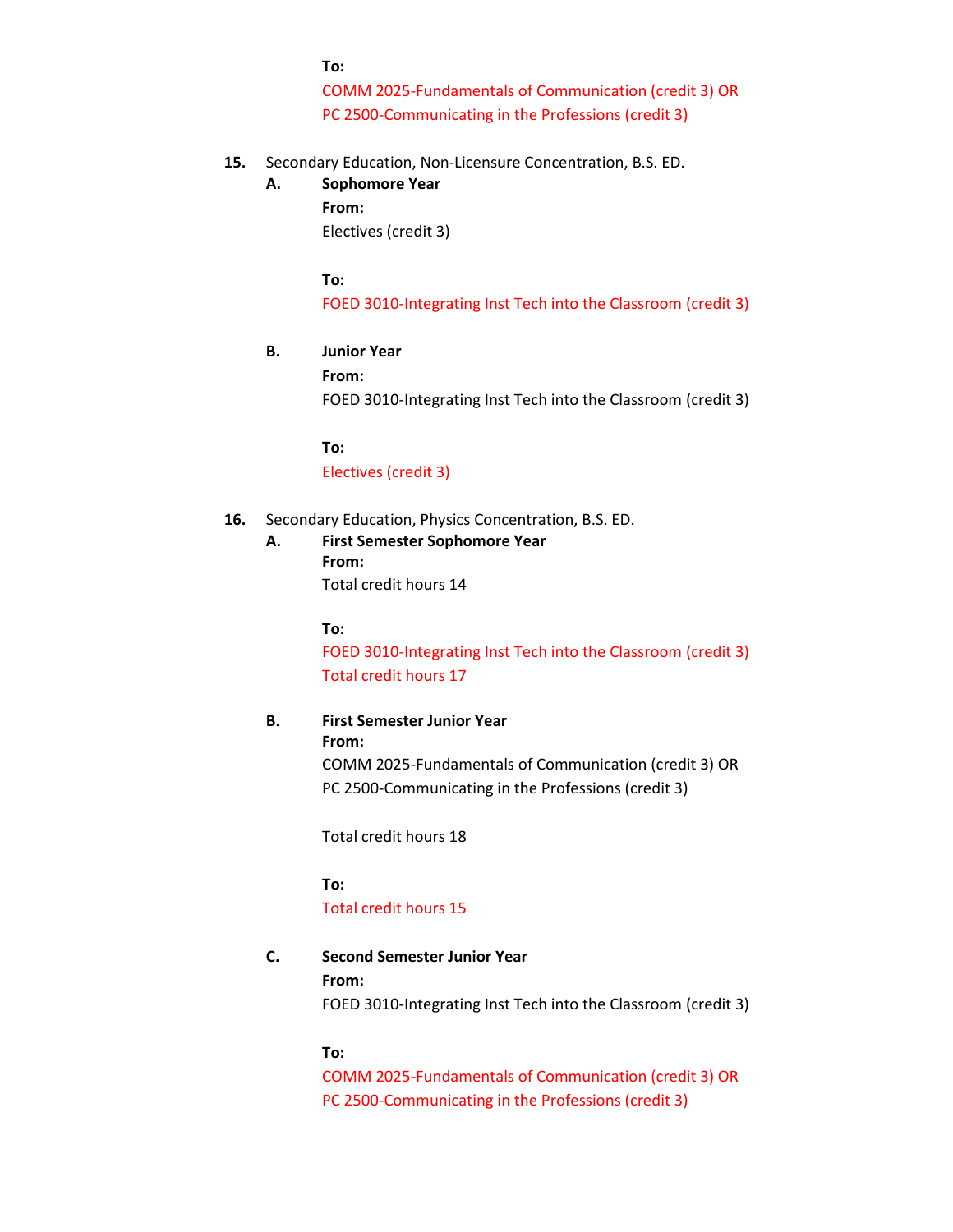#### **To:**

COMM 2025-Fundamentals of Communication (credit 3) OR PC 2500-Communicating in the Professions (credit 3)

**15.** Secondary Education, Non-Licensure Concentration, B.S. ED.

## **A. Sophomore Year**

**From:** Electives (credit 3)

**To:**

FOED 3010-Integrating Inst Tech into the Classroom (credit 3)

## **B. Junior Year**

**From:**

FOED 3010-Integrating Inst Tech into the Classroom (credit 3)

**To:** Electives (credit 3)

## **16.** Secondary Education, Physics Concentration, B.S. ED.

**A. First Semester Sophomore Year From:** Total credit hours 14

**To:**

FOED 3010-Integrating Inst Tech into the Classroom (credit 3) Total credit hours 17

## **B. First Semester Junior Year**

**From:**

COMM 2025-Fundamentals of Communication (credit 3) OR PC 2500-Communicating in the Professions (credit 3)

Total credit hours 18

**To:**

### Total credit hours 15

**C. Second Semester Junior Year From:**

FOED 3010-Integrating Inst Tech into the Classroom (credit 3)

**To:**

COMM 2025-Fundamentals of Communication (credit 3) OR PC 2500-Communicating in the Professions (credit 3)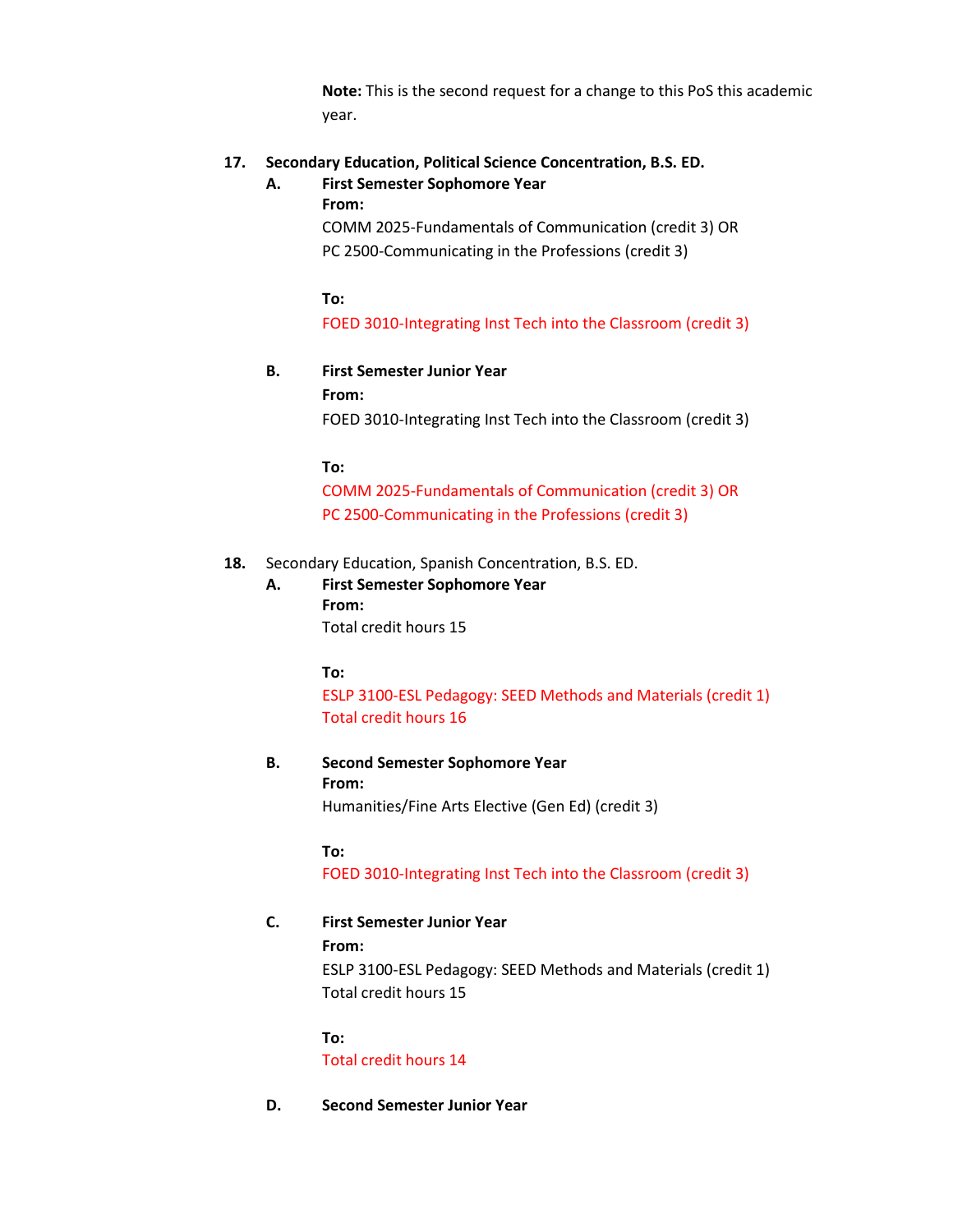**Note:** This is the second request for a change to this PoS this academic year.

## **17. Secondary Education, Political Science Concentration, B.S. ED.**

## **A. First Semester Sophomore Year**

**From:**

COMM 2025-Fundamentals of Communication (credit 3) OR PC 2500-Communicating in the Professions (credit 3)

**To:**

FOED 3010-Integrating Inst Tech into the Classroom (credit 3)

## **B. First Semester Junior Year**

**From:**

FOED 3010-Integrating Inst Tech into the Classroom (credit 3)

**To:**

COMM 2025-Fundamentals of Communication (credit 3) OR PC 2500-Communicating in the Professions (credit 3)

## **18.** Secondary Education, Spanish Concentration, B.S. ED.

**A. First Semester Sophomore Year From:** Total credit hours 15

**To:**

ESLP 3100-ESL Pedagogy: SEED Methods and Materials (credit 1) Total credit hours 16

**B. Second Semester Sophomore Year From:** Humanities/Fine Arts Elective (Gen Ed) (credit 3)

**To:**

FOED 3010-Integrating Inst Tech into the Classroom (credit 3)

## **C. First Semester Junior Year**

**From:** ESLP 3100-ESL Pedagogy: SEED Methods and Materials (credit 1) Total credit hours 15

**To:**

Total credit hours 14

**D. Second Semester Junior Year**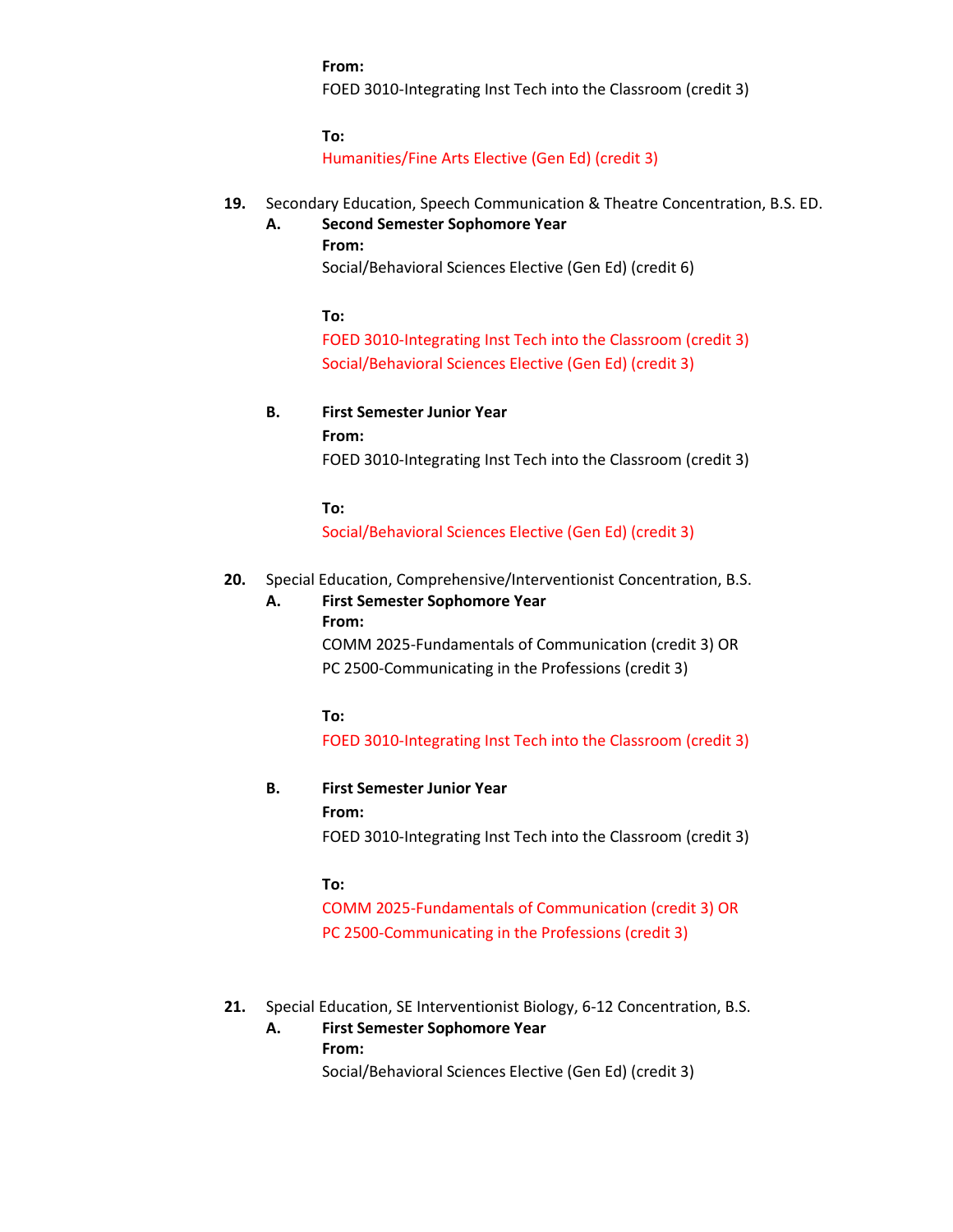**From:**

FOED 3010-Integrating Inst Tech into the Classroom (credit 3)

**To:**

Humanities/Fine Arts Elective (Gen Ed) (credit 3)

## **19.** Secondary Education, Speech Communication & Theatre Concentration, B.S. ED.

### **A. Second Semester Sophomore Year**

**From:** Social/Behavioral Sciences Elective (Gen Ed) (credit 6)

**To:**

FOED 3010-Integrating Inst Tech into the Classroom (credit 3) Social/Behavioral Sciences Elective (Gen Ed) (credit 3)

## **B. First Semester Junior Year**

**From:**

FOED 3010-Integrating Inst Tech into the Classroom (credit 3)

**To:**

Social/Behavioral Sciences Elective (Gen Ed) (credit 3)

- **20.** Special Education, Comprehensive/Interventionist Concentration, B.S.
	- **A. First Semester Sophomore Year From:**

COMM 2025-Fundamentals of Communication (credit 3) OR PC 2500-Communicating in the Professions (credit 3)

## **To:**

FOED 3010-Integrating Inst Tech into the Classroom (credit 3)

## **B. First Semester Junior Year**

**From:**

FOED 3010-Integrating Inst Tech into the Classroom (credit 3)

### **To:**

COMM 2025-Fundamentals of Communication (credit 3) OR PC 2500-Communicating in the Professions (credit 3)

- **21.** Special Education, SE Interventionist Biology, 6-12 Concentration, B.S.
	- **A. First Semester Sophomore Year**

**From:**

Social/Behavioral Sciences Elective (Gen Ed) (credit 3)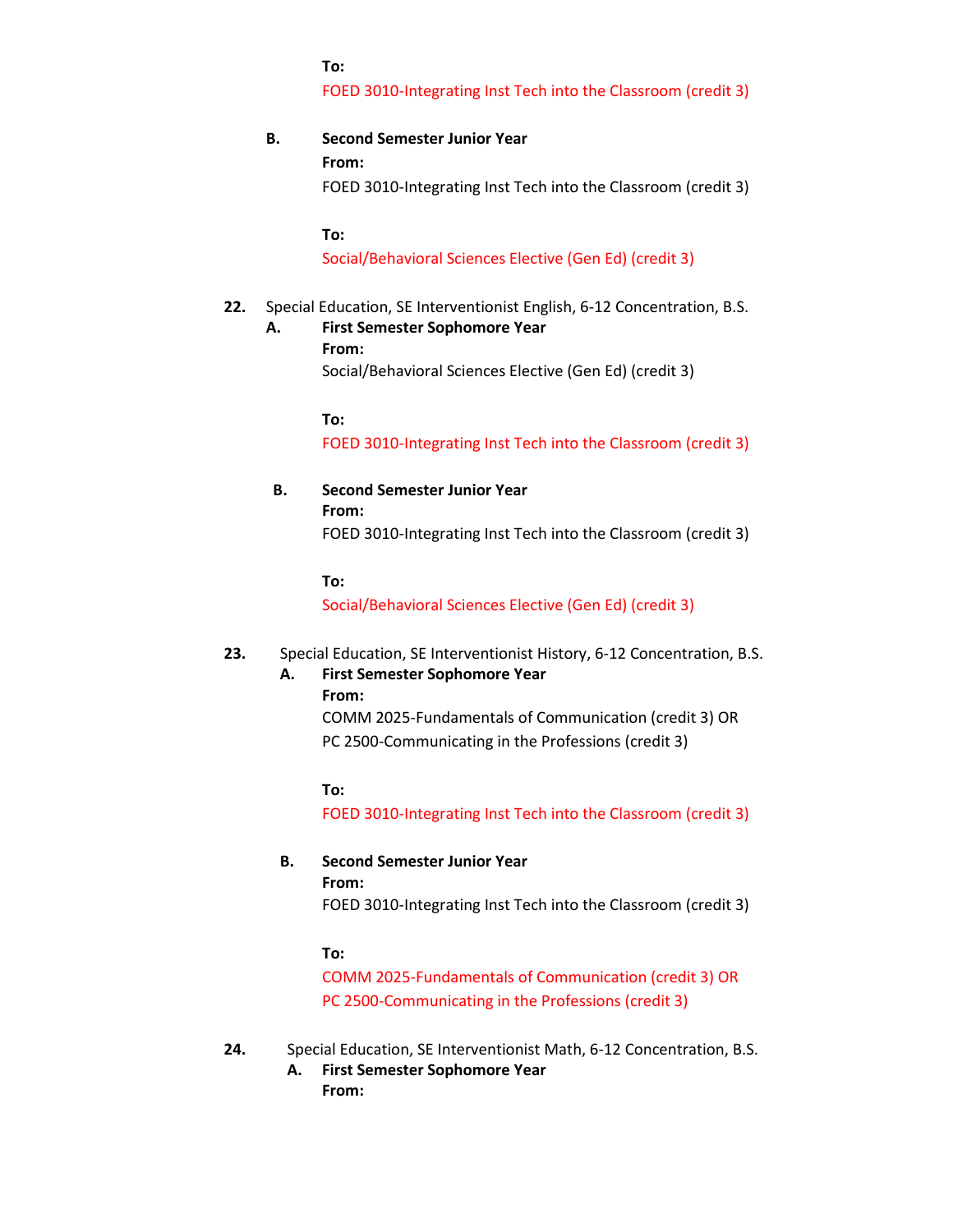### **To:**

FOED 3010-Integrating Inst Tech into the Classroom (credit 3)

## **B. Second Semester Junior Year**

**From:**

FOED 3010-Integrating Inst Tech into the Classroom (credit 3)

**To:**

Social/Behavioral Sciences Elective (Gen Ed) (credit 3)

## **22.** Special Education, SE Interventionist English, 6-12 Concentration, B.S.

**A. First Semester Sophomore Year**

**From:**

Social/Behavioral Sciences Elective (Gen Ed) (credit 3)

**To:**

FOED 3010-Integrating Inst Tech into the Classroom (credit 3)

**B. Second Semester Junior Year From:** 

FOED 3010-Integrating Inst Tech into the Classroom (credit 3)

**To:**

Social/Behavioral Sciences Elective (Gen Ed) (credit 3)

## **23.** Special Education, SE Interventionist History, 6-12 Concentration, B.S.

#### **A. First Semester Sophomore Year From:**

COMM 2025-Fundamentals of Communication (credit 3) OR PC 2500-Communicating in the Professions (credit 3)

**To:**

FOED 3010-Integrating Inst Tech into the Classroom (credit 3)

## **B. Second Semester Junior Year**

### **From:**

FOED 3010-Integrating Inst Tech into the Classroom (credit 3)

### **To:**

COMM 2025-Fundamentals of Communication (credit 3) OR PC 2500-Communicating in the Professions (credit 3)

- **24.** Special Education, SE Interventionist Math, 6-12 Concentration, B.S.
	- **A. First Semester Sophomore Year From:**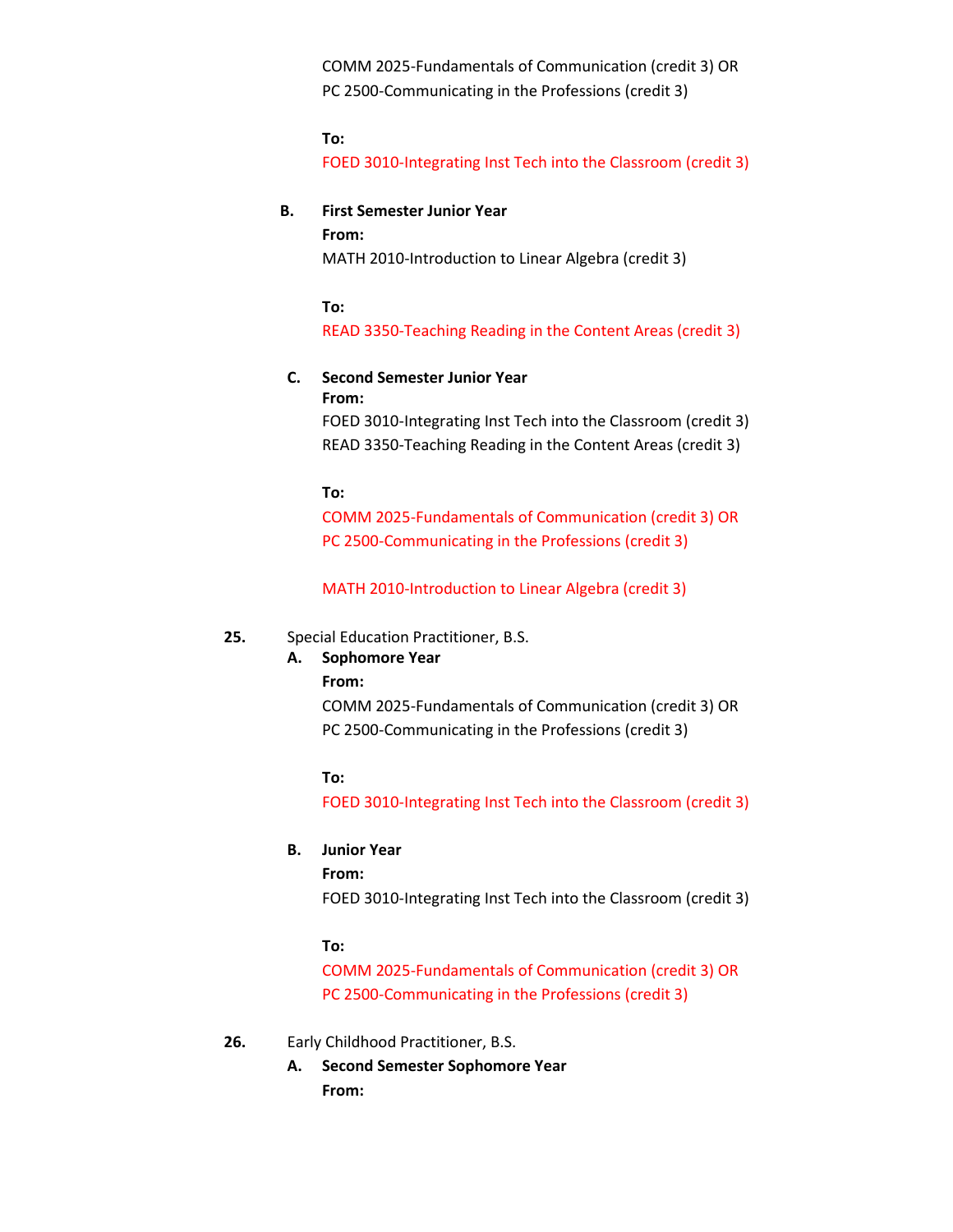COMM 2025-Fundamentals of Communication (credit 3) OR PC 2500-Communicating in the Professions (credit 3)

### **To:**

FOED 3010-Integrating Inst Tech into the Classroom (credit 3)

### **B. First Semester Junior Year**

#### **From:**

MATH 2010-Introduction to Linear Algebra (credit 3)

#### **To:**

READ 3350-Teaching Reading in the Content Areas (credit 3)

## **C. Second Semester Junior Year**

**From:**

FOED 3010-Integrating Inst Tech into the Classroom (credit 3) READ 3350-Teaching Reading in the Content Areas (credit 3)

### **To:**

COMM 2025-Fundamentals of Communication (credit 3) OR PC 2500-Communicating in the Professions (credit 3)

MATH 2010-Introduction to Linear Algebra (credit 3)

### **25.** Special Education Practitioner, B.S.

## **A. Sophomore Year**

**From:**

COMM 2025-Fundamentals of Communication (credit 3) OR PC 2500-Communicating in the Professions (credit 3)

## **To:**

FOED 3010-Integrating Inst Tech into the Classroom (credit 3)

### **B. Junior Year**

**From:**

FOED 3010-Integrating Inst Tech into the Classroom (credit 3)

## **To:**

COMM 2025-Fundamentals of Communication (credit 3) OR PC 2500-Communicating in the Professions (credit 3)

### **26.** Early Childhood Practitioner, B.S.

**A. Second Semester Sophomore Year From:**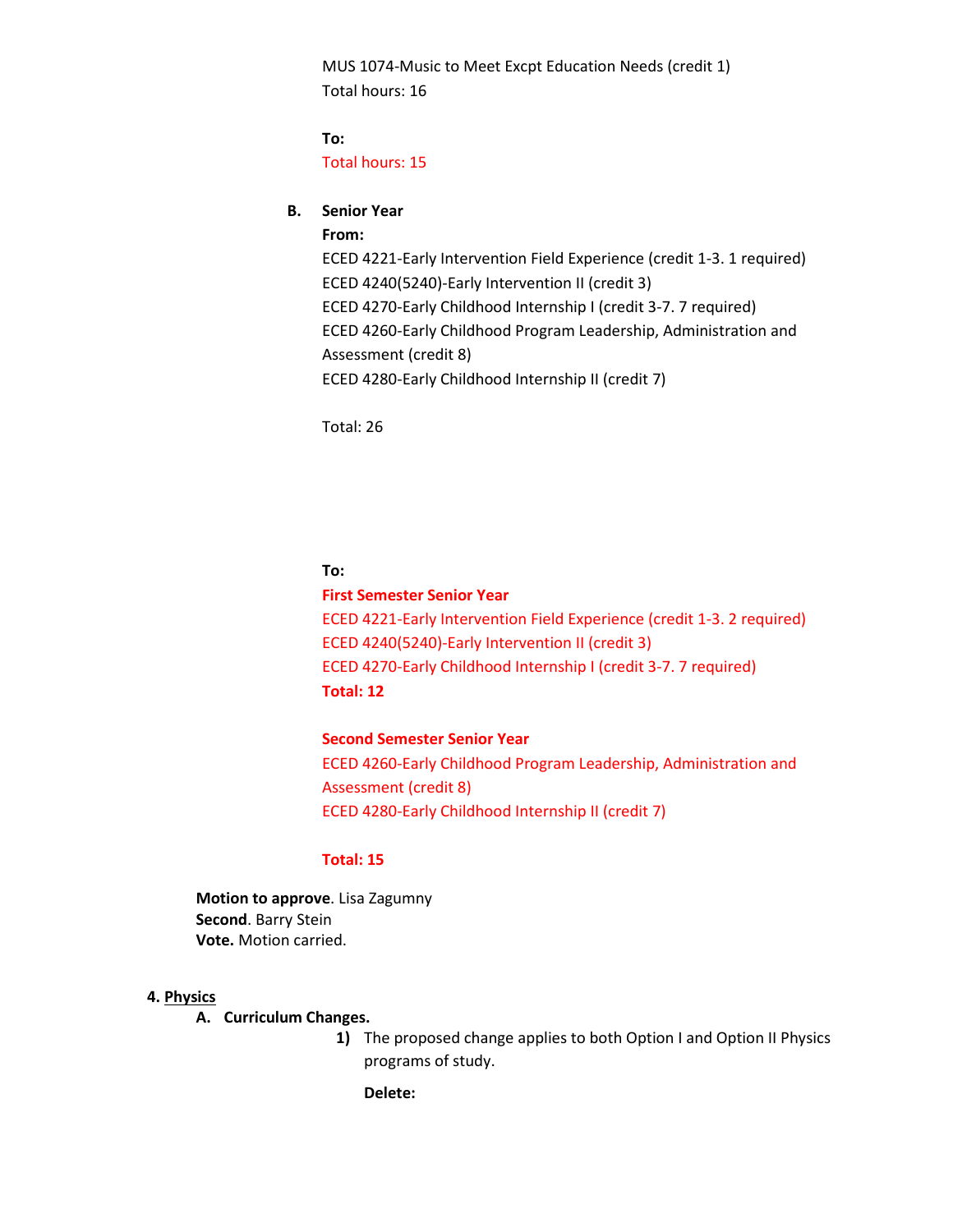MUS 1074-Music to Meet Excpt Education Needs (credit 1) Total hours: 16

**To:**  Total hours: 15

## **B. Senior Year**

**From:**

ECED 4221-Early Intervention Field Experience (credit 1-3. 1 required) ECED 4240(5240)-Early Intervention II (credit 3) ECED 4270-Early Childhood Internship I (credit 3-7. 7 required) ECED 4260-Early Childhood Program Leadership, Administration and Assessment (credit 8) ECED 4280-Early Childhood Internship II (credit 7)

Total: 26

### **To:**

## **First Semester Senior Year**

ECED 4221-Early Intervention Field Experience (credit 1-3. 2 required) ECED 4240(5240)-Early Intervention II (credit 3) ECED 4270-Early Childhood Internship I (credit 3-7. 7 required) **Total: 12**

#### **Second Semester Senior Year**

ECED 4260-Early Childhood Program Leadership, Administration and Assessment (credit 8) ECED 4280-Early Childhood Internship II (credit 7)

### **Total: 15**

**Motion to approve**. Lisa Zagumny **Second**. Barry Stein **Vote.** Motion carried.

### **4. Physics**

#### **A. Curriculum Changes.**

**1)** The proposed change applies to both Option I and Option II Physics programs of study.

**Delete:**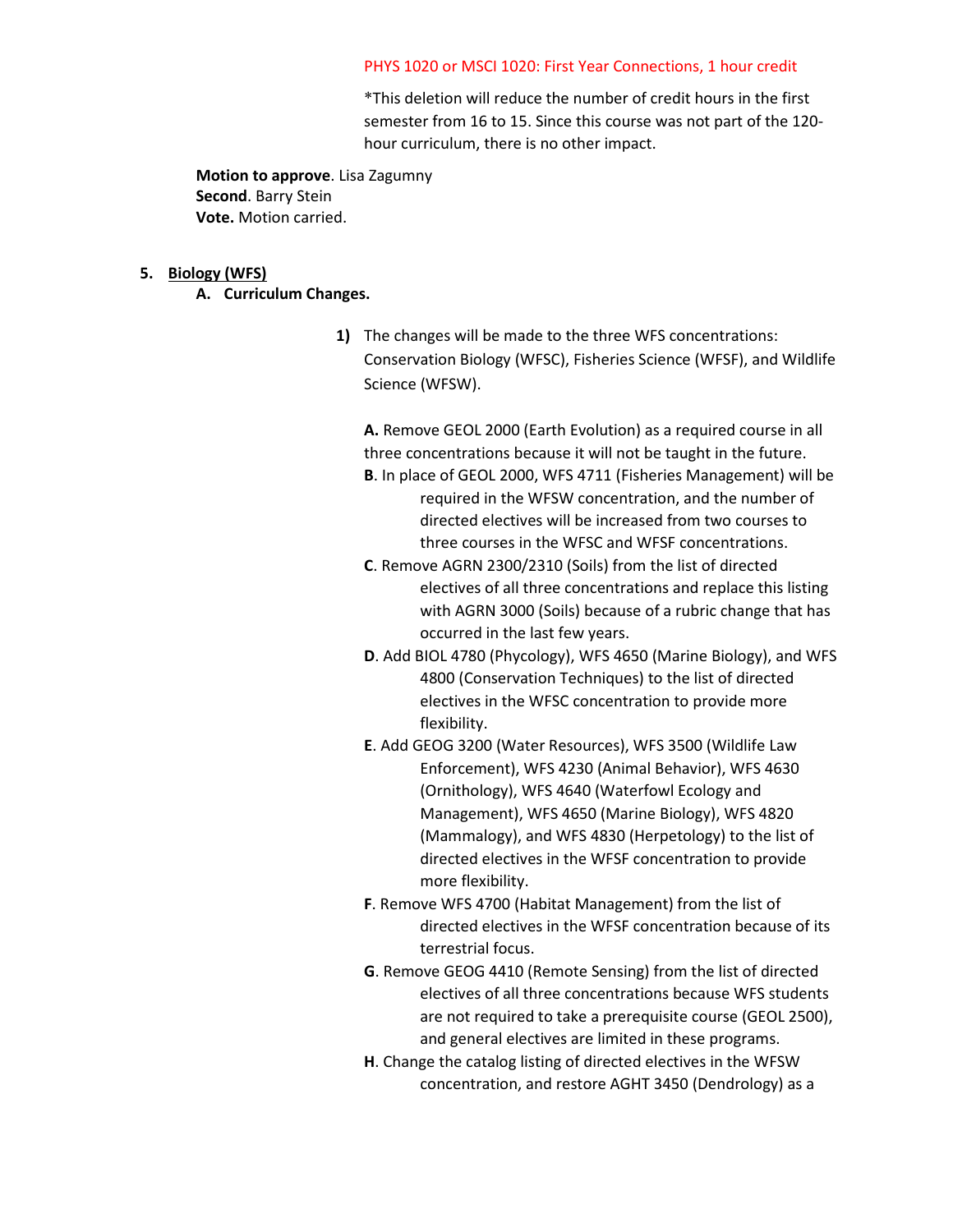#### PHYS 1020 or MSCI 1020: First Year Connections, 1 hour credit

\*This deletion will reduce the number of credit hours in the first semester from 16 to 15. Since this course was not part of the 120 hour curriculum, there is no other impact.

**Motion to approve**. Lisa Zagumny **Second**. Barry Stein **Vote.** Motion carried.

#### **5. Biology (WFS)**

- **A. Curriculum Changes.** 
	- **1)** The changes will be made to the three WFS concentrations: Conservation Biology (WFSC), Fisheries Science (WFSF), and Wildlife Science (WFSW).

**A.** Remove GEOL 2000 (Earth Evolution) as a required course in all three concentrations because it will not be taught in the future.

- **B**. In place of GEOL 2000, WFS 4711 (Fisheries Management) will be required in the WFSW concentration, and the number of directed electives will be increased from two courses to three courses in the WFSC and WFSF concentrations.
- **C**. Remove AGRN 2300/2310 (Soils) from the list of directed electives of all three concentrations and replace this listing with AGRN 3000 (Soils) because of a rubric change that has occurred in the last few years.
- **D**. Add BIOL 4780 (Phycology), WFS 4650 (Marine Biology), and WFS 4800 (Conservation Techniques) to the list of directed electives in the WFSC concentration to provide more flexibility.
- **E**. Add GEOG 3200 (Water Resources), WFS 3500 (Wildlife Law Enforcement), WFS 4230 (Animal Behavior), WFS 4630 (Ornithology), WFS 4640 (Waterfowl Ecology and Management), WFS 4650 (Marine Biology), WFS 4820 (Mammalogy), and WFS 4830 (Herpetology) to the list of directed electives in the WFSF concentration to provide more flexibility.
- **F**. Remove WFS 4700 (Habitat Management) from the list of directed electives in the WFSF concentration because of its terrestrial focus.
- **G**. Remove GEOG 4410 (Remote Sensing) from the list of directed electives of all three concentrations because WFS students are not required to take a prerequisite course (GEOL 2500), and general electives are limited in these programs.
- **H**. Change the catalog listing of directed electives in the WFSW concentration, and restore AGHT 3450 (Dendrology) as a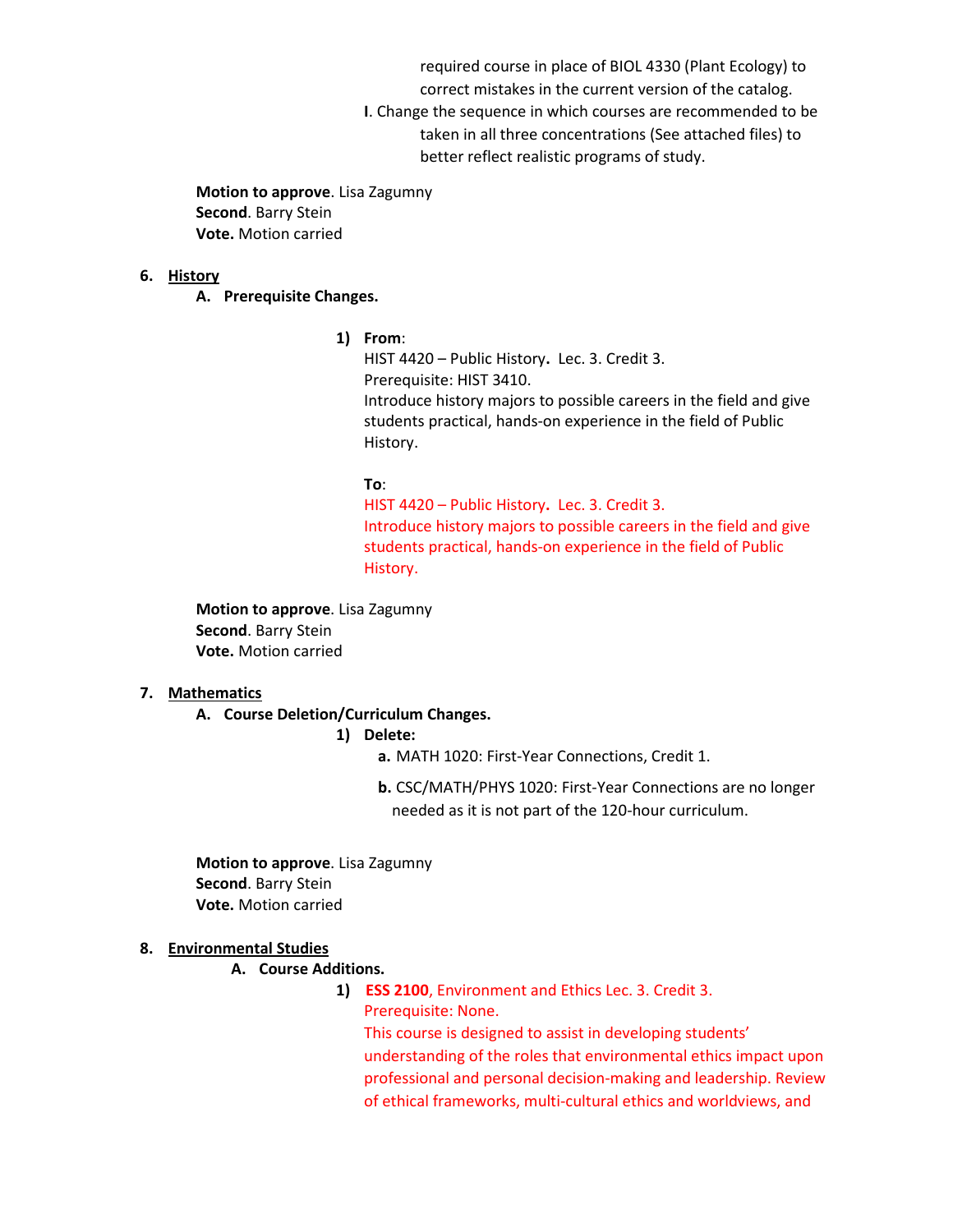required course in place of BIOL 4330 (Plant Ecology) to

correct mistakes in the current version of the catalog.

**I**. Change the sequence in which courses are recommended to be taken in all three concentrations (See attached files) to better reflect realistic programs of study.

**Motion to approve**. Lisa Zagumny **Second**. Barry Stein **Vote.** Motion carried

### **6. History**

**A. Prerequisite Changes.** 

**1) From**:

HIST 4420 – Public History**.** Lec. 3. Credit 3. Prerequisite: HIST 3410. Introduce history majors to possible careers in the field and give students practical, hands-on experience in the field of Public History.

## **To**:

HIST 4420 – Public History**.** Lec. 3. Credit 3. Introduce history majors to possible careers in the field and give students practical, hands-on experience in the field of Public History.

**Motion to approve**. Lisa Zagumny **Second**. Barry Stein **Vote.** Motion carried

## **7. Mathematics**

**A. Course Deletion/Curriculum Changes.** 

**1) Delete:**

**a.** MATH 1020: First-Year Connections, Credit 1.

**b.** CSC/MATH/PHYS 1020: First-Year Connections are no longer needed as it is not part of the 120-hour curriculum.

**Motion to approve**. Lisa Zagumny **Second**. Barry Stein **Vote.** Motion carried

## **8. Environmental Studies**

### **A. Course Additions.**

**1) ESS 2100**, Environment and Ethics Lec. 3. Credit 3. Prerequisite: None.

This course is designed to assist in developing students' understanding of the roles that environmental ethics impact upon professional and personal decision-making and leadership. Review of ethical frameworks, multi-cultural ethics and worldviews, and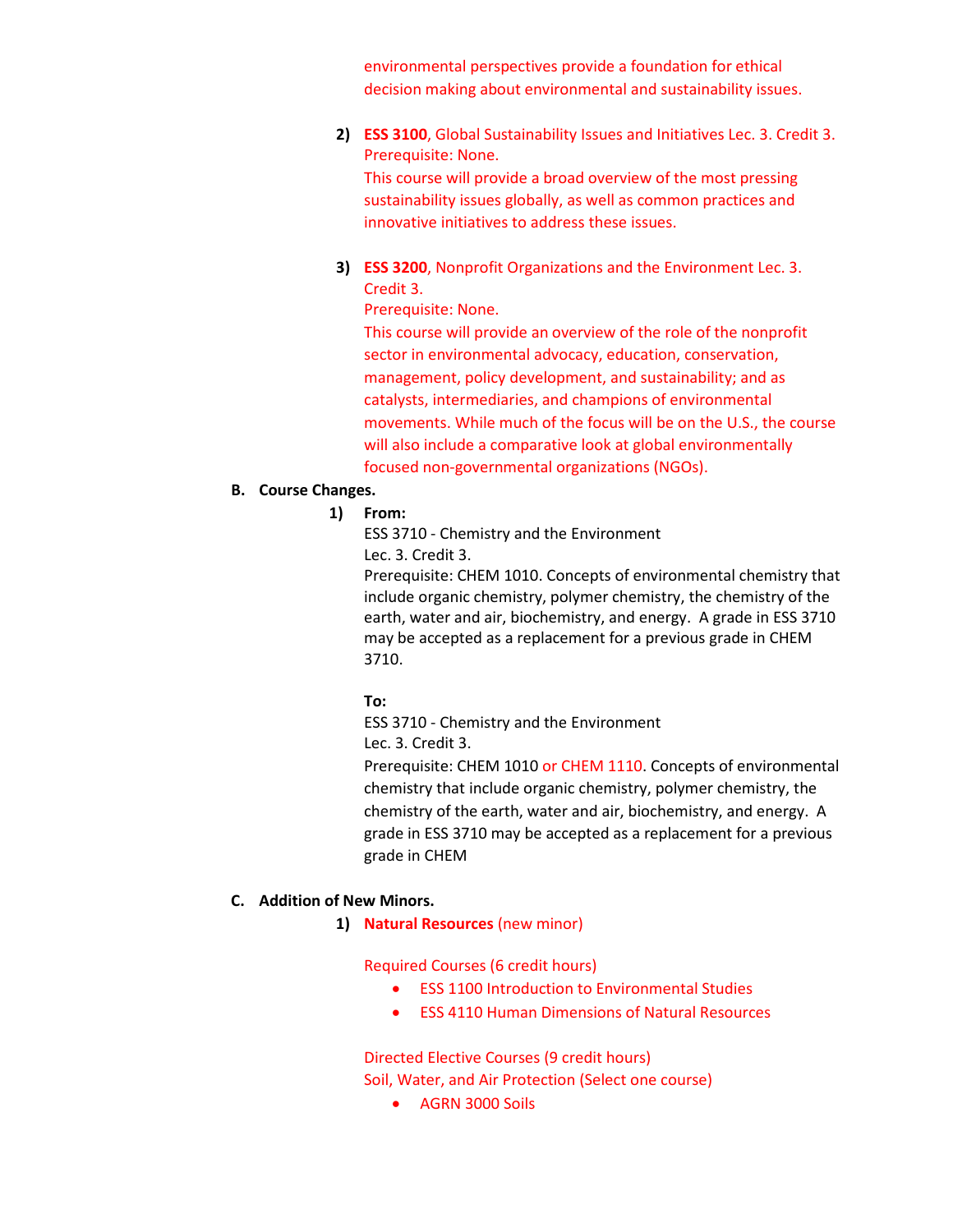environmental perspectives provide a foundation for ethical decision making about environmental and sustainability issues.

## **2) ESS 3100**, Global Sustainability Issues and Initiatives Lec. 3. Credit 3. Prerequisite: None.

This course will provide a broad overview of the most pressing sustainability issues globally, as well as common practices and innovative initiatives to address these issues.

**3) ESS 3200**, Nonprofit Organizations and the Environment Lec. 3. Credit 3.

## Prerequisite: None.

This course will provide an overview of the role of the nonprofit sector in environmental advocacy, education, conservation, management, policy development, and sustainability; and as catalysts, intermediaries, and champions of environmental movements. While much of the focus will be on the U.S., the course will also include a comparative look at global environmentally focused non-governmental organizations (NGOs).

## **B. Course Changes.**

**1) From:**

ESS 3710 - Chemistry and the Environment Lec. 3. Credit 3.

Prerequisite: CHEM 1010. Concepts of environmental chemistry that include organic chemistry, polymer chemistry, the chemistry of the earth, water and air, biochemistry, and energy. A grade in ESS 3710 may be accepted as a replacement for a previous grade in CHEM 3710.

## **To:**

ESS 3710 - Chemistry and the Environment Lec. 3. Credit 3.

Prerequisite: CHEM 1010 or CHEM 1110. Concepts of environmental chemistry that include organic chemistry, polymer chemistry, the chemistry of the earth, water and air, biochemistry, and energy. A grade in ESS 3710 may be accepted as a replacement for a previous grade in CHEM

## **C. Addition of New Minors.**

**1) Natural Resources** (new minor)

Required Courses (6 credit hours)

- ESS 1100 Introduction to Environmental Studies
- ESS 4110 Human Dimensions of Natural Resources

Directed Elective Courses (9 credit hours) Soil, Water, and Air Protection (Select one course)

• AGRN 3000 Soils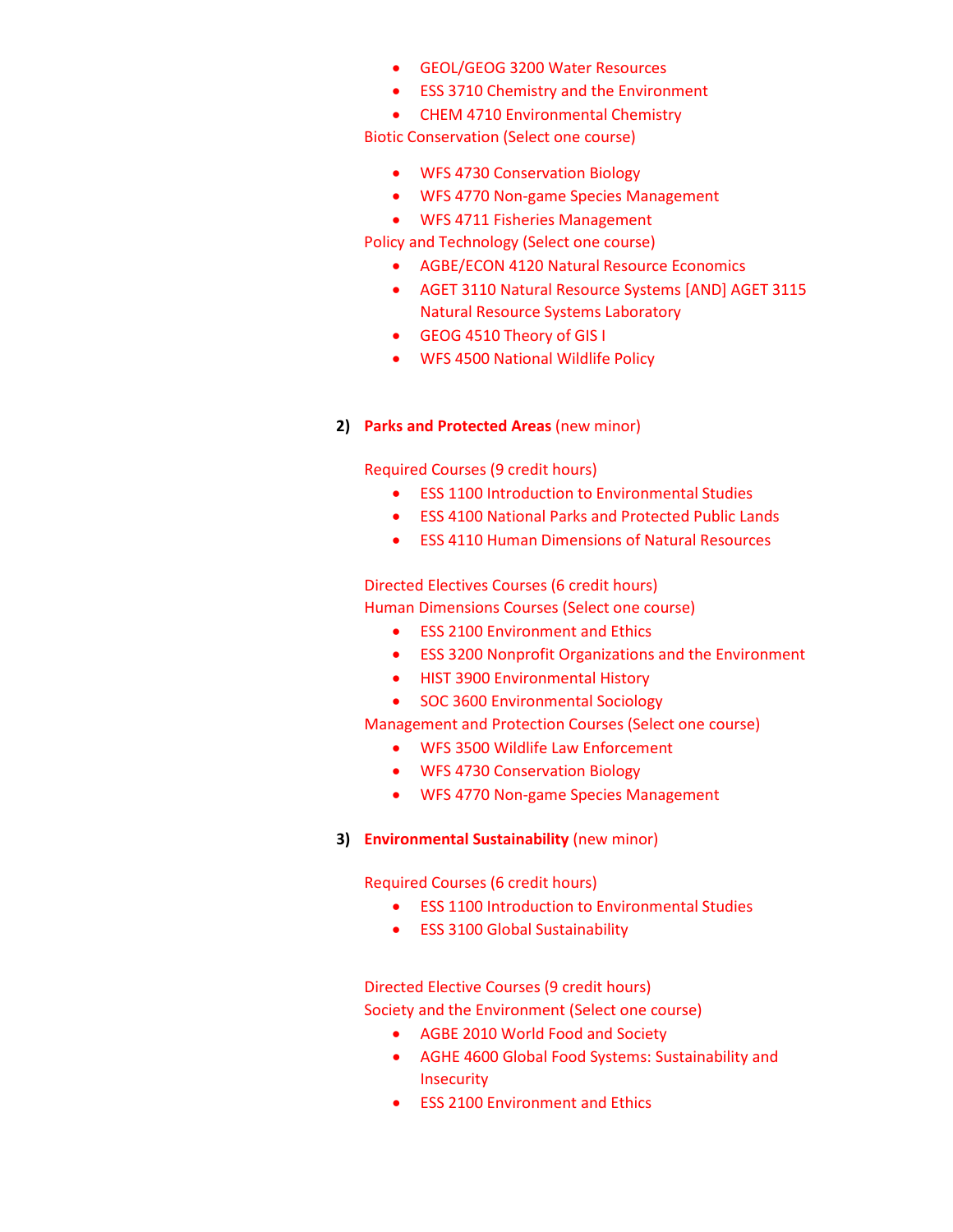- GEOL/GEOG 3200 Water Resources
- ESS 3710 Chemistry and the Environment
- CHEM 4710 Environmental Chemistry

Biotic Conservation (Select one course)

- WFS 4730 Conservation Biology
- WFS 4770 Non-game Species Management
- WFS 4711 Fisheries Management

Policy and Technology (Select one course)

- AGBE/ECON 4120 Natural Resource Economics
- AGET 3110 Natural Resource Systems [AND] AGET 3115 Natural Resource Systems Laboratory
- GEOG 4510 Theory of GIS I
- WFS 4500 National Wildlife Policy

## **2) Parks and Protected Areas** (new minor)

Required Courses (9 credit hours)

- ESS 1100 Introduction to Environmental Studies
- ESS 4100 National Parks and Protected Public Lands
- ESS 4110 Human Dimensions of Natural Resources

Directed Electives Courses (6 credit hours)

Human Dimensions Courses (Select one course)

- ESS 2100 Environment and Ethics
- ESS 3200 Nonprofit Organizations and the Environment
- HIST 3900 Environmental History
- SOC 3600 Environmental Sociology

Management and Protection Courses (Select one course)

- WFS 3500 Wildlife Law Enforcement
- WFS 4730 Conservation Biology
- WFS 4770 Non-game Species Management

## **3) Environmental Sustainability** (new minor)

Required Courses (6 credit hours)

- ESS 1100 Introduction to Environmental Studies
- ESS 3100 Global Sustainability

Directed Elective Courses (9 credit hours) Society and the Environment (Select one course)

- AGBE 2010 World Food and Society
- AGHE 4600 Global Food Systems: Sustainability and Insecurity
- ESS 2100 Environment and Ethics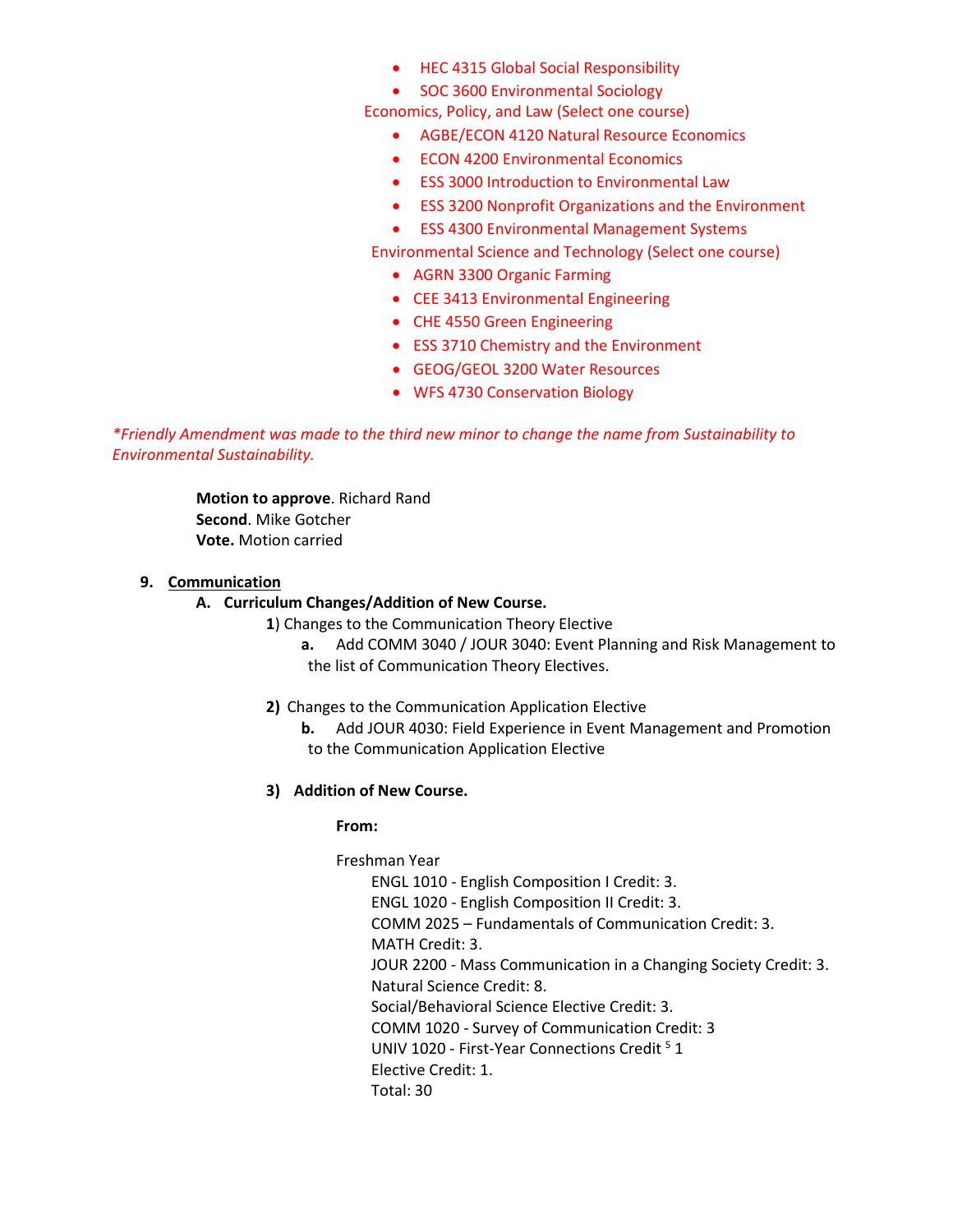- HEC 4315 Global Social Responsibility
- SOC 3600 Environmental Sociology

Economics, Policy, and Law (Select one course)

- AGBE/ECON 4120 Natural Resource Economics
- ECON 4200 Environmental Economics
- ESS 3000 Introduction to Environmental Law
- ESS 3200 Nonprofit Organizations and the Environment
- ESS 4300 Environmental Management Systems

Environmental Science and Technology (Select one course)

- AGRN 3300 Organic Farming
- CEE 3413 Environmental Engineering
- CHE 4550 Green Engineering
- ESS 3710 Chemistry and the Environment
- GEOG/GEOL 3200 Water Resources
- WFS 4730 Conservation Biology

*\*Friendly Amendment was made to the third new minor to change the name from Sustainability to Environmental Sustainability.* 

> **Motion to approve**. Richard Rand **Second**. Mike Gotcher **Vote.** Motion carried

## **9. Communication**

## **A. Curriculum Changes/Addition of New Course.**

- **1**) Changes to the Communication Theory Elective
	- **a.** Add COMM 3040 / JOUR 3040: Event Planning and Risk Management to the list of Communication Theory Electives.
- **2)** Changes to the Communication Application Elective
	- **b.** Add JOUR 4030: Field Experience in Event Management and Promotion to the Communication Application Elective
- **3) Addition of New Course.**

## **From:**

## Freshman Year

ENGL 1010 - English Composition I Credit: 3. ENGL 1020 - English Composition II Credit: 3. COMM 2025 – Fundamentals of Communication Credit: 3. MATH Credit: 3. JOUR 2200 - Mass Communication in a Changing Society Credit: 3. Natural Science Credit: 8. Social/Behavioral Science Elective Credit: 3. COMM 1020 - Survey of Communication Credit: 3 UNIV 1020 - First-Year Connections Credit<sup>5</sup> 1 Elective Credit: 1. Total: 30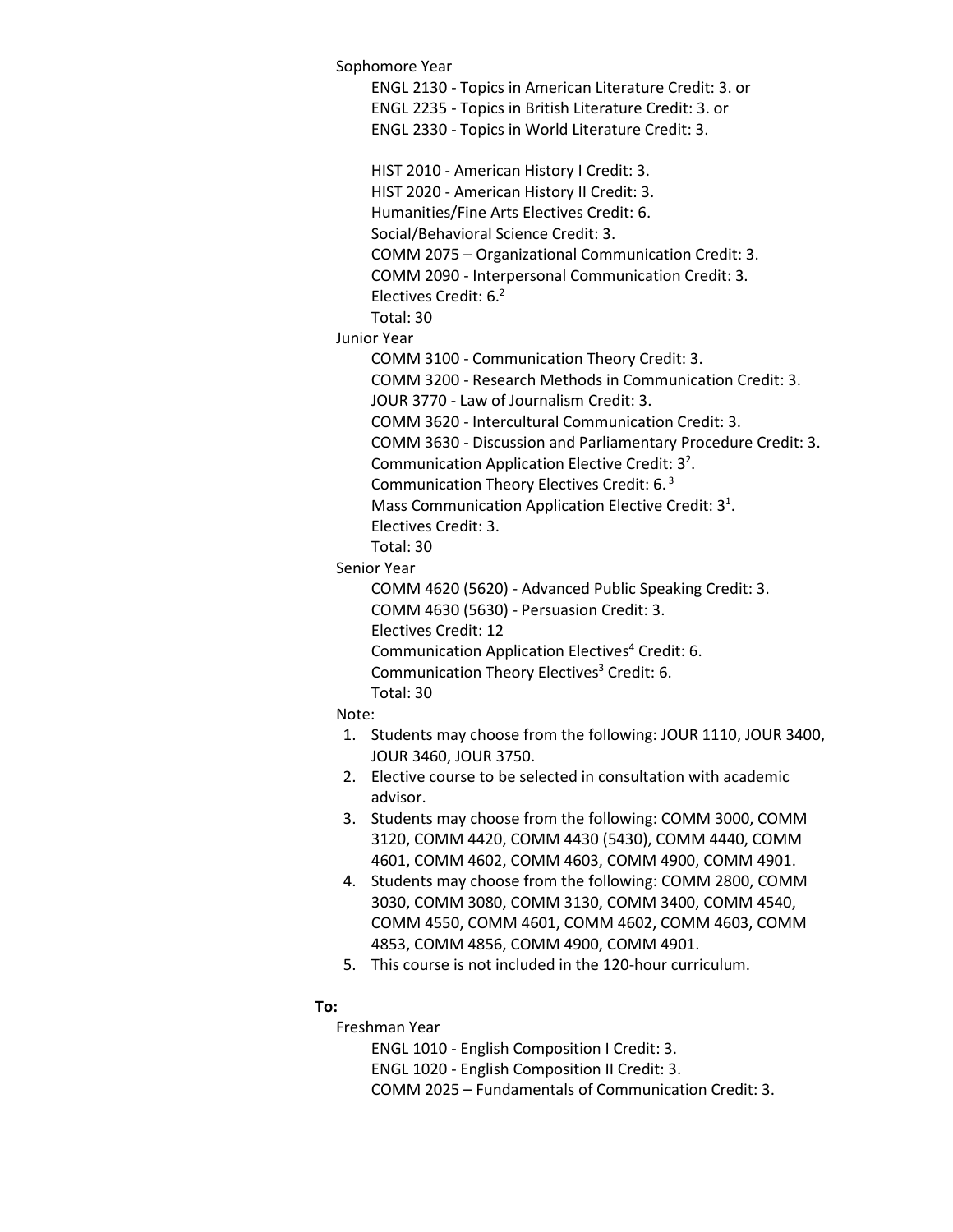Sophomore Year ENGL 2130 - Topics in American Literature Credit: 3. or ENGL 2235 - Topics in British Literature Credit: 3. or ENGL 2330 - Topics in World Literature Credit: 3. HIST 2010 - American History I Credit: 3. HIST 2020 - American History II Credit: 3. Humanities/Fine Arts Electives Credit: 6. Social/Behavioral Science Credit: 3. COMM 2075 – Organizational Communication Credit: 3. COMM 2090 - Interpersonal Communication Credit: 3. Electives Credit:  $6<sup>2</sup>$ Total: 30 Junior Year COMM 3100 - Communication Theory Credit: 3. COMM 3200 - Research Methods in Communication Credit: 3. JOUR 3770 - Law of Journalism Credit: 3. COMM 3620 - Intercultural Communication Credit: 3. COMM 3630 - Discussion and Parliamentary Procedure Credit: 3. Communication Application Elective Credit:  $3<sup>2</sup>$ . Communication Theory Electives Credit: 6. <sup>3</sup> Mass Communication Application Elective Credit:  $3<sup>1</sup>$ . Electives Credit: 3. Total: 30 Senior Year COMM 4620 (5620) - Advanced Public Speaking Credit: 3. COMM 4630 (5630) - Persuasion Credit: 3. Electives Credit: 12 Communication Application Electives<sup>4</sup> Credit: 6. Communication Theory Electives<sup>3</sup> Credit: 6. Total: 30 Note: 1. Students may choose from the following: JOUR 1110, JOUR 3400,

- JOUR 3460, JOUR 3750. 2. Elective course to be selected in consultation with academic advisor.
- 3. Students may choose from the following: COMM 3000, COMM 3120, COMM 4420, COMM 4430 (5430), COMM 4440, COMM 4601, COMM 4602, COMM 4603, COMM 4900, COMM 4901.
- 4. Students may choose from the following: COMM 2800, COMM 3030, COMM 3080, COMM 3130, COMM 3400, COMM 4540, COMM 4550, COMM 4601, COMM 4602, COMM 4603, COMM 4853, COMM 4856, COMM 4900, COMM 4901.
- 5. This course is not included in the 120-hour curriculum.

## **To:**

Freshman Year

ENGL 1010 - English Composition I Credit: 3. ENGL 1020 - English Composition II Credit: 3. COMM 2025 – Fundamentals of Communication Credit: 3.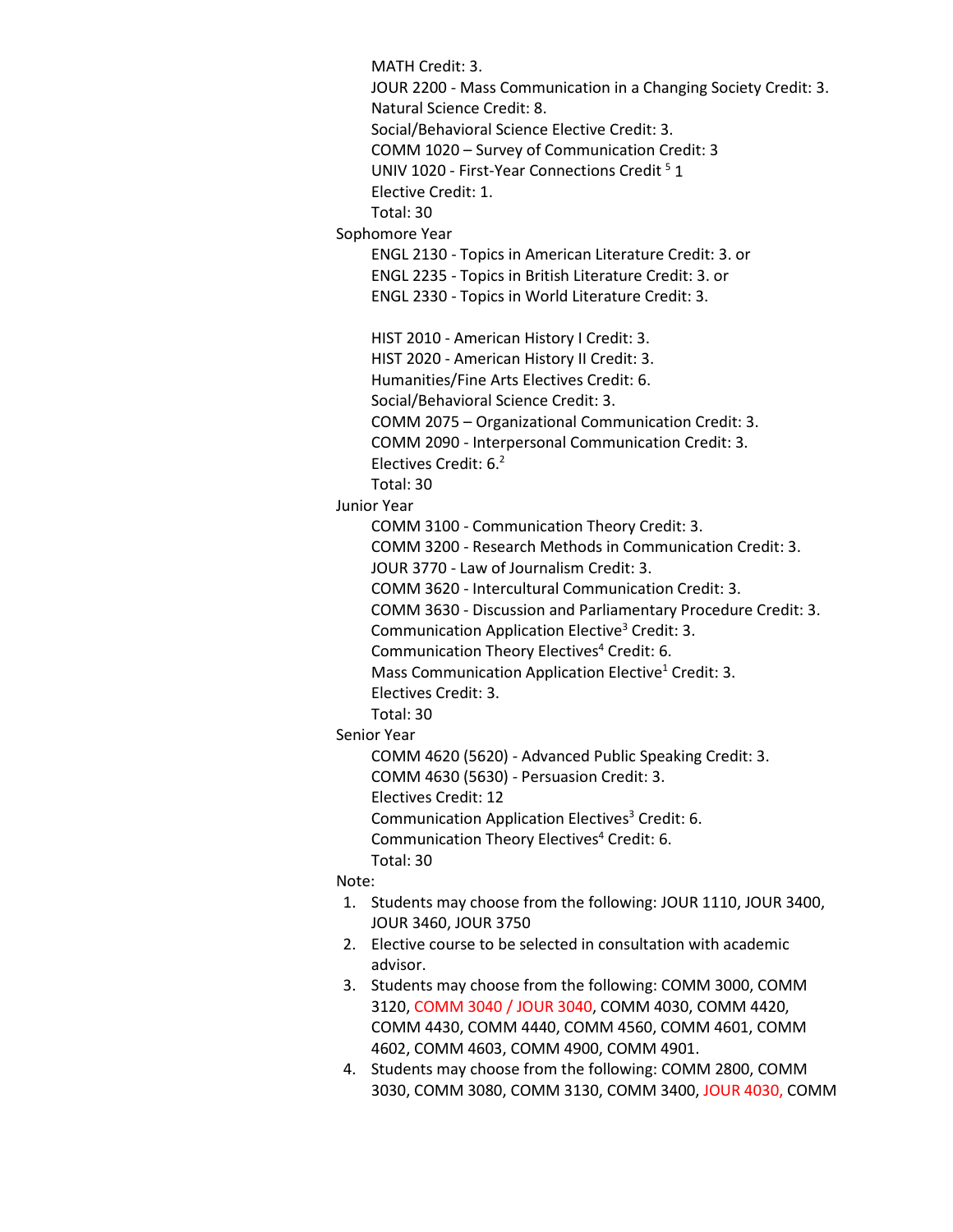MATH Credit: 3. JOUR 2200 - Mass Communication in a Changing Society Credit: 3. Natural Science Credit: 8. Social/Behavioral Science Elective Credit: 3. COMM 1020 – Survey of Communication Credit: 3 UNIV 1020 - First-Year Connections Credit<sup>5</sup> 1 Elective Credit: 1. Total: 30 Sophomore Year ENGL 2130 - Topics in American Literature Credit: 3. or ENGL 2235 - Topics in British Literature Credit: 3. or ENGL 2330 - Topics in World Literature Credit: 3. HIST 2010 - American History I Credit: 3. HIST 2020 - American History II Credit: 3. Humanities/Fine Arts Electives Credit: 6. Social/Behavioral Science Credit: 3. COMM 2075 – Organizational Communication Credit: 3. COMM 2090 - Interpersonal Communication Credit: 3. Electives Credit: 6.2 Total: 30 Junior Year COMM 3100 - Communication Theory Credit: 3. COMM 3200 - Research Methods in Communication Credit: 3. JOUR 3770 - Law of Journalism Credit: 3. COMM 3620 - Intercultural Communication Credit: 3. COMM 3630 - Discussion and Parliamentary Procedure Credit: 3. Communication Application Elective3 Credit: 3. Communication Theory Electives<sup>4</sup> Credit: 6. Mass Communication Application Elective<sup>1</sup> Credit: 3. Electives Credit: 3. Total: 30 Senior Year COMM 4620 (5620) - Advanced Public Speaking Credit: 3. COMM 4630 (5630) - Persuasion Credit: 3. Electives Credit: 12 Communication Application Electives<sup>3</sup> Credit: 6. Communication Theory Electives<sup>4</sup> Credit: 6. Total: 30 Note: 1. Students may choose from the following: JOUR 1110, JOUR 3400, JOUR 3460, JOUR 3750 2. Elective course to be selected in consultation with academic advisor. 3. Students may choose from the following: COMM 3000, COMM 3120, COMM 3040 / JOUR 3040, COMM 4030, COMM 4420, COMM 4430, COMM 4440, COMM 4560, COMM 4601, COMM 4602, COMM 4603, COMM 4900, COMM 4901.

4. Students may choose from the following: COMM 2800, COMM 3030, COMM 3080, COMM 3130, COMM 3400, JOUR 4030, COMM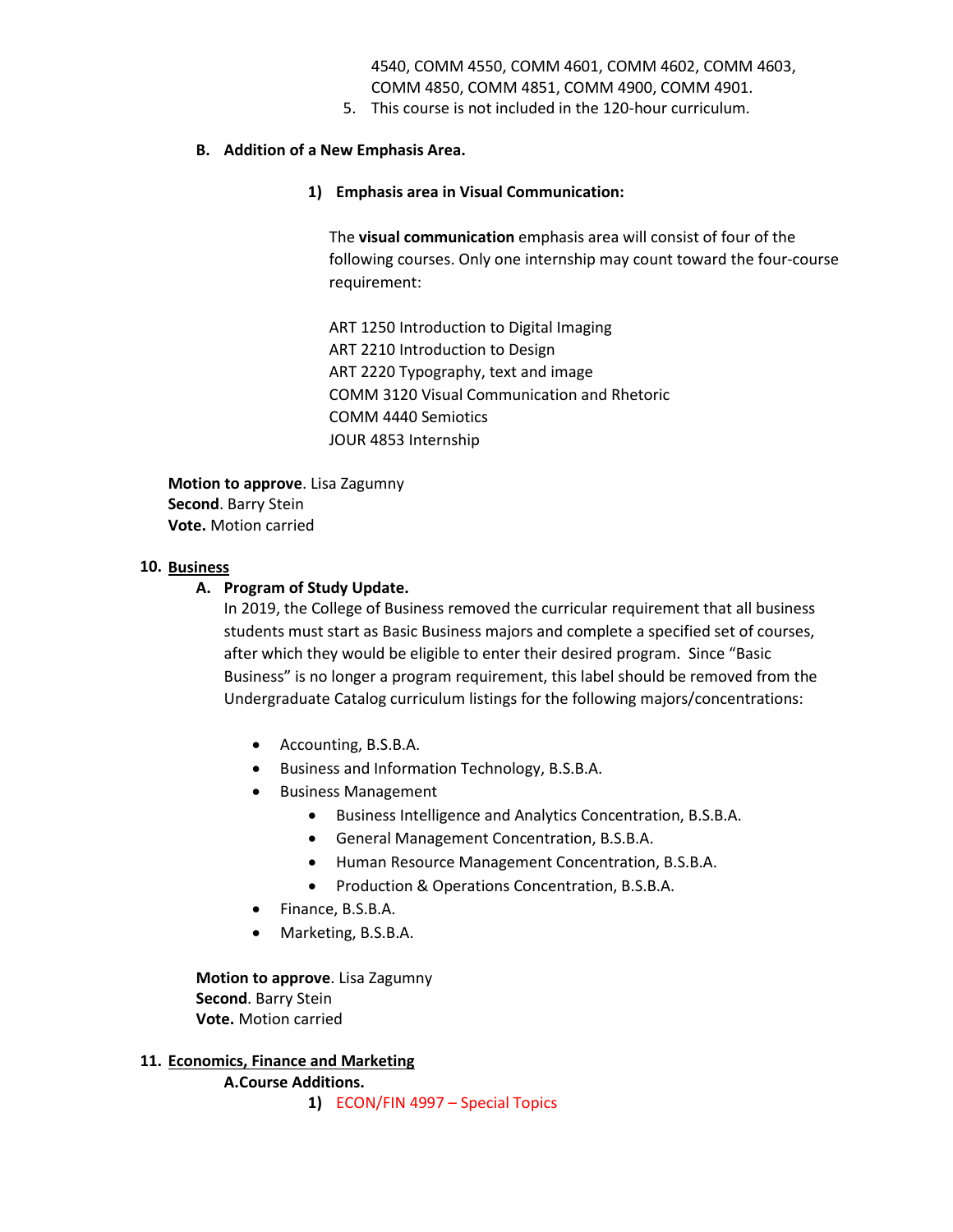4540, COMM 4550, COMM 4601, COMM 4602, COMM 4603, COMM 4850, COMM 4851, COMM 4900, COMM 4901.

5. This course is not included in the 120-hour curriculum.

## **B. Addition of a New Emphasis Area.**

## **1) Emphasis area in Visual Communication:**

The **visual communication** emphasis area will consist of four of the following courses. Only one internship may count toward the four-course requirement:

ART 1250 Introduction to Digital Imaging ART 2210 Introduction to Design ART 2220 Typography, text and image COMM 3120 Visual Communication and Rhetoric COMM 4440 Semiotics JOUR 4853 Internship

**Motion to approve**. Lisa Zagumny **Second**. Barry Stein **Vote.** Motion carried

## **10. Business**

## **A. Program of Study Update.**

In 2019, the College of Business removed the curricular requirement that all business students must start as Basic Business majors and complete a specified set of courses, after which they would be eligible to enter their desired program. Since "Basic Business" is no longer a program requirement, this label should be removed from the Undergraduate Catalog curriculum listings for the following majors/concentrations:

- Accounting, B.S.B.A.
- Business and Information Technology, B.S.B.A.
- Business Management
	- Business Intelligence and Analytics Concentration, B.S.B.A.
	- General Management Concentration, B.S.B.A.
	- Human Resource Management Concentration, B.S.B.A.
	- Production & Operations Concentration, B.S.B.A.
- Finance, B.S.B.A.
- Marketing, B.S.B.A.

**Motion to approve**. Lisa Zagumny **Second**. Barry Stein **Vote.** Motion carried

## **11. Economics, Finance and Marketing**

**A.Course Additions.** 

**1)** ECON/FIN 4997 – Special Topics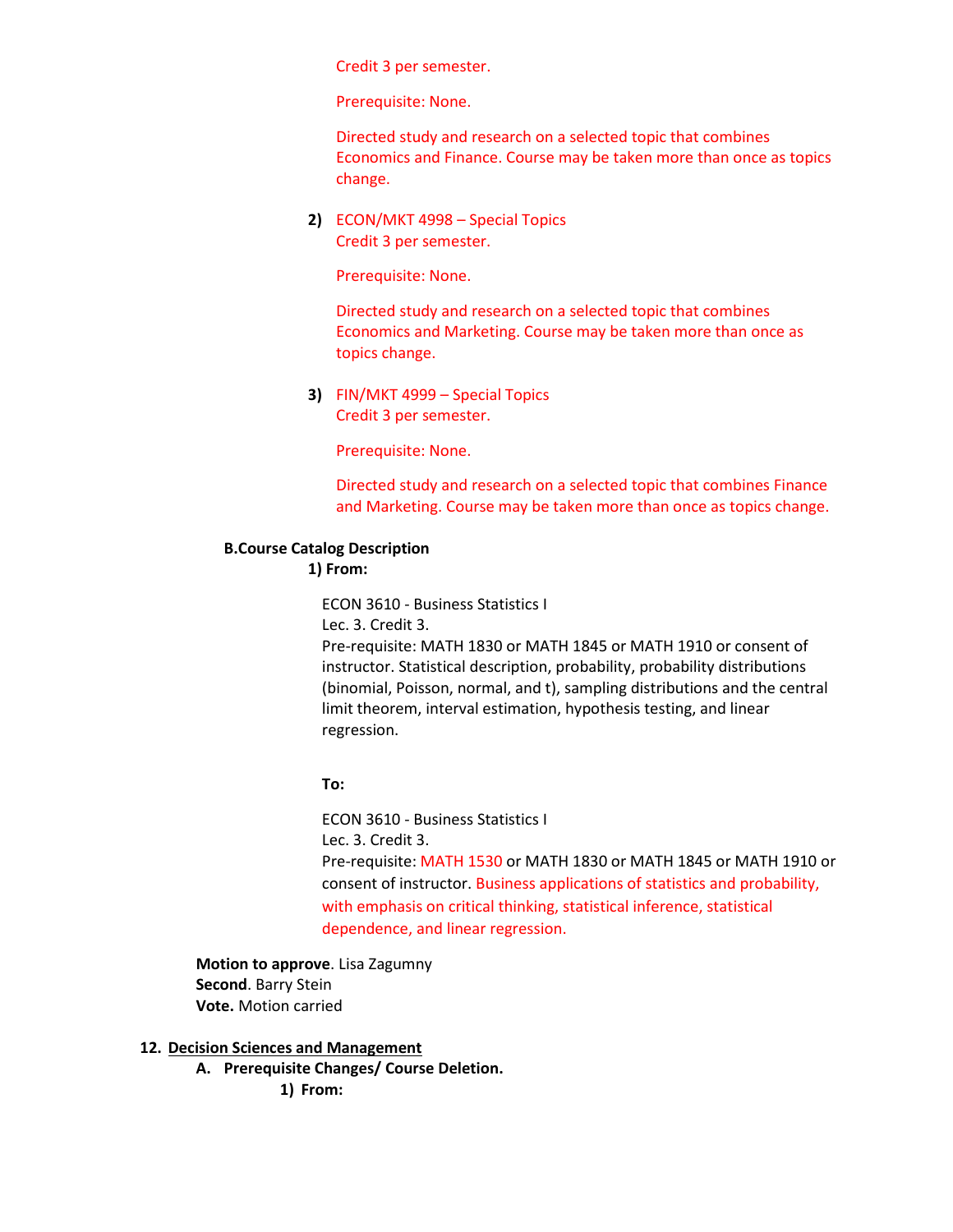Credit 3 per semester.

Prerequisite: None.

Directed study and research on a selected topic that combines Economics and Finance. Course may be taken more than once as topics change.

**2)** ECON/MKT 4998 – Special Topics Credit 3 per semester.

Prerequisite: None.

Directed study and research on a selected topic that combines Economics and Marketing. Course may be taken more than once as topics change.

**3)** FIN/MKT 4999 – Special Topics Credit 3 per semester.

Prerequisite: None.

Directed study and research on a selected topic that combines Finance and Marketing. Course may be taken more than once as topics change.

## **B.Course Catalog Description**

## **1) From:**

ECON 3610 - Business Statistics I

Lec. 3. Credit 3.

Pre-requisite: MATH 1830 or MATH 1845 or MATH 1910 or consent of instructor. Statistical description, probability, probability distributions (binomial, Poisson, normal, and t), sampling distributions and the central limit theorem, interval estimation, hypothesis testing, and linear regression.

## **To:**

ECON 3610 - Business Statistics I Lec. 3. Credit 3. Pre-requisite: MATH 1530 or MATH 1830 or MATH 1845 or MATH 1910 or consent of instructor. Business applications of statistics and probability, with emphasis on critical thinking, statistical inference, statistical dependence, and linear regression.

**Motion to approve**. Lisa Zagumny **Second**. Barry Stein **Vote.** Motion carried

## **12. Decision Sciences and Management**

**A. Prerequisite Changes/ Course Deletion.** 

**1) From:**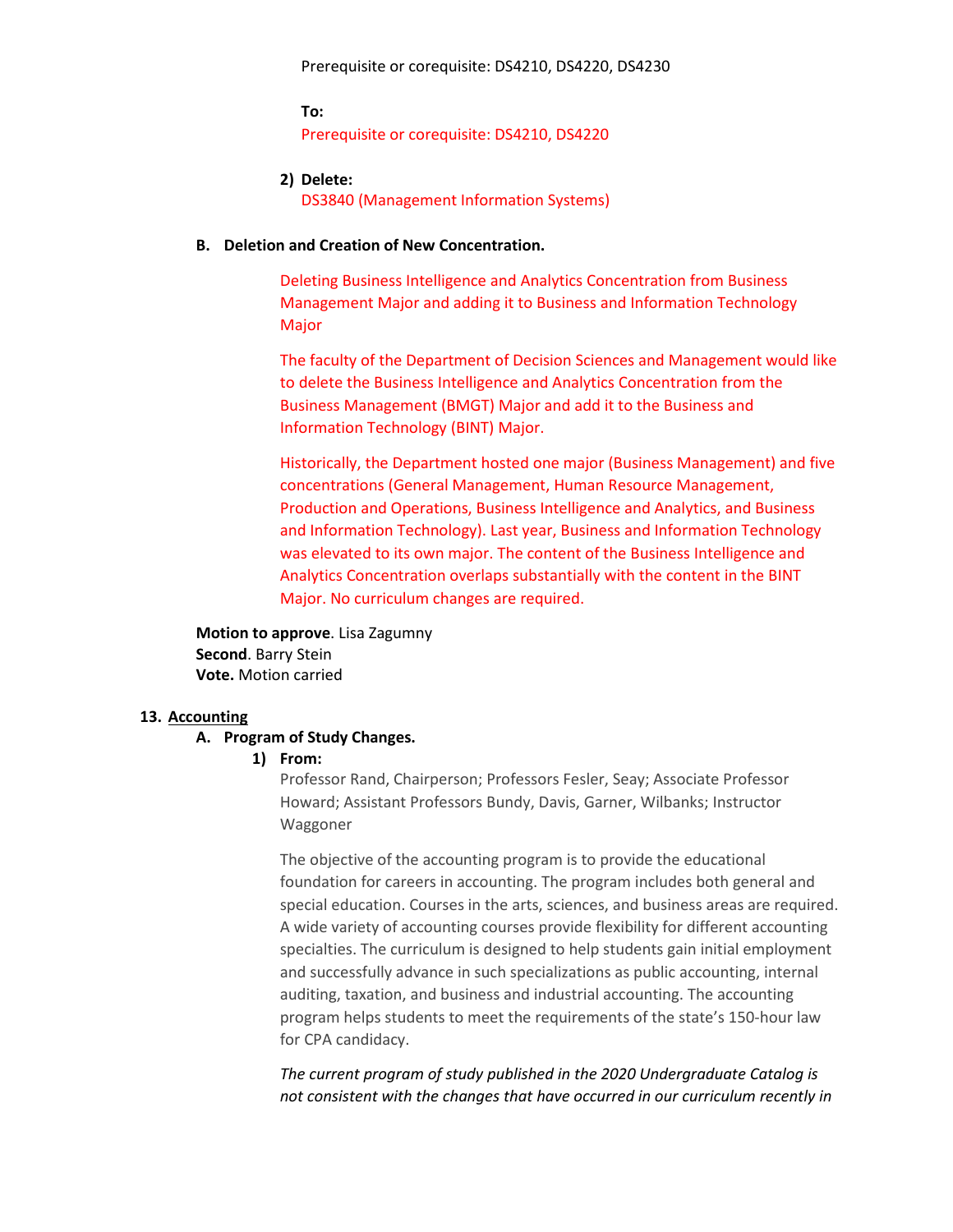**To:** Prerequisite or corequisite: DS4210, DS4220

**2) Delete:** DS3840 (Management Information Systems)

#### **B. Deletion and Creation of New Concentration.**

Deleting Business Intelligence and Analytics Concentration from Business Management Major and adding it to Business and Information Technology Major

The faculty of the Department of Decision Sciences and Management would like to delete the Business Intelligence and Analytics Concentration from the Business Management (BMGT) Major and add it to the Business and Information Technology (BINT) Major.

Historically, the Department hosted one major (Business Management) and five concentrations (General Management, Human Resource Management, Production and Operations, Business Intelligence and Analytics, and Business and Information Technology). Last year, Business and Information Technology was elevated to its own major. The content of the Business Intelligence and Analytics Concentration overlaps substantially with the content in the BINT Major. No curriculum changes are required.

**Motion to approve**. Lisa Zagumny **Second**. Barry Stein **Vote.** Motion carried

#### **13. Accounting**

### **A. Program of Study Changes.**

#### **1) From:**

Professor Rand, Chairperson; Professors Fesler, Seay; Associate Professor Howard; Assistant Professors Bundy, Davis, Garner, Wilbanks; Instructor Waggoner

The objective of the accounting program is to provide the educational foundation for careers in accounting. The program includes both general and special education. Courses in the arts, sciences, and business areas are required. A wide variety of accounting courses provide flexibility for different accounting specialties. The curriculum is designed to help students gain initial employment and successfully advance in such specializations as public accounting, internal auditing, taxation, and business and industrial accounting. The accounting program helps students to meet the requirements of the state's 150-hour law for CPA candidacy.

*The current program of study published in the 2020 Undergraduate Catalog is not consistent with the changes that have occurred in our curriculum recently in*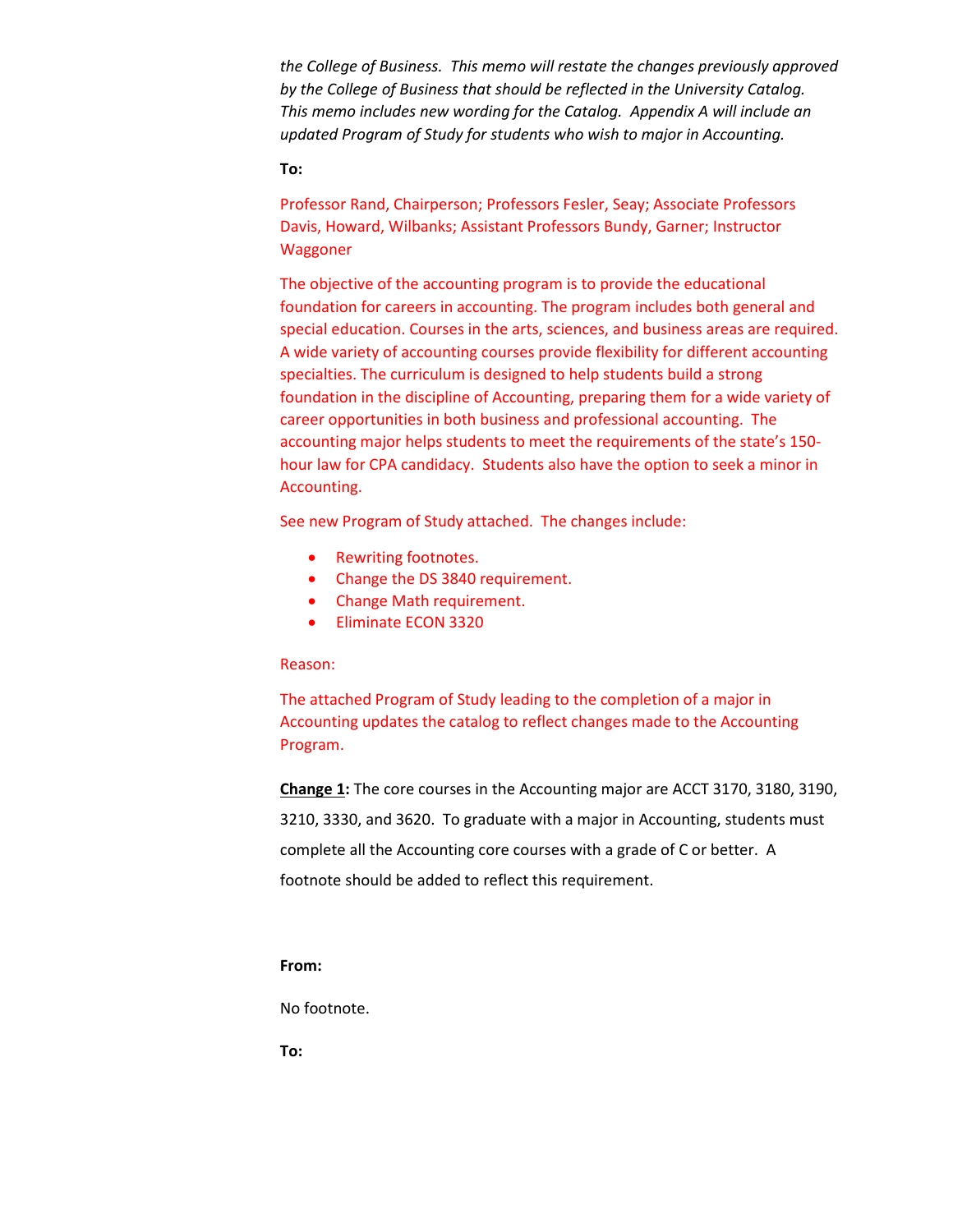*the College of Business. This memo will restate the changes previously approved by the College of Business that should be reflected in the University Catalog. This memo includes new wording for the Catalog. Appendix A will include an updated Program of Study for students who wish to major in Accounting.* 

### **To:**

Professor Rand, Chairperson; Professors Fesler, Seay; Associate Professors Davis, Howard, Wilbanks; Assistant Professors Bundy, Garner; Instructor Waggoner

The objective of the accounting program is to provide the educational foundation for careers in accounting. The program includes both general and special education. Courses in the arts, sciences, and business areas are required. A wide variety of accounting courses provide flexibility for different accounting specialties. The curriculum is designed to help students build a strong foundation in the discipline of Accounting, preparing them for a wide variety of career opportunities in both business and professional accounting. The accounting major helps students to meet the requirements of the state's 150 hour law for CPA candidacy. Students also have the option to seek a minor in Accounting.

See new Program of Study attached. The changes include:

- Rewriting footnotes.
- Change the DS 3840 requirement.
- Change Math requirement.
- Eliminate ECON 3320

#### Reason:

The attached Program of Study leading to the completion of a major in Accounting updates the catalog to reflect changes made to the Accounting Program.

**Change 1:** The core courses in the Accounting major are ACCT 3170, 3180, 3190, 3210, 3330, and 3620. To graduate with a major in Accounting, students must complete all the Accounting core courses with a grade of C or better. A footnote should be added to reflect this requirement.

#### **From:**

No footnote.

**To:**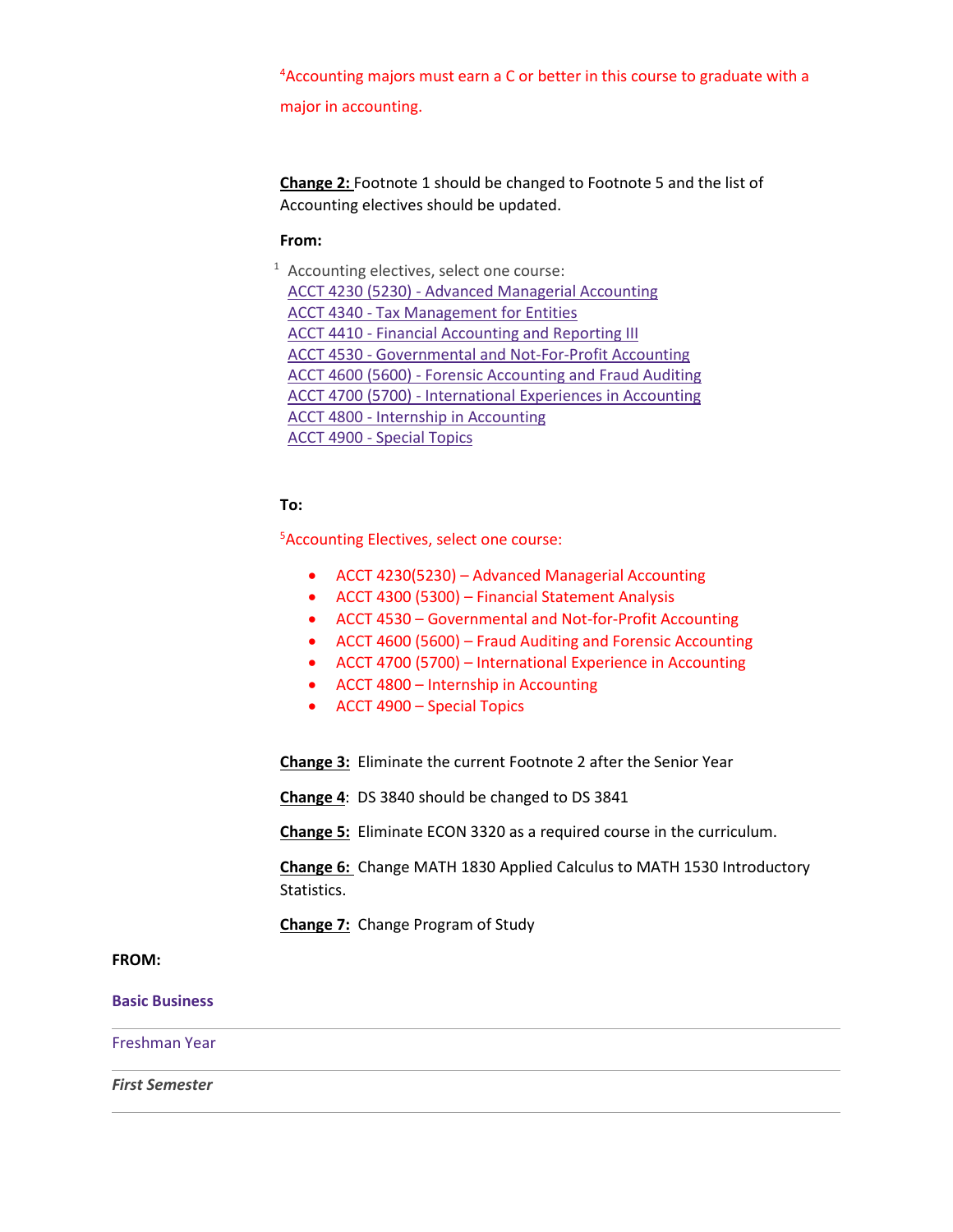4 Accounting majors must earn a C or better in this course to graduate with a major in accounting.

**Change 2:** Footnote 1 should be changed to Footnote 5 and the list of Accounting electives should be updated.

#### **From:**

 $1$  Accounting electives, select one course: ACCT 4230 (5230) - Advanced Managerial Accounting ACCT 4340 - Tax [Management](https://catalog.tntech.edu/preview_program.php?catoid=29&poid=3545&returnto=5920#tt3062) for Entities ACCT 4410 - Financial [Accounting](https://catalog.tntech.edu/preview_program.php?catoid=29&poid=3545&returnto=5920#tt8593) and Reporting III ACCT 4530 - [Governmental](https://catalog.tntech.edu/preview_program.php?catoid=29&poid=3545&returnto=5920#tt4354) and Not-For-Profit Accounting ACCT 4600 (5600) - Forensic [Accounting](https://catalog.tntech.edu/preview_program.php?catoid=29&poid=3545&returnto=5920#tt9683) and Fraud Auditing ACCT 4700 (5700) - [International](https://catalog.tntech.edu/preview_program.php?catoid=29&poid=3545&returnto=5920#tt4329) Experiences in Accounting ACCT 4800 - Internship in [Accounting](https://catalog.tntech.edu/preview_program.php?catoid=29&poid=3545&returnto=5920#tt8191) ACCT 4900 - [Special](https://catalog.tntech.edu/preview_program.php?catoid=29&poid=3545&returnto=5920#tt4454) Topics

## **To:**

5 Accounting Electives, select one course:

- ACCT 4230(5230) Advanced Managerial Accounting
- ACCT 4300 (5300) Financial Statement Analysis
- ACCT 4530 Governmental and Not-for-Profit Accounting
- ACCT 4600 (5600) Fraud Auditing and Forensic Accounting
- ACCT 4700 (5700) International Experience in Accounting
- ACCT 4800 Internship in Accounting
- ACCT 4900 Special Topics

**Change 3:** Eliminate the current Footnote 2 after the Senior Year

**Change 4**: DS 3840 should be changed to DS 3841

**Change 5:** Eliminate ECON 3320 as a required course in the curriculum.

**Change 6:** Change MATH 1830 Applied Calculus to MATH 1530 Introductory Statistics.

**Change 7:** Change Program of Study

## **FROM:**

**Basic Business**

Freshman Year

*First Semester*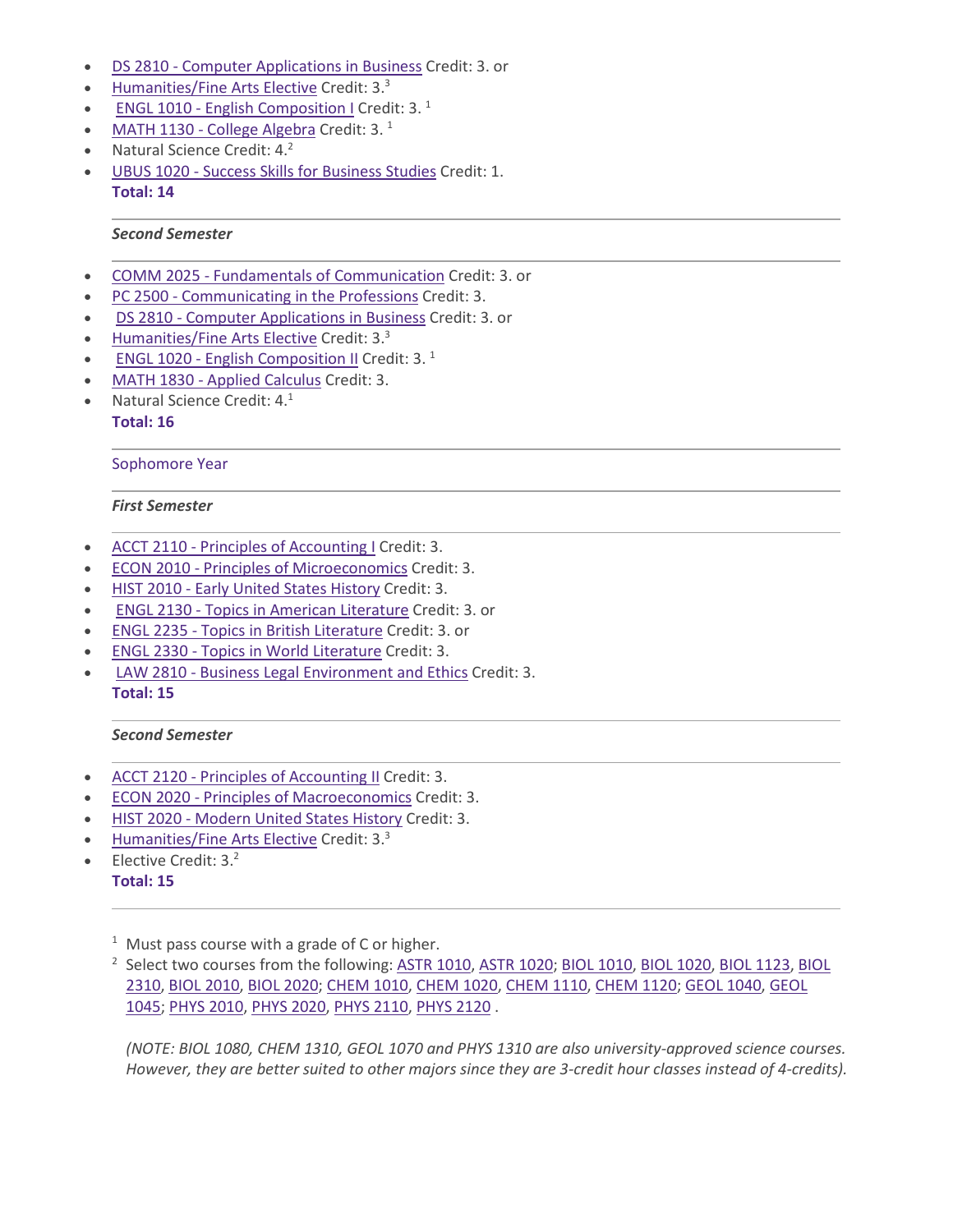- DS 2810 Computer [Applications](https://catalog.tntech.edu/preview_program.php?catoid=29&poid=3545&returnto=5920) in Business Credit: 3. or
- [Humanities/Fine](https://catalog.tntech.edu/content.php?catoid=29&navoid=5957#Humanities_and_or_Fine_Arts) Arts Elective Credit: 3.<sup>3</sup>
- ENGL 1010 English [Composition](https://catalog.tntech.edu/preview_program.php?catoid=29&poid=3545&returnto=5920) I Credit: 3. $<sup>1</sup>$ </sup>
- MATH 1130 College [Algebra](https://catalog.tntech.edu/preview_program.php?catoid=29&poid=3545&returnto=5920) Credit:  $3.1$
- Natural Science Credit:  $4.^2$
- UBUS 1020 Success Skills for [Business](https://catalog.tntech.edu/preview_program.php?catoid=29&poid=3545&returnto=5920) Studies Credit: 1. **Total: 14**

#### *Second Semester*

- COMM 2025 Fundamentals of [Communication](https://catalog.tntech.edu/preview_program.php?catoid=29&poid=3545&returnto=5920) Credit: 3. or
- PC 2500 [Communicating](https://catalog.tntech.edu/preview_program.php?catoid=29&poid=3545&returnto=5920) in the Professions Credit: 3.
- DS 2810 Computer [Applications](https://catalog.tntech.edu/preview_program.php?catoid=29&poid=3545&returnto=5920) in Business Credit: 3. or
- [Humanities/Fine](https://catalog.tntech.edu/content.php?catoid=29&navoid=5957#Humanities_and_or_Fine_Arts) Arts Elective Credit: 3.3
- **ENGL 1020 English [Composition](https://catalog.tntech.edu/preview_program.php?catoid=29&poid=3545&returnto=5920) II Credit: 3.**  $1$
- MATH 1830 Applied [Calculus](https://catalog.tntech.edu/preview_program.php?catoid=29&poid=3545&returnto=5920) Credit: 3.
- Natural Science Credit: 4.<sup>1</sup>

**Total: 16**

#### Sophomore Year

#### *First Semester*

- ACCT 2110 Principles of [Accounting](https://catalog.tntech.edu/preview_program.php?catoid=29&poid=3545&returnto=5920) I Credit: 3.
- ECON 2010 Principles of [Microeconomics](https://catalog.tntech.edu/preview_program.php?catoid=29&poid=3545&returnto=5920) Credit: 3.
- HIST 2010 Early United States [History](https://catalog.tntech.edu/preview_program.php?catoid=29&poid=3545&returnto=5920) Credit: 3.
- ENGL 2130 Topics in American [Literature](https://catalog.tntech.edu/preview_program.php?catoid=29&poid=3545&returnto=5920) Credit: 3. or
- ENGL 2235 Topics in British [Literature](https://catalog.tntech.edu/preview_program.php?catoid=29&poid=3545&returnto=5920) Credit: 3. or
- ENGL 2330 Topics in World [Literature](https://catalog.tntech.edu/preview_program.php?catoid=29&poid=3545&returnto=5920) Credit: 3.
- LAW 2810 Business Legal [Environment](https://catalog.tntech.edu/preview_program.php?catoid=29&poid=3545&returnto=5920) and Ethics Credit: 3. **Total: 15**

### *Second Semester*

- ACCT 2120 Principles of [Accounting](https://catalog.tntech.edu/preview_program.php?catoid=29&poid=3545&returnto=5920) II Credit: 3.
- ECON 2020 Principles of [Macroeconomics](https://catalog.tntech.edu/preview_program.php?catoid=29&poid=3545&returnto=5920) Credit: 3.
- HIST 2020 [Modern](https://catalog.tntech.edu/preview_program.php?catoid=29&poid=3545&returnto=5920) United States History Credit: 3.
- [Humanities/Fine](https://catalog.tntech.edu/content.php?catoid=29&navoid=5957#Humanities_and_or_Fine_Arts) Arts Elective Credit: 3.3
- Elective Credit:  $3<sup>2</sup>$

## **Total: 15**

 $1$  Must pass course with a grade of C or higher.

<sup>2</sup> Select two courses from the following: ASTR [1010,](https://catalog.tntech.edu/preview_program.php?catoid=29&poid=3545&returnto=5920#tt2109) ASTR [1020;](https://catalog.tntech.edu/preview_program.php?catoid=29&poid=3545&returnto=5920#tt9501) BIOL 1010, BIOL [1020,](https://catalog.tntech.edu/preview_program.php?catoid=29&poid=3545&returnto=5920#tt7131) BIOL [1123,](https://catalog.tntech.edu/preview_program.php?catoid=29&poid=3545&returnto=5920#tt3080) [BIOL](https://catalog.tntech.edu/preview_program.php?catoid=29&poid=3545&returnto=5920#tt8041) [2310,](https://catalog.tntech.edu/preview_program.php?catoid=29&poid=3545&returnto=5920#tt8041) BIOL [2010,](https://catalog.tntech.edu/preview_program.php?catoid=29&poid=3545&returnto=5920#tt3659) BIOL [2020;](https://catalog.tntech.edu/preview_program.php?catoid=29&poid=3545&returnto=5920#tt5701) [CHEM](https://catalog.tntech.edu/preview_program.php?catoid=29&poid=3545&returnto=5920#tt3056) 1010, [CHEM](https://catalog.tntech.edu/preview_program.php?catoid=29&poid=3545&returnto=5920#tt8509) 1020, [CHEM](https://catalog.tntech.edu/preview_program.php?catoid=29&poid=3545&returnto=5920#tt9762) 1110, [CHEM](https://catalog.tntech.edu/preview_program.php?catoid=29&poid=3545&returnto=5920#tt6633) 1120; GEOL [1040,](https://catalog.tntech.edu/preview_program.php?catoid=29&poid=3545&returnto=5920#tt8184) [GEOL](https://catalog.tntech.edu/preview_program.php?catoid=29&poid=3545&returnto=5920#tt5860) [1045;](https://catalog.tntech.edu/preview_program.php?catoid=29&poid=3545&returnto=5920#tt5860) PHYS [2010,](https://catalog.tntech.edu/preview_program.php?catoid=29&poid=3545&returnto=5920#tt8116) PHYS [2020,](https://catalog.tntech.edu/preview_program.php?catoid=29&poid=3545&returnto=5920#tt9265) PHYS [2110,](https://catalog.tntech.edu/preview_program.php?catoid=29&poid=3545&returnto=5920#tt6306) [PHYS](https://catalog.tntech.edu/preview_program.php?catoid=29&poid=3545&returnto=5920#tt7809) 2120 .

*(NOTE: BIOL 1080, CHEM 1310, GEOL 1070 and PHYS 1310 are also university-approved science courses.* However, they are better suited to other majors since they are 3-credit hour classes instead of 4-credits).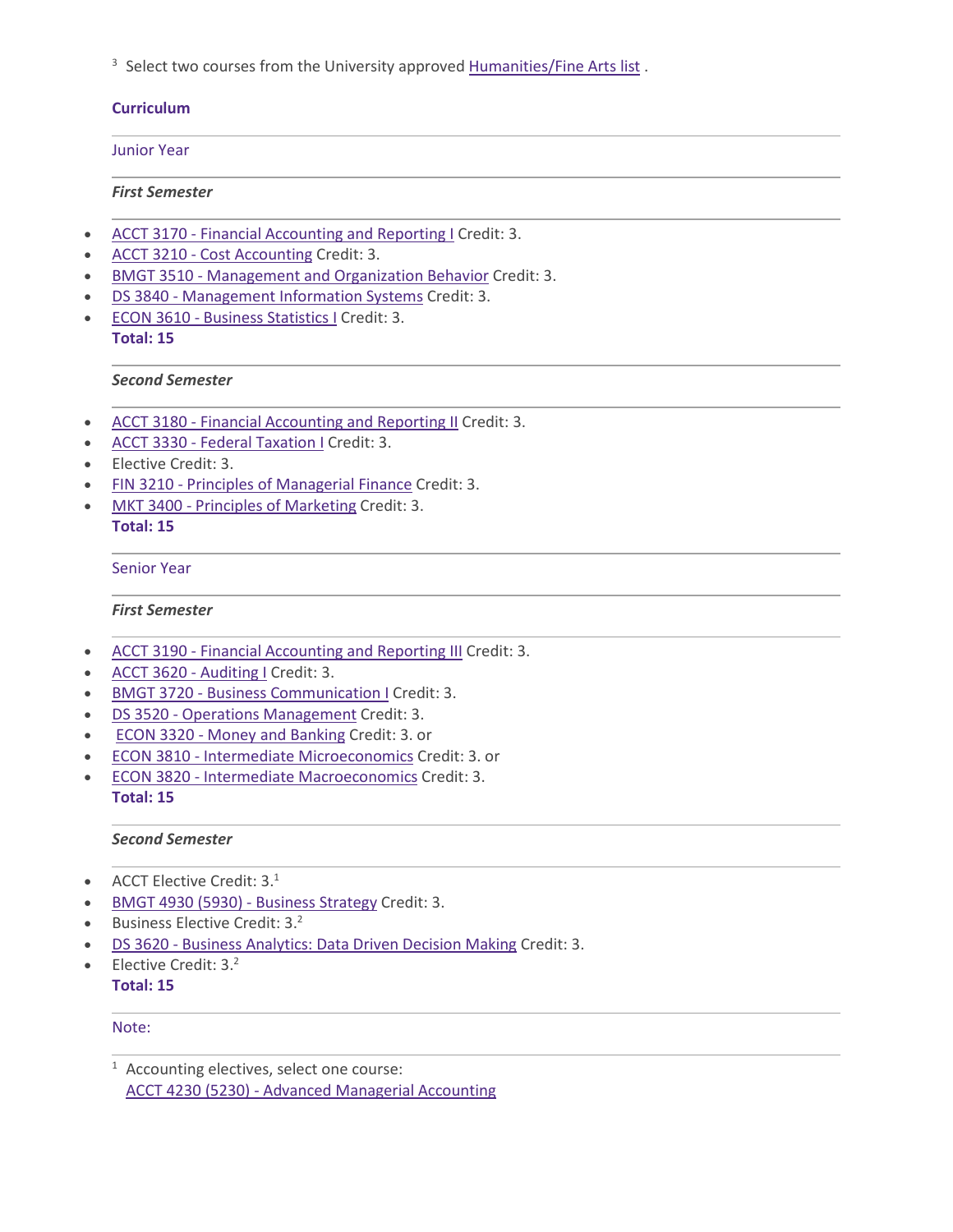<sup>3</sup> Select two courses from the University approved [Humanities/Fine](https://catalog.tntech.edu/content.php?catoid=29&navoid=5957#Humanities_and_or_Fine_Arts) Arts list.

## **Curriculum**

## Junior Year

## *First Semester*

- ACCT 3170 Financial [Accounting](https://catalog.tntech.edu/preview_program.php?catoid=29&poid=3545&returnto=5920) and Reporting I Credit: 3.
- ACCT 3210 Cost [Accounting](https://catalog.tntech.edu/preview_program.php?catoid=29&poid=3545&returnto=5920) Credit: 3.
- BMGT 3510 [Management](https://catalog.tntech.edu/preview_program.php?catoid=29&poid=3545&returnto=5920) and Organization Behavior Credit: 3.
- DS 3840 [Management](https://catalog.tntech.edu/preview_program.php?catoid=29&poid=3545&returnto=5920) Information Systems Credit: 3.
- ECON 3610 Business [Statistics](https://catalog.tntech.edu/preview_program.php?catoid=29&poid=3545&returnto=5920) I Credit: 3. **Total: 15**

## *Second Semester*

- ACCT 3180 Financial [Accounting](https://catalog.tntech.edu/preview_program.php?catoid=29&poid=3545&returnto=5920) and Reporting II Credit: 3.
- ACCT 3330 Federal [Taxation](https://catalog.tntech.edu/preview_program.php?catoid=29&poid=3545&returnto=5920) I Credit: 3.
- Elective Credit: 3.
- FIN 3210 Principles of [Managerial](https://catalog.tntech.edu/preview_program.php?catoid=29&poid=3545&returnto=5920) Finance Credit: 3.
- MKT 3400 Principles of [Marketing](https://catalog.tntech.edu/preview_program.php?catoid=29&poid=3545&returnto=5920) Credit: 3.

## **Total: 15**

## Senior Year

### *First Semester*

- ACCT 3190 Financial [Accounting](https://catalog.tntech.edu/preview_program.php?catoid=29&poid=3545&returnto=5920) and Reporting III Credit: 3.
- ACCT 3620 [Auditing](https://catalog.tntech.edu/preview_program.php?catoid=29&poid=3545&returnto=5920) I Credit: 3.
- BMGT 3720 Business [Communication](https://catalog.tntech.edu/preview_program.php?catoid=29&poid=3545&returnto=5920) I Credit: 3.
- DS 3520 Operations [Management](https://catalog.tntech.edu/preview_program.php?catoid=29&poid=3545&returnto=5920) Credit: 3.
- ECON 3320 Money and [Banking](https://catalog.tntech.edu/preview_program.php?catoid=29&poid=3545&returnto=5920) Credit: 3. or
- ECON 3810 Intermediate [Microeconomics](https://catalog.tntech.edu/preview_program.php?catoid=29&poid=3545&returnto=5920) Credit: 3. or
- ECON 3820 Intermediate [Macroeconomics](https://catalog.tntech.edu/preview_program.php?catoid=29&poid=3545&returnto=5920) Credit: 3. **Total: 15**

## *Second Semester*

- ACCT Elective Credit: 3.<sup>1</sup>
- BMGT 4930 (5930) [Business](https://catalog.tntech.edu/preview_program.php?catoid=29&poid=3545&returnto=5920) Strategy Credit: 3.
- **•** Business Elective Credit:  $3.^2$
- DS 3620 Business [Analytics:](https://catalog.tntech.edu/preview_program.php?catoid=29&poid=3545&returnto=5920) Data Driven Decision Making Credit: 3.
- Elective Credit:  $3<sup>2</sup>$

## **Total: 15**

### Note:

<sup>1</sup> Accounting electives, select one course: ACCT 4230 (5230) - Advanced [Managerial](https://catalog.tntech.edu/preview_program.php?catoid=29&poid=3545&returnto=5920#tt3333) Accounting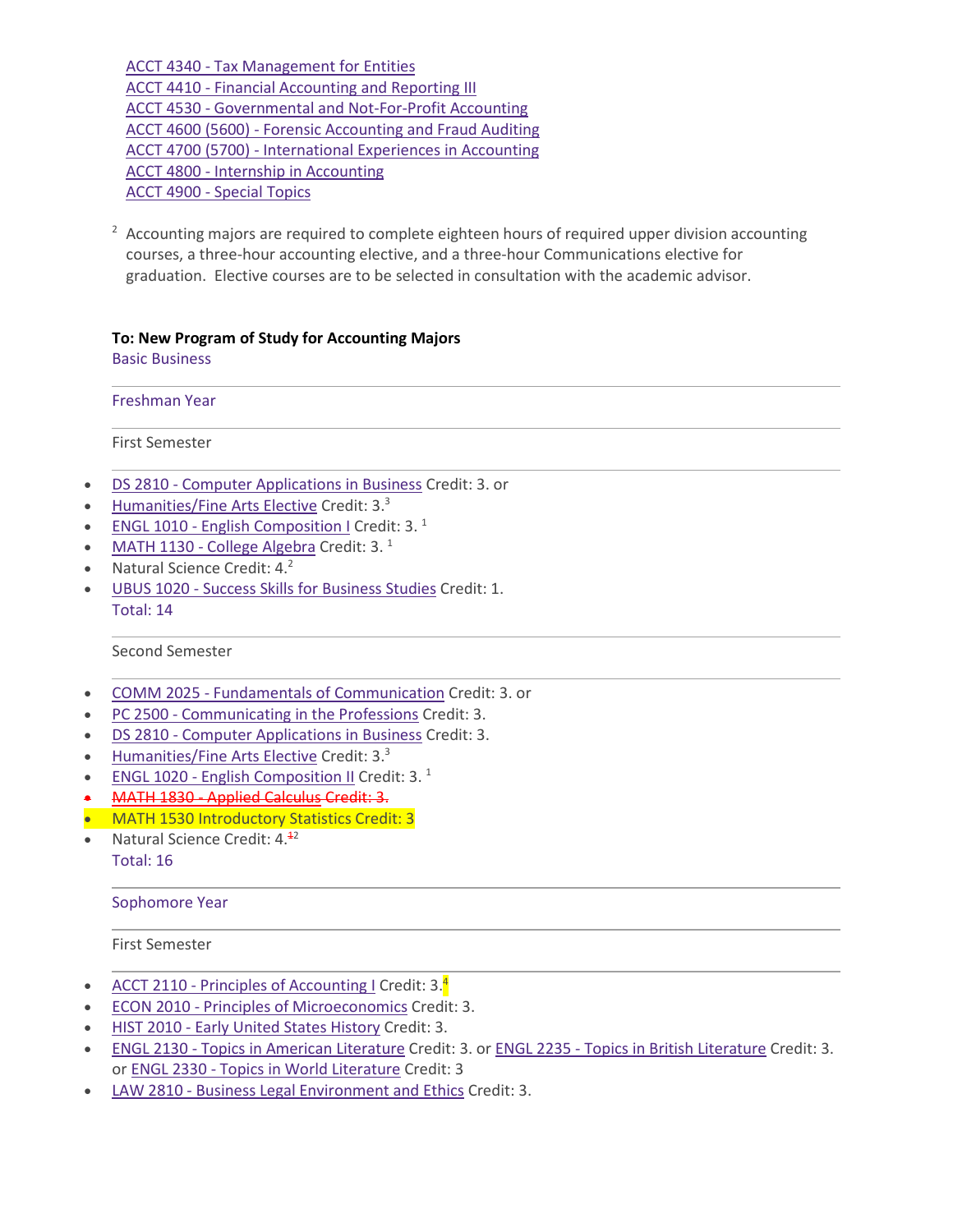ACCT 4340 - Tax [Management](https://catalog.tntech.edu/preview_program.php?catoid=29&poid=3545&returnto=5920#tt3062) for Entities ACCT 4410 - Financial [Accounting](https://catalog.tntech.edu/preview_program.php?catoid=29&poid=3545&returnto=5920#tt8593) and Reporting III ACCT 4530 - [Governmental](https://catalog.tntech.edu/preview_program.php?catoid=29&poid=3545&returnto=5920#tt4354) and Not-For-Profit Accounting ACCT 4600 (5600) - Forensic [Accounting](https://catalog.tntech.edu/preview_program.php?catoid=29&poid=3545&returnto=5920#tt9683) and Fraud Auditing ACCT 4700 (5700) - [International](https://catalog.tntech.edu/preview_program.php?catoid=29&poid=3545&returnto=5920#tt4329) Experiences in Accounting ACCT 4800 - Internship in [Accounting](https://catalog.tntech.edu/preview_program.php?catoid=29&poid=3545&returnto=5920#tt8191) ACCT 4900 - [Special](https://catalog.tntech.edu/preview_program.php?catoid=29&poid=3545&returnto=5920#tt4454) Topics

 $2\,$  Accounting majors are required to complete eighteen hours of required upper division accounting courses, a three-hour accounting elective, and a three-hour Communications elective for graduation. Elective courses are to be selected in consultation with the academic advisor.

#### **To: New Program of Study for Accounting Majors** Basic Business

Freshman Year

First Semester

- DS 2810 Computer [Applications](https://catalog.tntech.edu/preview_program.php?catoid=29&poid=3545&returnto=5920) in Business Credit: 3. or
- **[Humanities/Fine](https://catalog.tntech.edu/content.php?catoid=29&navoid=5957#Humanities_and_or_Fine_Arts) Arts Elective Credit: 3.3**
- ENGL 1010 English [Composition](https://catalog.tntech.edu/preview_program.php?catoid=29&poid=3545&returnto=5920) I Credit: 3.<sup>1</sup>
- MATH 1130 College [Algebra](https://catalog.tntech.edu/preview_program.php?catoid=29&poid=3545&returnto=5920) Credit:  $3.1$
- Natural Science Credit:  $4.^2$
- UBUS 1020 Success Skills for [Business](https://catalog.tntech.edu/preview_program.php?catoid=29&poid=3545&returnto=5920) Studies Credit: 1. Total: 14

### Second Semester

- COMM 2025 Fundamentals of [Communication](https://catalog.tntech.edu/preview_program.php?catoid=29&poid=3545&returnto=5920) Credit: 3. or
- PC 2500 [Communicating](https://catalog.tntech.edu/preview_program.php?catoid=29&poid=3545&returnto=5920) in the Professions Credit: 3.
- DS 2810 Computer [Applications](https://catalog.tntech.edu/preview_program.php?catoid=29&poid=3545&returnto=5920) in Business Credit: 3.
- [Humanities/Fine](https://catalog.tntech.edu/content.php?catoid=29&navoid=5957#Humanities_and_or_Fine_Arts) Arts Elective Credit: 3.<sup>3</sup>
- ENGL 1020 English [Composition](https://catalog.tntech.edu/preview_program.php?catoid=29&poid=3545&returnto=5920) II Credit: 3. $<sup>1</sup>$ </sup>
- MATH 1830 Applied [Calculus](https://catalog.tntech.edu/preview_program.php?catoid=29&poid=3545&returnto=5920) Credit: 3.
- MATH 1530 Introductory Statistics Credit: 3
- Natural Science Credit:  $4.42$
- Total: 16

#### Sophomore Year

First Semester

- ACCT 2110 Principles of [Accounting](https://catalog.tntech.edu/preview_program.php?catoid=29&poid=3545&returnto=5920) I Credit: 3.<sup>4</sup>
- ECON 2010 Principles of [Microeconomics](https://catalog.tntech.edu/preview_program.php?catoid=29&poid=3545&returnto=5920) Credit: 3.
- HIST 2010 Early United States [History](https://catalog.tntech.edu/preview_program.php?catoid=29&poid=3545&returnto=5920) Credit: 3.
- ENGL 2130 Topics in American [Literature](https://catalog.tntech.edu/preview_program.php?catoid=29&poid=3545&returnto=5920) Credit: 3. or ENGL 2235 Topics in British [Literature](https://catalog.tntech.edu/preview_program.php?catoid=29&poid=3545&returnto=5920) Credit: 3. or ENGL 2330 - Topics in World [Literature](https://catalog.tntech.edu/preview_program.php?catoid=29&poid=3545&returnto=5920) Credit: 3
- LAW 2810 Business Legal [Environment](https://catalog.tntech.edu/preview_program.php?catoid=29&poid=3545&returnto=5920) and Ethics Credit: 3.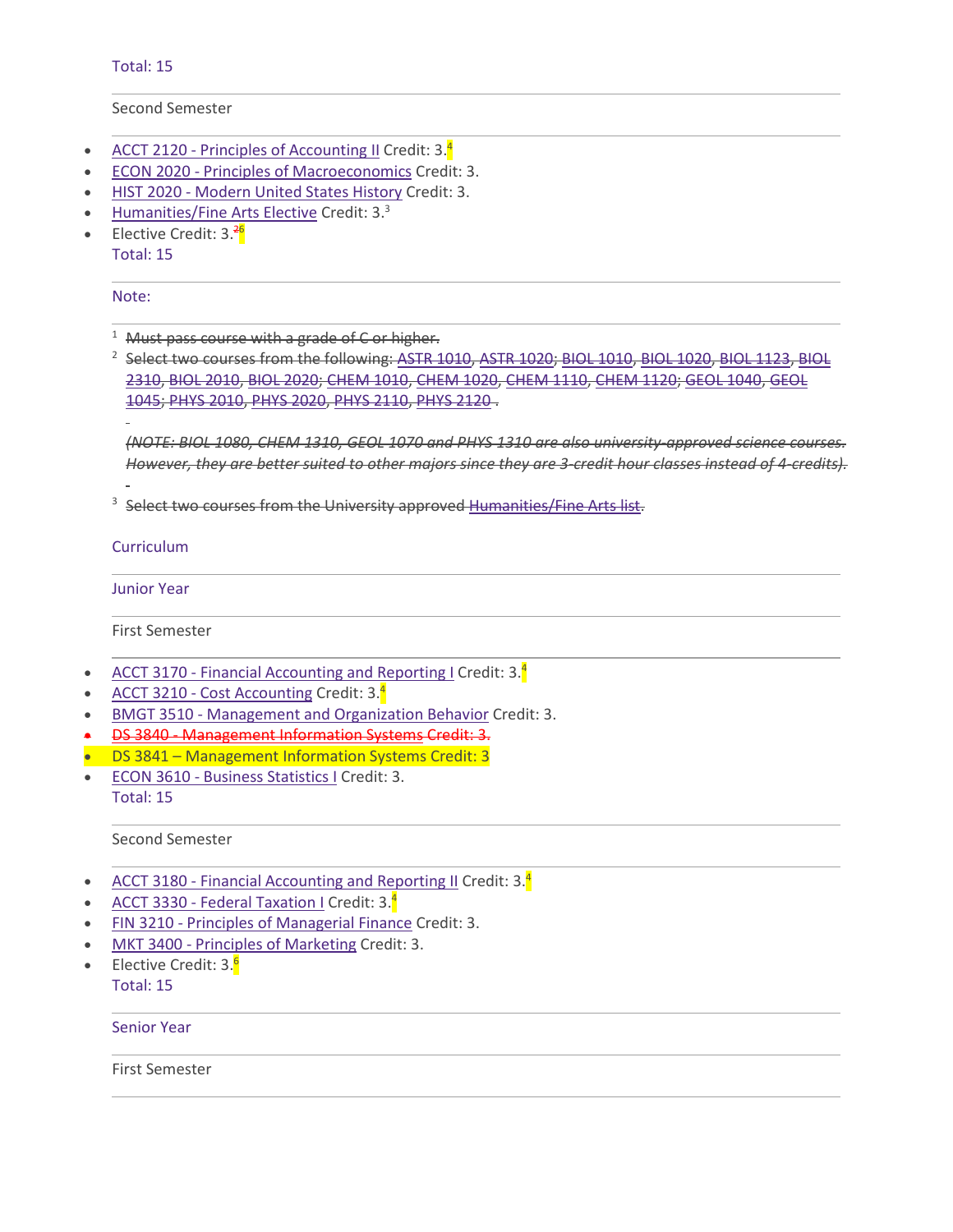Total: 15

Second Semester

- ACCT 2120 Principles of [Accounting](https://catalog.tntech.edu/preview_program.php?catoid=29&poid=3545&returnto=5920) II Credit:  $3.\frac{4}{3}$
- ECON 2020 Principles of [Macroeconomics](https://catalog.tntech.edu/preview_program.php?catoid=29&poid=3545&returnto=5920) Credit: 3.
- HIST 2020 [Modern](https://catalog.tntech.edu/preview_program.php?catoid=29&poid=3545&returnto=5920) United States History Credit: 3.
- [Humanities/Fine](https://catalog.tntech.edu/content.php?catoid=29&navoid=5957#Humanities_and_or_Fine_Arts) Arts Elective Credit: 3.3
- Elective Credit: 3.<sup>26</sup>

Total: 15

Note:

<sup>1</sup> Must pass course with a grade of C or higher.

<sup>2</sup> Select two courses from the following: ASTR [1010,](https://catalog.tntech.edu/preview_program.php?catoid=29&poid=3545&returnto=5920#tt2109) ASTR [1020;](https://catalog.tntech.edu/preview_program.php?catoid=29&poid=3545&returnto=5920#tt9501) BIOL 1010, BIOL [1020,](https://catalog.tntech.edu/preview_program.php?catoid=29&poid=3545&returnto=5920#tt7131) BIOL [1123,](https://catalog.tntech.edu/preview_program.php?catoid=29&poid=3545&returnto=5920#tt3080) [BIOL](https://catalog.tntech.edu/preview_program.php?catoid=29&poid=3545&returnto=5920#tt8041) [2310,](https://catalog.tntech.edu/preview_program.php?catoid=29&poid=3545&returnto=5920#tt8041) BIOL [2010,](https://catalog.tntech.edu/preview_program.php?catoid=29&poid=3545&returnto=5920#tt3659) BIOL [2020;](https://catalog.tntech.edu/preview_program.php?catoid=29&poid=3545&returnto=5920#tt5701) [CHEM](https://catalog.tntech.edu/preview_program.php?catoid=29&poid=3545&returnto=5920#tt3056) 1010, [CHEM](https://catalog.tntech.edu/preview_program.php?catoid=29&poid=3545&returnto=5920#tt8509) 1020, [CHEM](https://catalog.tntech.edu/preview_program.php?catoid=29&poid=3545&returnto=5920#tt9762) 1110, [CHEM](https://catalog.tntech.edu/preview_program.php?catoid=29&poid=3545&returnto=5920#tt6633) 1120; GEOL [1040,](https://catalog.tntech.edu/preview_program.php?catoid=29&poid=3545&returnto=5920#tt8184) [GEOL](https://catalog.tntech.edu/preview_program.php?catoid=29&poid=3545&returnto=5920#tt5860) [1045;](https://catalog.tntech.edu/preview_program.php?catoid=29&poid=3545&returnto=5920#tt5860) PHYS [2010,](https://catalog.tntech.edu/preview_program.php?catoid=29&poid=3545&returnto=5920#tt8116) PHYS [2020,](https://catalog.tntech.edu/preview_program.php?catoid=29&poid=3545&returnto=5920#tt9265) PHYS [2110,](https://catalog.tntech.edu/preview_program.php?catoid=29&poid=3545&returnto=5920#tt6306) [PHYS](https://catalog.tntech.edu/preview_program.php?catoid=29&poid=3545&returnto=5920#tt7809) 2120 .

*(NOTE: BIOL 1080, CHEM 1310, GEOL 1070 and PHYS 1310 are also university-approved science courses.* However, they are better suited to other majors since they are 3-credit hour classes instead of 4-credits).

<sup>3</sup> Select two courses from the University approved [Humanities/Fine](https://catalog.tntech.edu/content.php?catoid=29&navoid=5957#Humanities_and_or_Fine_Arts) Arts list.

Curriculum

Junior Year

First Semester

- ACCT 3170 Financial [Accounting](https://catalog.tntech.edu/preview_program.php?catoid=29&poid=3545&returnto=5920) and Reporting I Credit: 3.<sup>4</sup>
- ACCT 3210 Cost [Accounting](https://catalog.tntech.edu/preview_program.php?catoid=29&poid=3545&returnto=5920) Credit: 3.<sup>4</sup>
- BMGT 3510 [Management](https://catalog.tntech.edu/preview_program.php?catoid=29&poid=3545&returnto=5920) and Organization Behavior Credit: 3.
- DS 3840 [Management](https://catalog.tntech.edu/preview_program.php?catoid=29&poid=3545&returnto=5920) Information Systems Credit: 3.
- DS 3841 Management Information Systems Credit: 3
- ECON 3610 Business [Statistics](https://catalog.tntech.edu/preview_program.php?catoid=29&poid=3545&returnto=5920) I Credit: 3. Total: 15

Second Semester

- **ACCT 3180 Financial [Accounting](https://catalog.tntech.edu/preview_program.php?catoid=29&poid=3545&returnto=5920) and Reporting II Credit: 3.**<sup>4</sup>
- **ACCT 3330 Federal [Taxation](https://catalog.tntech.edu/preview_program.php?catoid=29&poid=3545&returnto=5920) I Credit: 3.4**
- FIN 3210 Principles of [Managerial](https://catalog.tntech.edu/preview_program.php?catoid=29&poid=3545&returnto=5920) Finance Credit: 3.
- MKT 3400 Principles of [Marketing](https://catalog.tntech.edu/preview_program.php?catoid=29&poid=3545&returnto=5920) Credit: 3.
- Elective Credit: 3.<sup>6</sup>

Total: 15

Senior Year

First Semester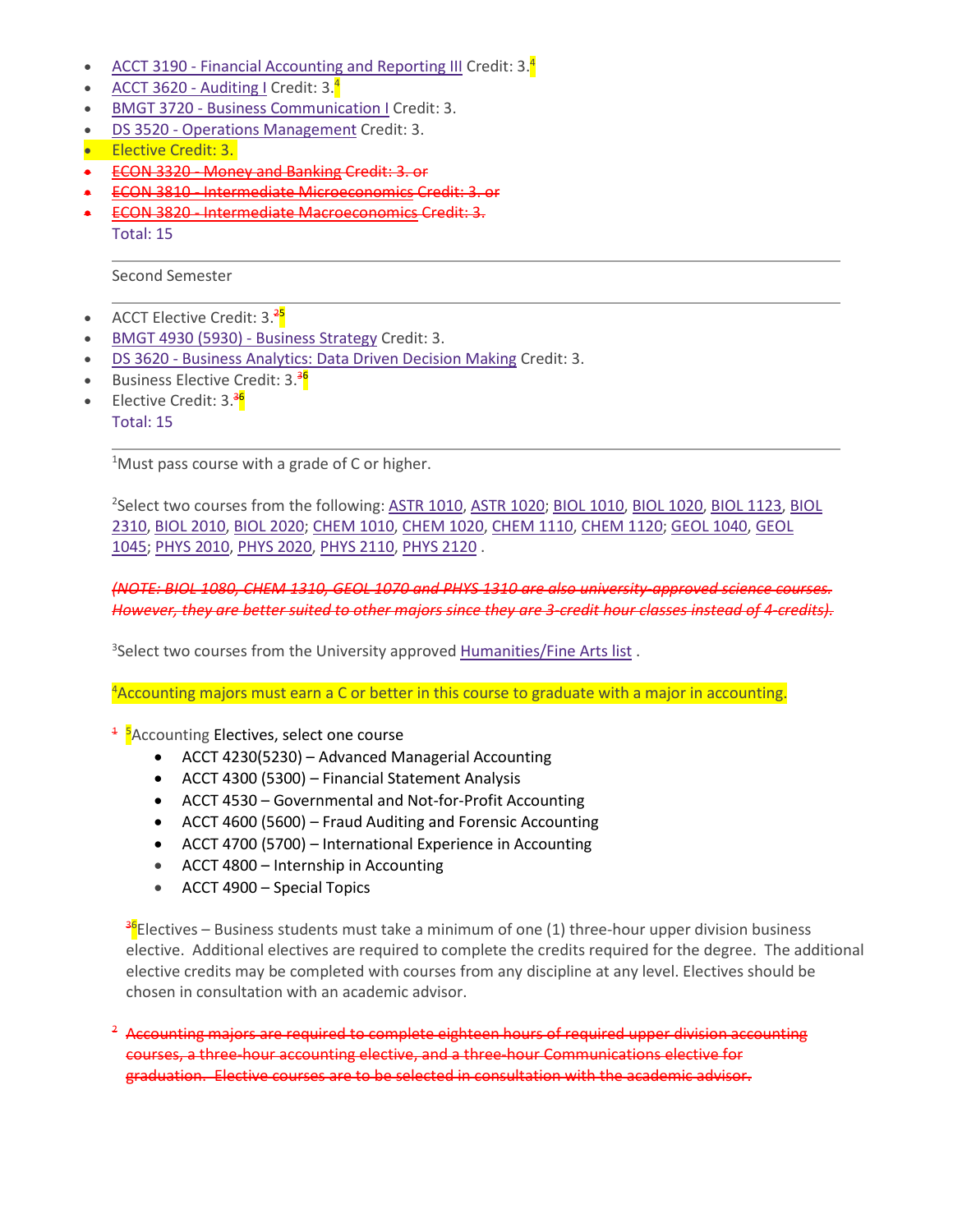- ACCT 3190 Financial [Accounting](https://catalog.tntech.edu/preview_program.php?catoid=29&poid=3545&returnto=5920) and Reporting III Credit: 3.<sup>4</sup>
- ACCT 3620 [Auditing](https://catalog.tntech.edu/preview_program.php?catoid=29&poid=3545&returnto=5920) I Credit:  $3.\frac{4}{7}$
- **BMGT 3720 Business [Communication](https://catalog.tntech.edu/preview_program.php?catoid=29&poid=3545&returnto=5920) I Credit: 3.**
- DS 3520 Operations [Management](https://catalog.tntech.edu/preview_program.php?catoid=29&poid=3545&returnto=5920) Credit: 3.
- Elective Credit: 3.
- ECON 3320 Money and [Banking](https://catalog.tntech.edu/preview_program.php?catoid=29&poid=3545&returnto=5920) Credit: 3. or
- ECON 3810 Intermediate [Microeconomics](https://catalog.tntech.edu/preview_program.php?catoid=29&poid=3545&returnto=5920) Credit: 3. or
- ECON 3820 Intermediate [Macroeconomics](https://catalog.tntech.edu/preview_program.php?catoid=29&poid=3545&returnto=5920) Credit: 3. Total: 15

Second Semester

- ACCT Elective Credit: 3.<sup>25</sup>
- BMGT 4930 (5930) [Business](https://catalog.tntech.edu/preview_program.php?catoid=29&poid=3545&returnto=5920) Strategy Credit: 3.
- DS 3620 Business [Analytics:](https://catalog.tntech.edu/preview_program.php?catoid=29&poid=3545&returnto=5920) Data Driven Decision Making Credit: 3.
- Business Elective Credit: 3.<sup>36</sup>
- Elective Credit: 3.<sup>36</sup>
	- Total: 15

<sup>1</sup>Must pass course with a grade of C or higher.

<sup>2</sup>Select two courses from the following: <u>ASTR 1010</u>, <u>ASTR 1020</u>; <u>BIOL [1010,](https://catalog.tntech.edu/preview_program.php?catoid=29&poid=3545&returnto=5920#tt2109) BIOL 1020</u>, <u>BIOL [1123,](https://catalog.tntech.edu/preview_program.php?catoid=29&poid=3545&returnto=5920#tt3080) [BIOL](https://catalog.tntech.edu/preview_program.php?catoid=29&poid=3545&returnto=5920#tt8041)</u> [2310,](https://catalog.tntech.edu/preview_program.php?catoid=29&poid=3545&returnto=5920#tt8041) BIOL [2010,](https://catalog.tntech.edu/preview_program.php?catoid=29&poid=3545&returnto=5920#tt3659) BIOL [2020;](https://catalog.tntech.edu/preview_program.php?catoid=29&poid=3545&returnto=5920#tt5701) [CHEM](https://catalog.tntech.edu/preview_program.php?catoid=29&poid=3545&returnto=5920#tt3056) 1010, [CHEM](https://catalog.tntech.edu/preview_program.php?catoid=29&poid=3545&returnto=5920#tt8509) 1020, [CHEM](https://catalog.tntech.edu/preview_program.php?catoid=29&poid=3545&returnto=5920#tt9762) 1110, [CHEM](https://catalog.tntech.edu/preview_program.php?catoid=29&poid=3545&returnto=5920#tt6633) 1120; GEOL [1040,](https://catalog.tntech.edu/preview_program.php?catoid=29&poid=3545&returnto=5920#tt8184) [GEOL](https://catalog.tntech.edu/preview_program.php?catoid=29&poid=3545&returnto=5920#tt5860) [1045;](https://catalog.tntech.edu/preview_program.php?catoid=29&poid=3545&returnto=5920#tt5860) PHYS [2010,](https://catalog.tntech.edu/preview_program.php?catoid=29&poid=3545&returnto=5920#tt8116) PHYS [2020,](https://catalog.tntech.edu/preview_program.php?catoid=29&poid=3545&returnto=5920#tt9265) PHYS [2110,](https://catalog.tntech.edu/preview_program.php?catoid=29&poid=3545&returnto=5920#tt6306) [PHYS](https://catalog.tntech.edu/preview_program.php?catoid=29&poid=3545&returnto=5920#tt7809) 2120 .

*(NOTE: BIOL 1080, CHEM 1310, GEOL 1070 and PHYS 1310 are also university-approved science courses.* However, they are better suited to other majors since they are 3-credit hour classes instead of 4-credits).

<sup>3</sup>Select two courses from the University approved **[Humanities/Fine](https://catalog.tntech.edu/content.php?catoid=29&navoid=5957#Humanities_and_or_Fine_Arts) Arts list**.

<sup>4</sup>Accounting majors must earn a C or better in this course to graduate with a major in accounting.

- <sup>1</sup> <sup>5</sup>Accounting Electives, select one course
	- ACCT 4230(5230) Advanced Managerial Accounting
	- ACCT 4300 (5300) Financial Statement Analysis
	- ACCT 4530 Governmental and Not-for-Profit Accounting
	- ACCT 4600 (5600) Fraud Auditing and Forensic Accounting
	- ACCT 4700 (5700) International Experience in Accounting
	- ACCT 4800 Internship in Accounting
	- ACCT 4900 Special Topics

<sup>36</sup>Electives – Business students must take a minimum of one (1) three-hour upper division business elective. Additional electives are required to complete the credits required for the degree. The additional elective credits may be completed with courses from any discipline at any level. Electives should be chosen in consultation with an academic advisor.

<sup>2</sup> Accounting majors are required to complete eighteen hours of required upper division accounting courses, a three-hour accounting elective, and a three-hour Communications elective for graduation. Elective courses are to be selected in consultation with the academic advisor.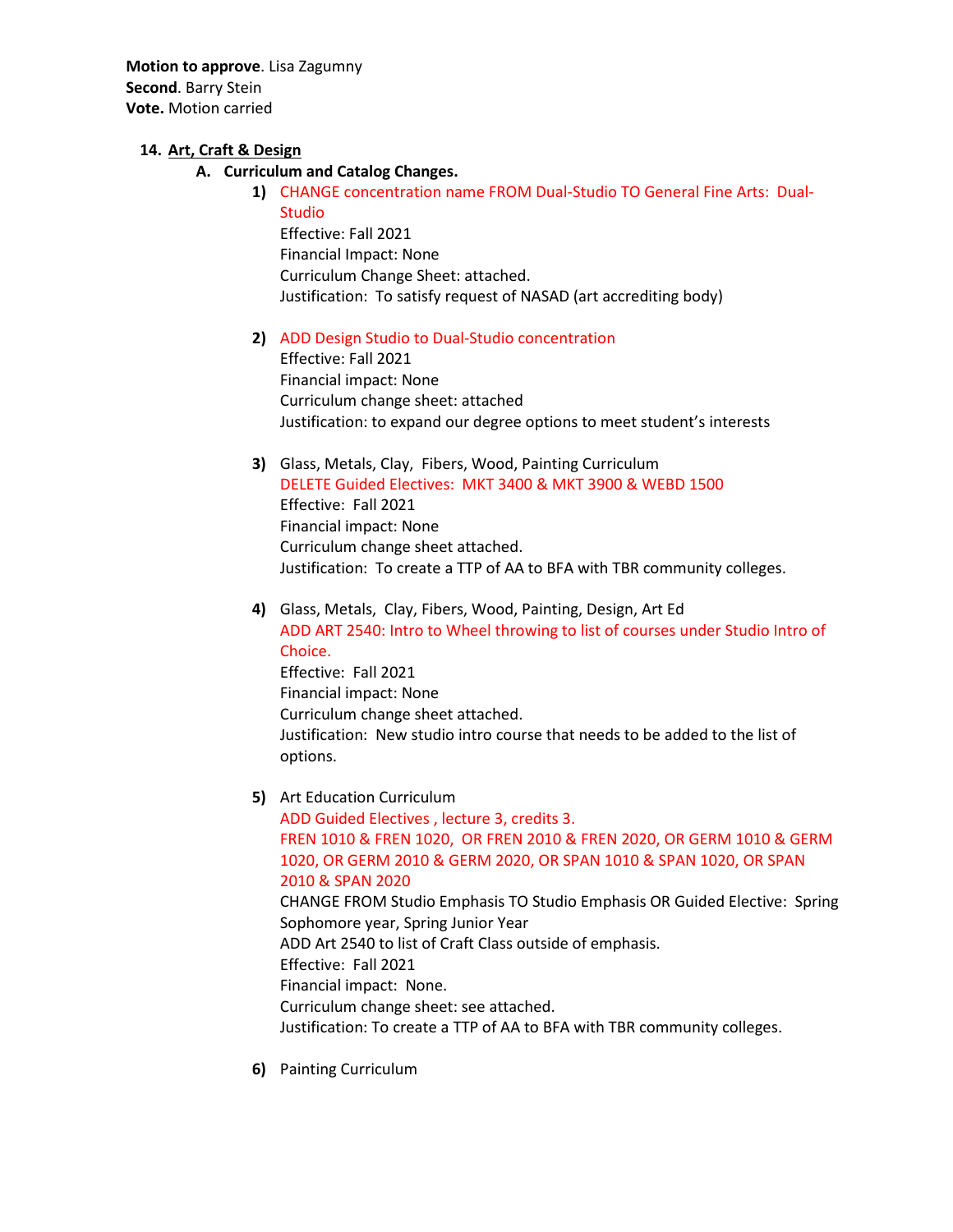**Motion to approve**. Lisa Zagumny **Second**. Barry Stein **Vote.** Motion carried

## **14. Art, Craft & Design**

- **A. Curriculum and Catalog Changes.** 
	- **1)** CHANGE concentration name FROM Dual-Studio TO General Fine Arts: Dual-Studio

Effective: Fall 2021 Financial Impact: None Curriculum Change Sheet: attached. Justification: To satisfy request of NASAD (art accrediting body)

## **2)** ADD Design Studio to Dual-Studio concentration

Effective: Fall 2021 Financial impact: None Curriculum change sheet: attached Justification: to expand our degree options to meet student's interests

**3)** Glass, Metals, Clay, Fibers, Wood, Painting Curriculum

DELETE Guided Electives: MKT 3400 & MKT 3900 & WEBD 1500 Effective: Fall 2021 Financial impact: None Curriculum change sheet attached. Justification: To create a TTP of AA to BFA with TBR community colleges.

- **4)** Glass, Metals, Clay, Fibers, Wood, Painting, Design, Art Ed ADD ART 2540: Intro to Wheel throwing to list of courses under Studio Intro of Choice. Effective: Fall 2021 Financial impact: None Curriculum change sheet attached. Justification: New studio intro course that needs to be added to the list of options.
- **5)** Art Education Curriculum ADD Guided Electives , lecture 3, credits 3. FREN 1010 & FREN 1020, OR FREN 2010 & FREN 2020, OR GERM 1010 & GERM 1020, OR GERM 2010 & GERM 2020, OR SPAN 1010 & SPAN 1020, OR SPAN 2010 & SPAN 2020 CHANGE FROM Studio Emphasis TO Studio Emphasis OR Guided Elective: Spring Sophomore year, Spring Junior Year ADD Art 2540 to list of Craft Class outside of emphasis. Effective: Fall 2021 Financial impact: None. Curriculum change sheet: see attached. Justification: To create a TTP of AA to BFA with TBR community colleges.
- **6)** Painting Curriculum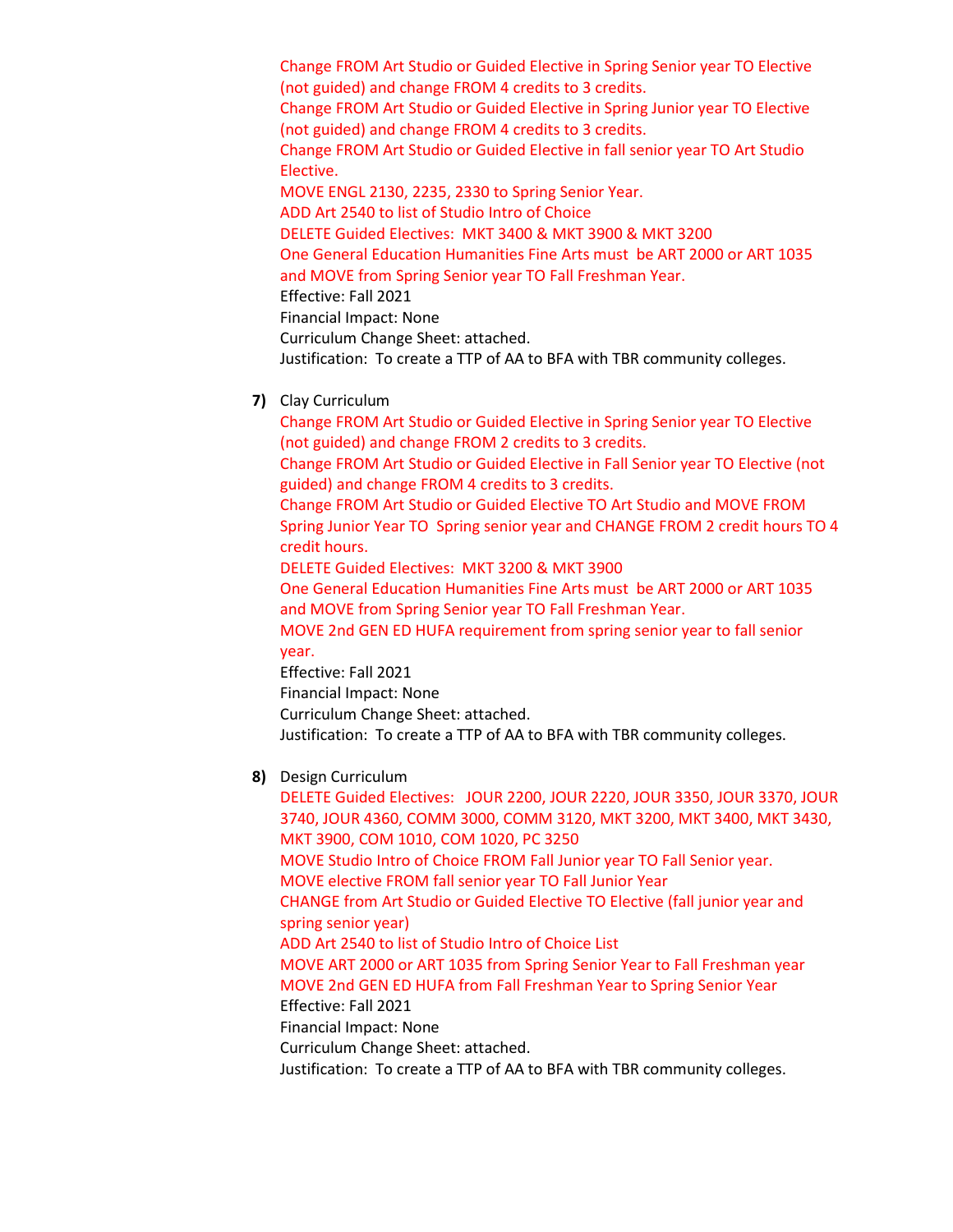Change FROM Art Studio or Guided Elective in Spring Senior year TO Elective (not guided) and change FROM 4 credits to 3 credits. Change FROM Art Studio or Guided Elective in Spring Junior year TO Elective (not guided) and change FROM 4 credits to 3 credits. Change FROM Art Studio or Guided Elective in fall senior year TO Art Studio Elective. MOVE ENGL 2130, 2235, 2330 to Spring Senior Year. ADD Art 2540 to list of Studio Intro of Choice DELETE Guided Electives: MKT 3400 & MKT 3900 & MKT 3200 One General Education Humanities Fine Arts must be ART 2000 or ART 1035 and MOVE from Spring Senior year TO Fall Freshman Year. Effective: Fall 2021 Financial Impact: None Curriculum Change Sheet: attached. Justification: To create a TTP of AA to BFA with TBR community colleges.

**7)** Clay Curriculum

Change FROM Art Studio or Guided Elective in Spring Senior year TO Elective (not guided) and change FROM 2 credits to 3 credits.

Change FROM Art Studio or Guided Elective in Fall Senior year TO Elective (not guided) and change FROM 4 credits to 3 credits.

Change FROM Art Studio or Guided Elective TO Art Studio and MOVE FROM Spring Junior Year TO Spring senior year and CHANGE FROM 2 credit hours TO 4 credit hours.

DELETE Guided Electives: MKT 3200 & MKT 3900

One General Education Humanities Fine Arts must be ART 2000 or ART 1035 and MOVE from Spring Senior year TO Fall Freshman Year.

MOVE 2nd GEN ED HUFA requirement from spring senior year to fall senior year.

Effective: Fall 2021 Financial Impact: None Curriculum Change Sheet: attached. Justification: To create a TTP of AA to BFA with TBR community colleges.

**8)** Design Curriculum

DELETE Guided Electives: JOUR 2200, JOUR 2220, JOUR 3350, JOUR 3370, JOUR 3740, JOUR 4360, COMM 3000, COMM 3120, MKT 3200, MKT 3400, MKT 3430, MKT 3900, COM 1010, COM 1020, PC 3250 MOVE Studio Intro of Choice FROM Fall Junior year TO Fall Senior year. MOVE elective FROM fall senior year TO Fall Junior Year CHANGE from Art Studio or Guided Elective TO Elective (fall junior year and spring senior year) ADD Art 2540 to list of Studio Intro of Choice List MOVE ART 2000 or ART 1035 from Spring Senior Year to Fall Freshman year MOVE 2nd GEN ED HUFA from Fall Freshman Year to Spring Senior Year Effective: Fall 2021 Financial Impact: None Curriculum Change Sheet: attached. Justification: To create a TTP of AA to BFA with TBR community colleges.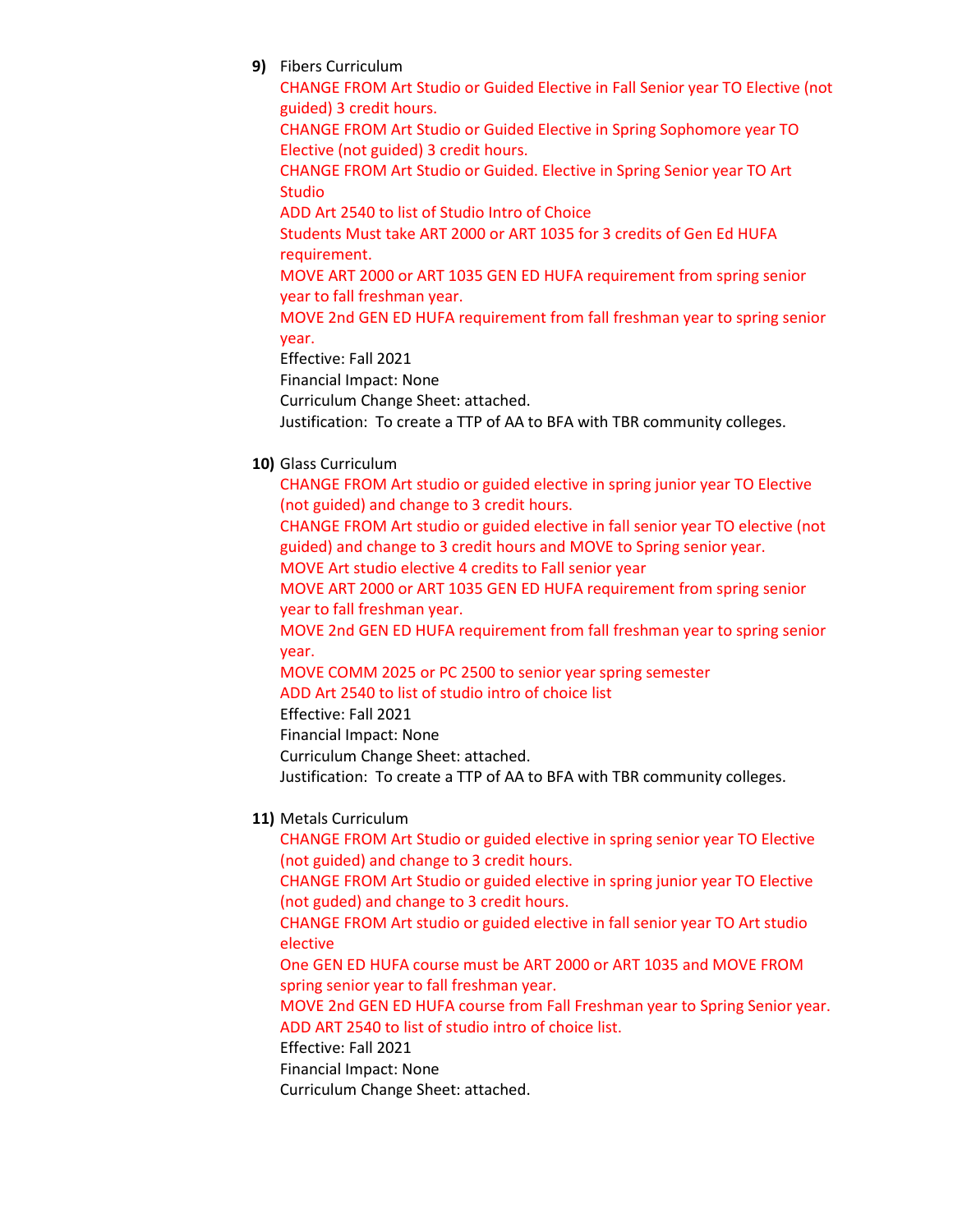**9)** Fibers Curriculum

CHANGE FROM Art Studio or Guided Elective in Fall Senior year TO Elective (not guided) 3 credit hours. CHANGE FROM Art Studio or Guided Elective in Spring Sophomore year TO Elective (not guided) 3 credit hours. CHANGE FROM Art Studio or Guided. Elective in Spring Senior year TO Art **Studio** ADD Art 2540 to list of Studio Intro of Choice Students Must take ART 2000 or ART 1035 for 3 credits of Gen Ed HUFA requirement. MOVE ART 2000 or ART 1035 GEN ED HUFA requirement from spring senior year to fall freshman year.

MOVE 2nd GEN ED HUFA requirement from fall freshman year to spring senior year.

Effective: Fall 2021

Financial Impact: None

Curriculum Change Sheet: attached.

Justification: To create a TTP of AA to BFA with TBR community colleges.

**10)** Glass Curriculum

CHANGE FROM Art studio or guided elective in spring junior year TO Elective (not guided) and change to 3 credit hours.

CHANGE FROM Art studio or guided elective in fall senior year TO elective (not guided) and change to 3 credit hours and MOVE to Spring senior year. MOVE Art studio elective 4 credits to Fall senior year

MOVE ART 2000 or ART 1035 GEN ED HUFA requirement from spring senior year to fall freshman year.

MOVE 2nd GEN ED HUFA requirement from fall freshman year to spring senior year.

MOVE COMM 2025 or PC 2500 to senior year spring semester ADD Art 2540 to list of studio intro of choice list

Effective: Fall 2021

Financial Impact: None

Curriculum Change Sheet: attached.

Justification: To create a TTP of AA to BFA with TBR community colleges.

**11)** Metals Curriculum

CHANGE FROM Art Studio or guided elective in spring senior year TO Elective (not guided) and change to 3 credit hours.

CHANGE FROM Art Studio or guided elective in spring junior year TO Elective (not guded) and change to 3 credit hours.

CHANGE FROM Art studio or guided elective in fall senior year TO Art studio elective

One GEN ED HUFA course must be ART 2000 or ART 1035 and MOVE FROM spring senior year to fall freshman year.

MOVE 2nd GEN ED HUFA course from Fall Freshman year to Spring Senior year. ADD ART 2540 to list of studio intro of choice list.

Effective: Fall 2021 Financial Impact: None

Curriculum Change Sheet: attached.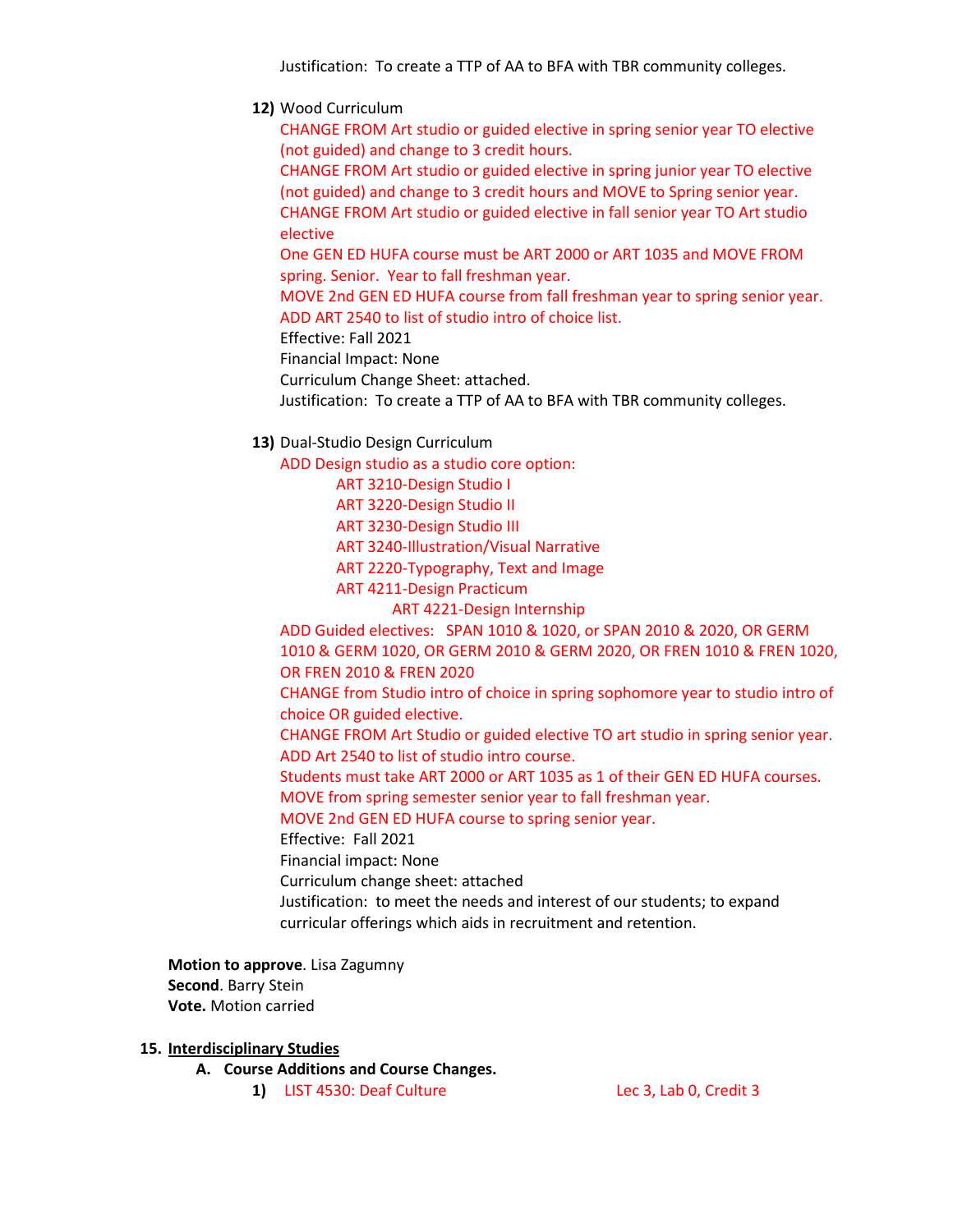Justification: To create a TTP of AA to BFA with TBR community colleges.

**12)** Wood Curriculum

CHANGE FROM Art studio or guided elective in spring senior year TO elective (not guided) and change to 3 credit hours.

CHANGE FROM Art studio or guided elective in spring junior year TO elective (not guided) and change to 3 credit hours and MOVE to Spring senior year. CHANGE FROM Art studio or guided elective in fall senior year TO Art studio elective

One GEN ED HUFA course must be ART 2000 or ART 1035 and MOVE FROM spring. Senior. Year to fall freshman year.

MOVE 2nd GEN ED HUFA course from fall freshman year to spring senior year. ADD ART 2540 to list of studio intro of choice list.

Effective: Fall 2021

Financial Impact: None

Curriculum Change Sheet: attached.

Justification: To create a TTP of AA to BFA with TBR community colleges.

**13)** Dual-Studio Design Curriculum

ADD Design studio as a studio core option:

ART 3210-Design Studio I ART 3220-Design Studio II ART 3230-Design Studio III ART 3240-Illustration/Visual Narrative ART 2220-Typography, Text and Image ART 4211-Design Practicum

ART 4221-Design Internship

ADD Guided electives: SPAN 1010 & 1020, or SPAN 2010 & 2020, OR GERM 1010 & GERM 1020, OR GERM 2010 & GERM 2020, OR FREN 1010 & FREN 1020, OR FREN 2010 & FREN 2020

CHANGE from Studio intro of choice in spring sophomore year to studio intro of choice OR guided elective.

CHANGE FROM Art Studio or guided elective TO art studio in spring senior year. ADD Art 2540 to list of studio intro course.

Students must take ART 2000 or ART 1035 as 1 of their GEN ED HUFA courses.

MOVE from spring semester senior year to fall freshman year.

MOVE 2nd GEN ED HUFA course to spring senior year.

Effective: Fall 2021

Financial impact: None

Curriculum change sheet: attached

Justification: to meet the needs and interest of our students; to expand curricular offerings which aids in recruitment and retention.

**Motion to approve**. Lisa Zagumny **Second**. Barry Stein **Vote.** Motion carried

**15. Interdisciplinary Studies**

**A. Course Additions and Course Changes.** 

**1)** LIST 4530: Deaf Culture Lec 3, Lab 0, Credit 3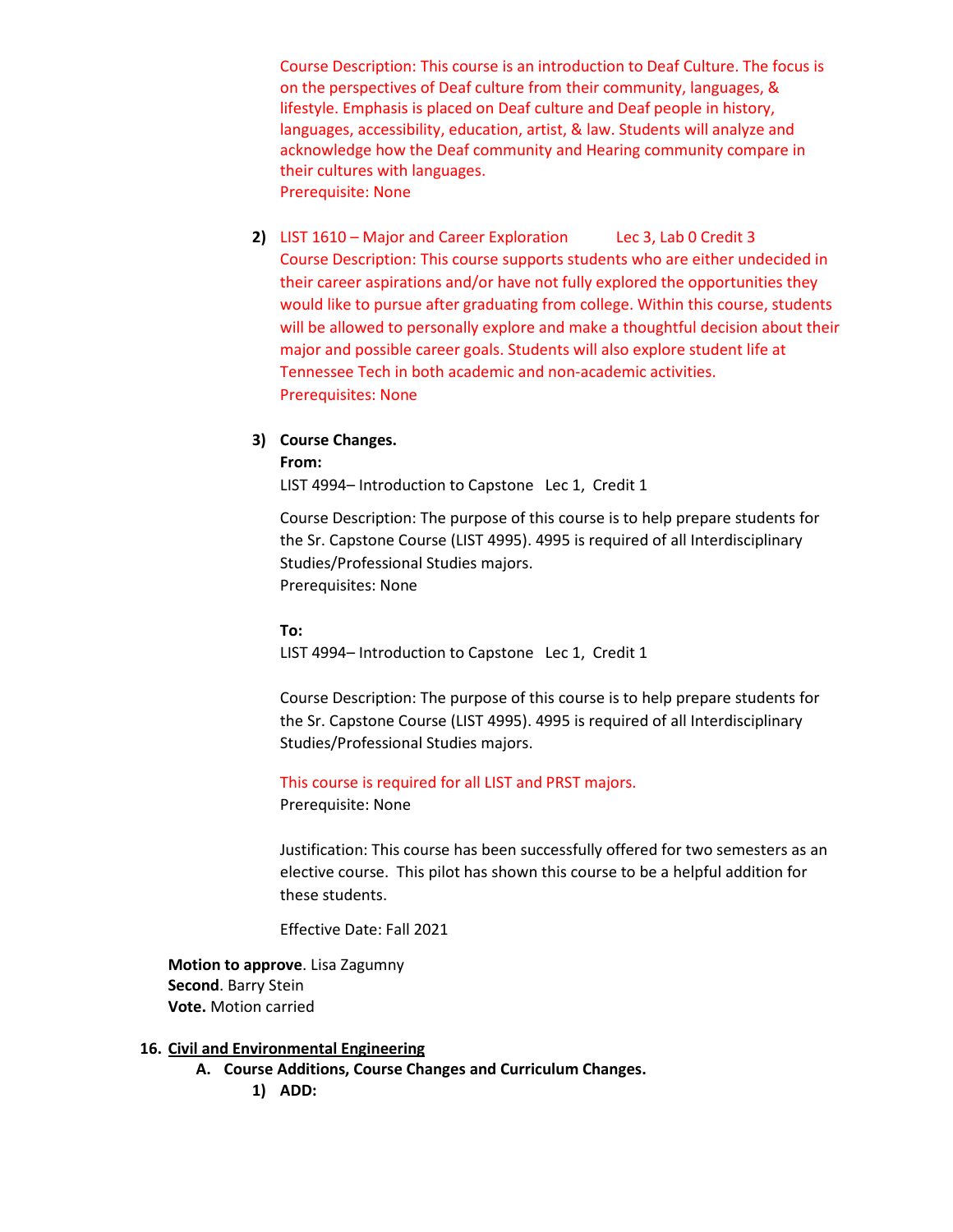Course Description: This course is an introduction to Deaf Culture. The focus is on the perspectives of Deaf culture from their community, languages, & lifestyle. Emphasis is placed on Deaf culture and Deaf people in history, languages, accessibility, education, artist, & law. Students will analyze and acknowledge how the Deaf community and Hearing community compare in their cultures with languages. Prerequisite: None

**2)** LIST 1610 – Major and Career Exploration Lec 3, Lab 0 Credit 3 Course Description: This course supports students who are either undecided in their career aspirations and/or have not fully explored the opportunities they would like to pursue after graduating from college. Within this course, students will be allowed to personally explore and make a thoughtful decision about their major and possible career goals. Students will also explore student life at Tennessee Tech in both academic and non-academic activities. Prerequisites: None

## **3) Course Changes.**

#### **From:**

LIST 4994– Introduction to Capstone Lec 1, Credit 1

Course Description: The purpose of this course is to help prepare students for the Sr. Capstone Course (LIST 4995). 4995 is required of all Interdisciplinary Studies/Professional Studies majors. Prerequisites: None

### **To:**

LIST 4994– Introduction to Capstone Lec 1, Credit 1

Course Description: The purpose of this course is to help prepare students for the Sr. Capstone Course (LIST 4995). 4995 is required of all Interdisciplinary Studies/Professional Studies majors.

This course is required for all LIST and PRST majors.

Prerequisite: None

Justification: This course has been successfully offered for two semesters as an elective course. This pilot has shown this course to be a helpful addition for these students.

Effective Date: Fall 2021

**Motion to approve**. Lisa Zagumny **Second**. Barry Stein **Vote.** Motion carried

### **16. Civil and Environmental Engineering**

- **A. Course Additions, Course Changes and Curriculum Changes.**
	- **1) ADD:**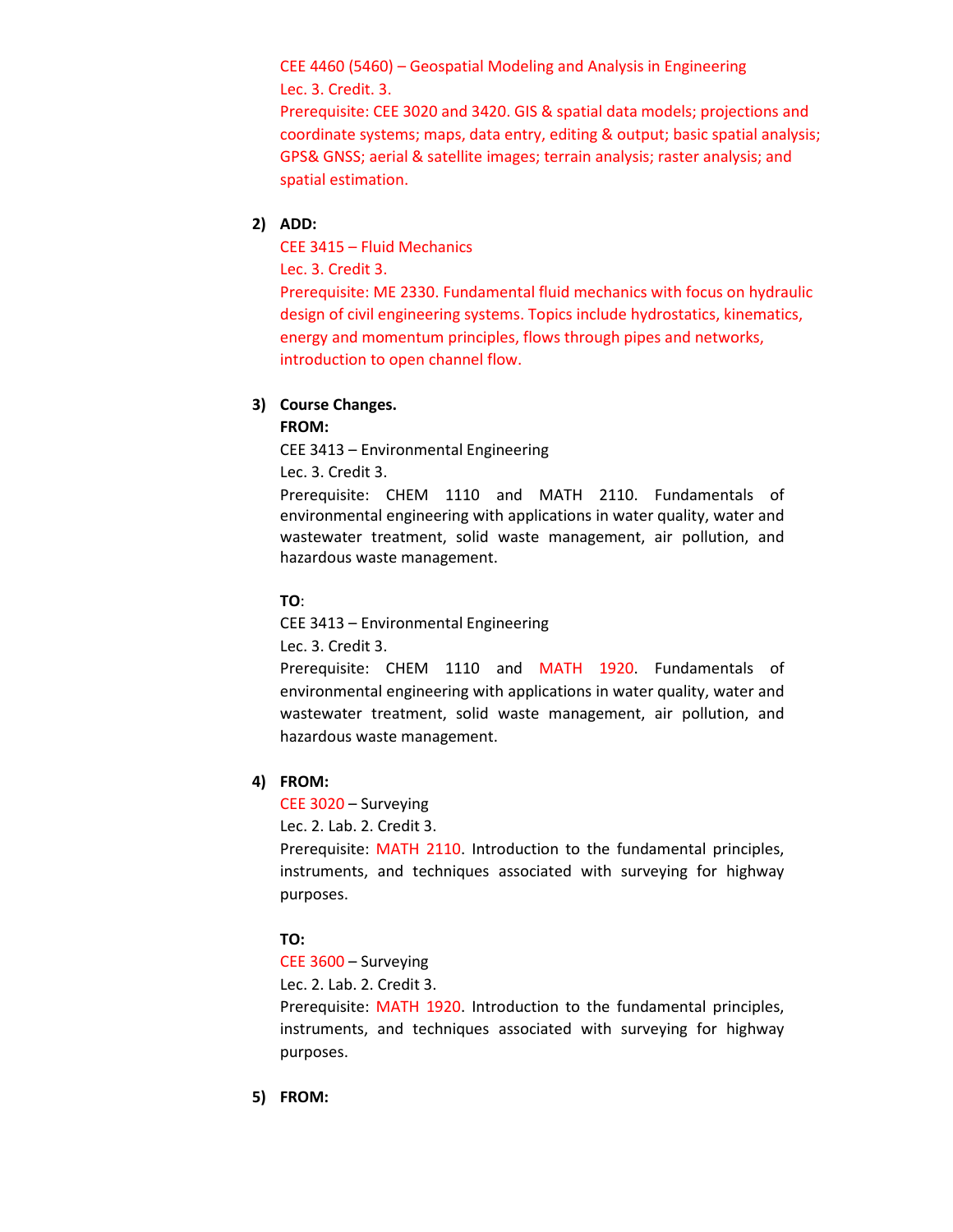CEE 4460 (5460) – Geospatial Modeling and Analysis in Engineering Lec. 3. Credit. 3.

Prerequisite: CEE 3020 and 3420. GIS & spatial data models; projections and coordinate systems; maps, data entry, editing & output; basic spatial analysis; GPS& GNSS; aerial & satellite images; terrain analysis; raster analysis; and spatial estimation.

## **2) ADD:**

CEE 3415 – Fluid Mechanics

Lec. 3. Credit 3.

Prerequisite: ME 2330. Fundamental fluid mechanics with focus on hydraulic design of civil engineering systems. Topics include hydrostatics, kinematics, energy and momentum principles, flows through pipes and networks, introduction to open channel flow.

## **3) Course Changes.**

**FROM:**

CEE 3413 – Environmental Engineering

Lec. 3. Credit 3.

Prerequisite: CHEM 1110 and MATH 2110. Fundamentals of environmental engineering with applications in water quality, water and wastewater treatment, solid waste management, air pollution, and hazardous waste management.

## **TO**:

CEE 3413 – Environmental Engineering

Lec. 3. Credit 3.

Prerequisite: CHEM 1110 and MATH 1920. Fundamentals of environmental engineering with applications in water quality, water and wastewater treatment, solid waste management, air pollution, and hazardous waste management.

## **4) FROM:**

CEE 3020 – Surveying

Lec. 2. Lab. 2. Credit 3.

Prerequisite: MATH 2110. Introduction to the fundamental principles, instruments, and techniques associated with surveying for highway purposes.

## **TO:**

CEE 3600 – Surveying

Lec. 2. Lab. 2. Credit 3.

Prerequisite: MATH 1920. Introduction to the fundamental principles, instruments, and techniques associated with surveying for highway purposes.

**5) FROM:**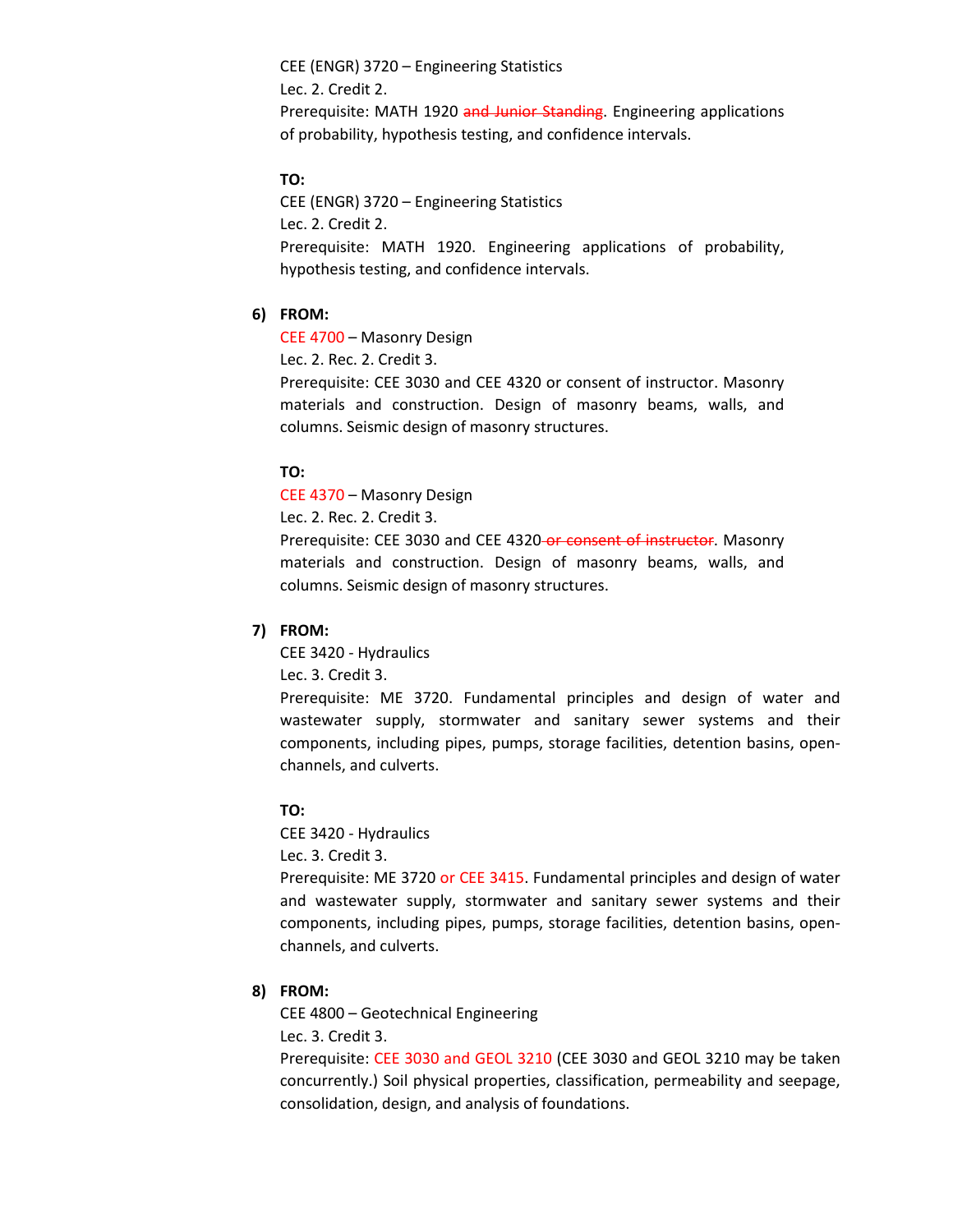CEE (ENGR) 3720 – Engineering Statistics Lec. 2. Credit 2. Prerequisite: MATH 1920 and Junior Standing. Engineering applications of probability, hypothesis testing, and confidence intervals.

### **TO:**

CEE (ENGR) 3720 – Engineering Statistics Lec. 2. Credit 2. Prerequisite: MATH 1920. Engineering applications of probability, hypothesis testing, and confidence intervals.

#### **6) FROM:**

CEE 4700 – Masonry Design

Lec. 2. Rec. 2. Credit 3.

Prerequisite: CEE 3030 and CEE 4320 or consent of instructor. Masonry materials and construction. Design of masonry beams, walls, and columns. Seismic design of masonry structures.

### **TO:**

CEE 4370 – Masonry Design

Lec. 2. Rec. 2. Credit 3.

Prerequisite: CEE 3030 and CEE 4320-or consent of instructor. Masonry materials and construction. Design of masonry beams, walls, and columns. Seismic design of masonry structures.

#### **7) FROM:**

CEE 3420 - Hydraulics

Lec. 3. Credit 3.

Prerequisite: ME 3720. Fundamental principles and design of water and wastewater supply, stormwater and sanitary sewer systems and their components, including pipes, pumps, storage facilities, detention basins, openchannels, and culverts.

### **TO:**

CEE 3420 - Hydraulics

Lec. 3. Credit 3.

Prerequisite: ME 3720 or CEE 3415. Fundamental principles and design of water and wastewater supply, stormwater and sanitary sewer systems and their components, including pipes, pumps, storage facilities, detention basins, openchannels, and culverts.

### **8) FROM:**

CEE 4800 – Geotechnical Engineering

Lec. 3. Credit 3.

Prerequisite: CEE 3030 and GEOL 3210 (CEE 3030 and GEOL 3210 may be taken concurrently.) Soil physical properties, classification, permeability and seepage, consolidation, design, and analysis of foundations.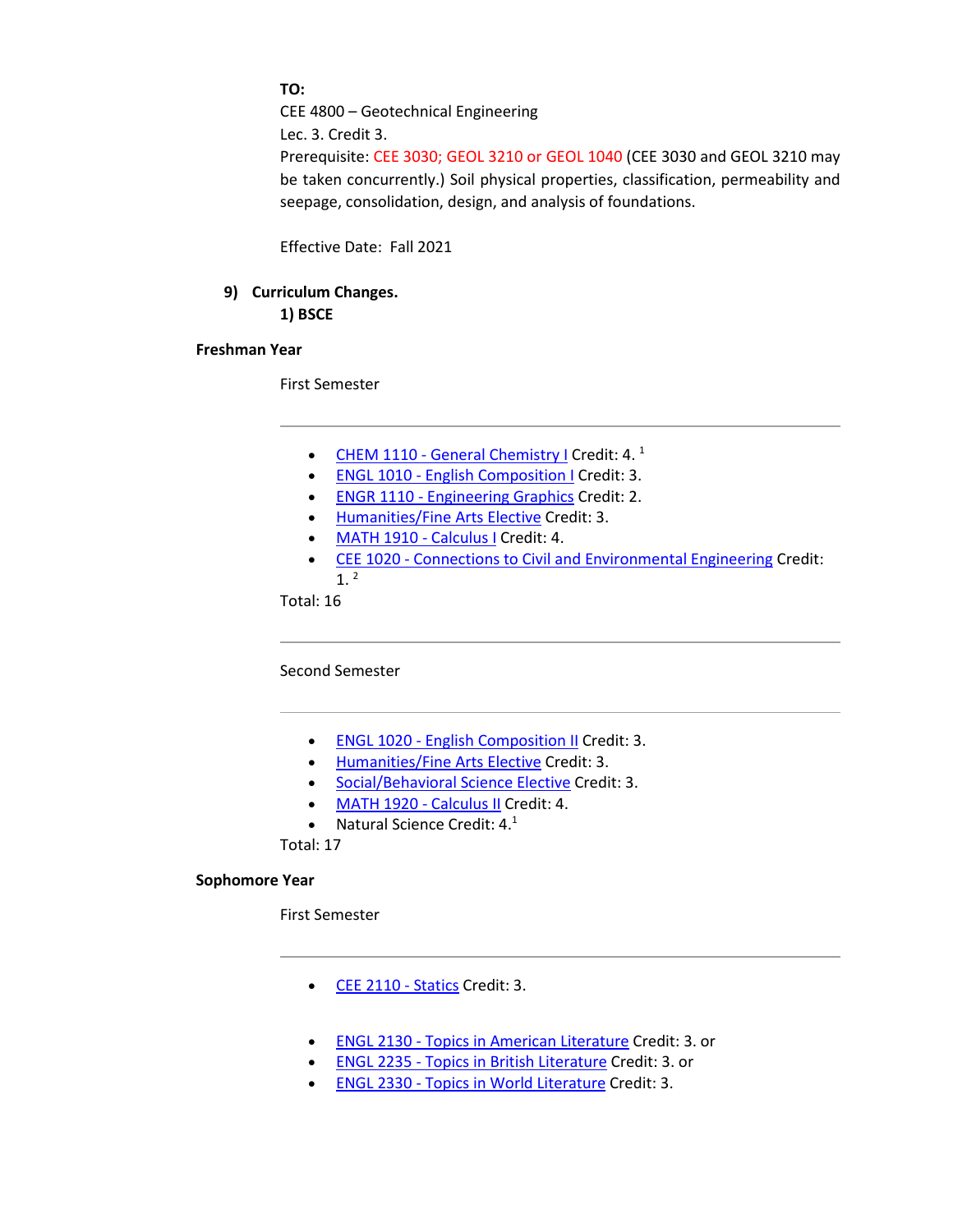**TO:**

CEE 4800 – Geotechnical Engineering

Lec. 3. Credit 3.

Prerequisite: CEE 3030; GEOL 3210 or GEOL 1040 (CEE 3030 and GEOL 3210 may be taken concurrently.) Soil physical properties, classification, permeability and seepage, consolidation, design, and analysis of foundations.

Effective Date: Fall 2021

# **9) Curriculum Changes.**

**1) BSCE**

## **Freshman Year**

First Semester

- CHEM 1110 [General Chemistry I](http://catalog.tntech.edu/preview_program.php?catoid=27&poid=3241&returnto=5394) Credit: 4. $<sup>1</sup>$ </sup>
- ENGL 1010 [English Composition I](http://catalog.tntech.edu/preview_program.php?catoid=27&poid=3241&returnto=5394) Credit: 3.
- ENGR 1110 [Engineering Graphics](http://catalog.tntech.edu/preview_program.php?catoid=27&poid=3241&returnto=5394) Credit: 2.
- [Humanities/Fine Arts Elective](http://catalog.tntech.edu/content.php?catoid=27&navoid=5438#Humanities_and_or_Fine_Arts) Credit: 3.
- [MATH 1910 -](http://catalog.tntech.edu/preview_program.php?catoid=27&poid=3241&returnto=5394) Calculus I Credit: 4.
- CEE 1020 [Connections to Civil and Environmental Engineering](http://catalog.tntech.edu/preview_program.php?catoid=27&poid=3241&returnto=5394) Credit:  $1<sup>2</sup>$

Total: 16

Second Semester

- ENGL 1020 [English Composition II](http://catalog.tntech.edu/preview_program.php?catoid=27&poid=3241&returnto=5394) Credit: 3.
- [Humanities/Fine Arts Elective](http://catalog.tntech.edu/content.php?catoid=27&navoid=5438#Humanities_and_or_Fine_Arts) Credit: 3.
- [Social/Behavioral Science Elective](http://catalog.tntech.edu/content.php?catoid=27&navoid=5438#Social_Behavioral_Sciences) Credit: 3.
- [MATH 1920 -](http://catalog.tntech.edu/preview_program.php?catoid=27&poid=3241&returnto=5394) Calculus II Credit: 4.
- Natural Science Credit:  $4.1$

Total: 17

### **Sophomore Year**

First Semester

- [CEE 2110 -](http://catalog.tntech.edu/preview_program.php?catoid=27&poid=3241&returnto=5394) Statics Credit: 3.
- ENGL 2130 [Topics in American Literature](http://catalog.tntech.edu/preview_program.php?catoid=27&poid=3241&returnto=5394) Credit: 3. or
- ENGL 2235 [Topics in British Literature](http://catalog.tntech.edu/preview_program.php?catoid=27&poid=3241&returnto=5394) Credit: 3. or
- ENGL 2330 [Topics in World Literature](http://catalog.tntech.edu/preview_program.php?catoid=27&poid=3241&returnto=5394) Credit: 3.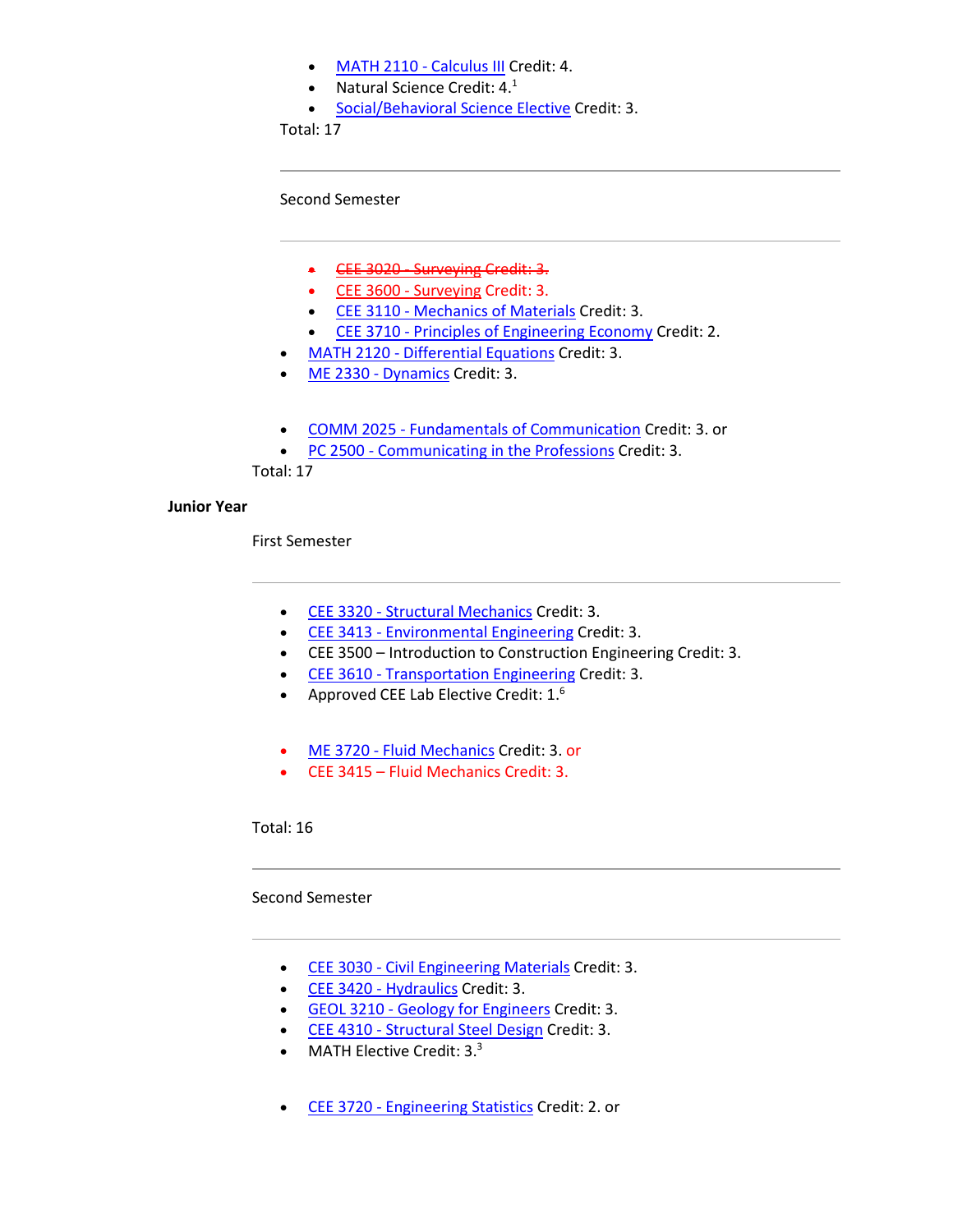- [MATH 2110 -](http://catalog.tntech.edu/preview_program.php?catoid=27&poid=3241&returnto=5394) Calculus III Credit: 4.
- Natural Science Credit:  $4.^1$
- [Social/Behavioral Science Elective](http://catalog.tntech.edu/content.php?catoid=27&navoid=5438#Social_Behavioral_Sciences) Credit: 3.

Total: 17

Second Semester

- [CEE 3020 -](http://catalog.tntech.edu/preview_program.php?catoid=27&poid=3241&returnto=5394) Surveying Credit: 3.
- [CEE 3600 -](http://catalog.tntech.edu/preview_program.php?catoid=27&poid=3241&returnto=5394) Surveying Credit: 3.
- CEE 3110 [Mechanics of Materials](http://catalog.tntech.edu/preview_program.php?catoid=27&poid=3241&returnto=5394) Credit: 3.
- CEE 3710 [Principles of Engineering Economy](http://catalog.tntech.edu/preview_program.php?catoid=27&poid=3241&returnto=5394) Credit: 2.
- MATH 2120 [Differential Equations](http://catalog.tntech.edu/preview_program.php?catoid=27&poid=3241&returnto=5394) Credit: 3.
- [ME 2330 -](http://catalog.tntech.edu/preview_program.php?catoid=27&poid=3241&returnto=5394) Dynamics Credit: 3.
- COMM 2025 [Fundamentals of Communication](http://catalog.tntech.edu/preview_program.php?catoid=27&poid=3241&returnto=5394) Credit: 3. or
- PC 2500 [Communicating in the Professions](http://catalog.tntech.edu/preview_program.php?catoid=27&poid=3241&returnto=5394) Credit: 3.

Total: 17

## **Junior Year**

First Semester

- CEE 3320 [Structural Mechanics](http://catalog.tntech.edu/preview_program.php?catoid=27&poid=3241&returnto=5394) Credit: 3.
- CEE 3413 [Environmental Engineering](http://catalog.tntech.edu/preview_program.php?catoid=27&poid=3241&returnto=5394) Credit: 3.
- CEE 3500 Introduction to Construction Engineering Credit: 3.
- CEE 3610 [Transportation Engineering](http://catalog.tntech.edu/preview_program.php?catoid=27&poid=3241&returnto=5394) Credit: 3.
- Approved CEE Lab Elective Credit:  $1<sup>6</sup>$
- ME 3720 [Fluid Mechanics](http://catalog.tntech.edu/preview_program.php?catoid=27&poid=3241&returnto=5394) Credit: 3. or
- CEE 3415 Fluid Mechanics Credit: 3.

Total: 16

## Second Semester

- CEE 3030 [Civil Engineering Materials](http://catalog.tntech.edu/preview_program.php?catoid=27&poid=3241&returnto=5394) Credit: 3.
- [CEE 3420 -](http://catalog.tntech.edu/preview_program.php?catoid=27&poid=3241&returnto=5394) Hydraulics Credit: 3.
- GEOL 3210 [Geology for Engineers](http://catalog.tntech.edu/preview_program.php?catoid=27&poid=3241&returnto=5394) Credit: 3.
- CEE 4310 [Structural Steel Design](http://catalog.tntech.edu/preview_program.php?catoid=27&poid=3241&returnto=5394) Credit: 3.
- MATH Elective Credit:  $3.\overline{3}$
- CEE 3720 [Engineering Statistics](http://catalog.tntech.edu/preview_program.php?catoid=27&poid=3241&returnto=5394) Credit: 2. or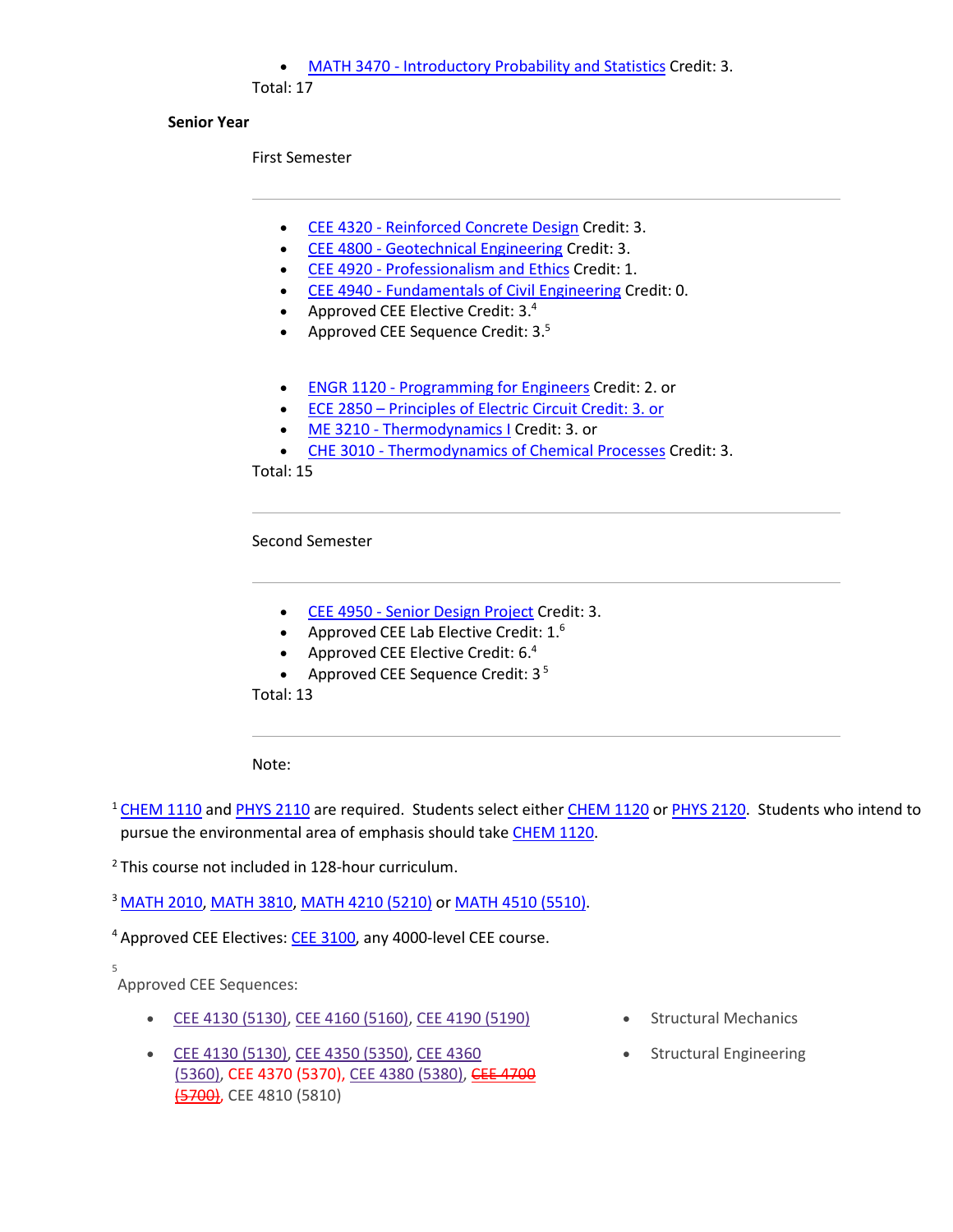### • MATH 3470 - [Introductory Probability and Statistics](http://catalog.tntech.edu/preview_program.php?catoid=27&poid=3241&returnto=5394) Credit: 3.

Total: 17

### **Senior Year**

First Semester

- CEE 4320 [Reinforced Concrete Design](http://catalog.tntech.edu/preview_program.php?catoid=27&poid=3241&returnto=5394) Credit: 3.
- CEE 4800 [Geotechnical Engineering](http://catalog.tntech.edu/preview_program.php?catoid=27&poid=3241&returnto=5394) Credit: 3.
- CEE 4920 [Professionalism and Ethics](http://catalog.tntech.edu/preview_program.php?catoid=27&poid=3241&returnto=5394) Credit: 1.
- CEE 4940 [Fundamentals of Civil Engineering](http://catalog.tntech.edu/preview_program.php?catoid=27&poid=3241&returnto=5394) Credit: 0.
- Approved CEE Elective Credit: 3.4
- Approved CEE Sequence Credit:  $3.5$
- ENGR 1120 [Programming for Engineers](http://catalog.tntech.edu/preview_program.php?catoid=27&poid=3241&returnto=5394) Credit: 2. or
- ECE 2850 Principles of Electric Circuit Credit: 3. or
- ME 3210 [Thermodynamics I](http://catalog.tntech.edu/preview_program.php?catoid=27&poid=3241&returnto=5394) Credit: 3. or
- CHE 3010 [Thermodynamics of Chemical Processes](http://catalog.tntech.edu/preview_program.php?catoid=27&poid=3241&returnto=5394) Credit: 3.

Total: 15

Second Semester

- CEE 4950 [Senior Design Project](http://catalog.tntech.edu/preview_program.php?catoid=27&poid=3241&returnto=5394) Credit: 3.
- Approved CEE Lab Elective Credit: 1.<sup>6</sup>
- Approved CEE Elective Credit:  $6.4$
- Approved CEE Sequence Credit:  $3<sup>5</sup>$

Total: 13

Note:

<sup>1</sup> [CHEM 1110](http://catalog.tntech.edu/preview_program.php?catoid=27&poid=3241&returnto=5394#tt2483) and [PHYS 2110](http://catalog.tntech.edu/preview_program.php?catoid=27&poid=3241&returnto=5394#tt4009) are required. Students select either [CHEM 1120](http://catalog.tntech.edu/preview_program.php?catoid=27&poid=3241&returnto=5394#tt3466) or [PHYS 2120.](http://catalog.tntech.edu/preview_program.php?catoid=27&poid=3241&returnto=5394#tt770) Students who intend to pursue the environmental area of emphasis should take [CHEM 1120.](http://catalog.tntech.edu/preview_program.php?catoid=27&poid=3241&returnto=5394#tt992)

<sup>2</sup> This course not included in 128-hour curriculum.

<sup>3</sup> [MATH 2010,](http://catalog.tntech.edu/preview_program.php?catoid=27&poid=3241&returnto=5394#tt4768) [MATH 3810,](http://catalog.tntech.edu/preview_program.php?catoid=27&poid=3241&returnto=5394#tt6690) [MATH 4210 \(5210\)](http://catalog.tntech.edu/preview_program.php?catoid=27&poid=3241&returnto=5394#tt551) or [MATH 4510 \(5510\).](http://catalog.tntech.edu/preview_program.php?catoid=27&poid=3241&returnto=5394#tt925)

<sup>4</sup> Approved CEE Electives: [CEE 3100,](http://catalog.tntech.edu/preview_program.php?catoid=27&poid=3241&returnto=5394#tt4826) any 4000-level CEE course.

5

Approved CEE Sequences:

- CEE 4130 [\(5130\),](http://catalog.tntech.edu/preview_program.php?catoid=27&poid=3241&returnto=5394#tt2330) CEE 4160 [\(5160\),](http://catalog.tntech.edu/preview_program.php?catoid=27&poid=3241&returnto=5394#tt8537) CEE 4190 [\(5190\)](http://catalog.tntech.edu/preview_program.php?catoid=27&poid=3241&returnto=5394#tt3509) Structural Mechanics
- CEE 4130 [\(5130\),](http://catalog.tntech.edu/preview_program.php?catoid=27&poid=3241&returnto=5394#tt9321) CEE 4350 [\(5350\),](http://catalog.tntech.edu/preview_program.php?catoid=27&poid=3241&returnto=5394#tt8836) CEE [4360](http://catalog.tntech.edu/preview_program.php?catoid=27&poid=3241&returnto=5394#tt9092) [\(5360\),](http://catalog.tntech.edu/preview_program.php?catoid=27&poid=3241&returnto=5394#tt9092) CEE 4370 (5370), CEE 4380 [\(5380\),](http://catalog.tntech.edu/preview_program.php?catoid=27&poid=3241&returnto=5394#tt1215) CEE [4700](http://catalog.tntech.edu/preview_program.php?catoid=27&poid=3241&returnto=5394#tt2182) [\(5700\),](http://catalog.tntech.edu/preview_program.php?catoid=27&poid=3241&returnto=5394#tt2182) CEE 4810 (5810)
- 
- Structural Engineering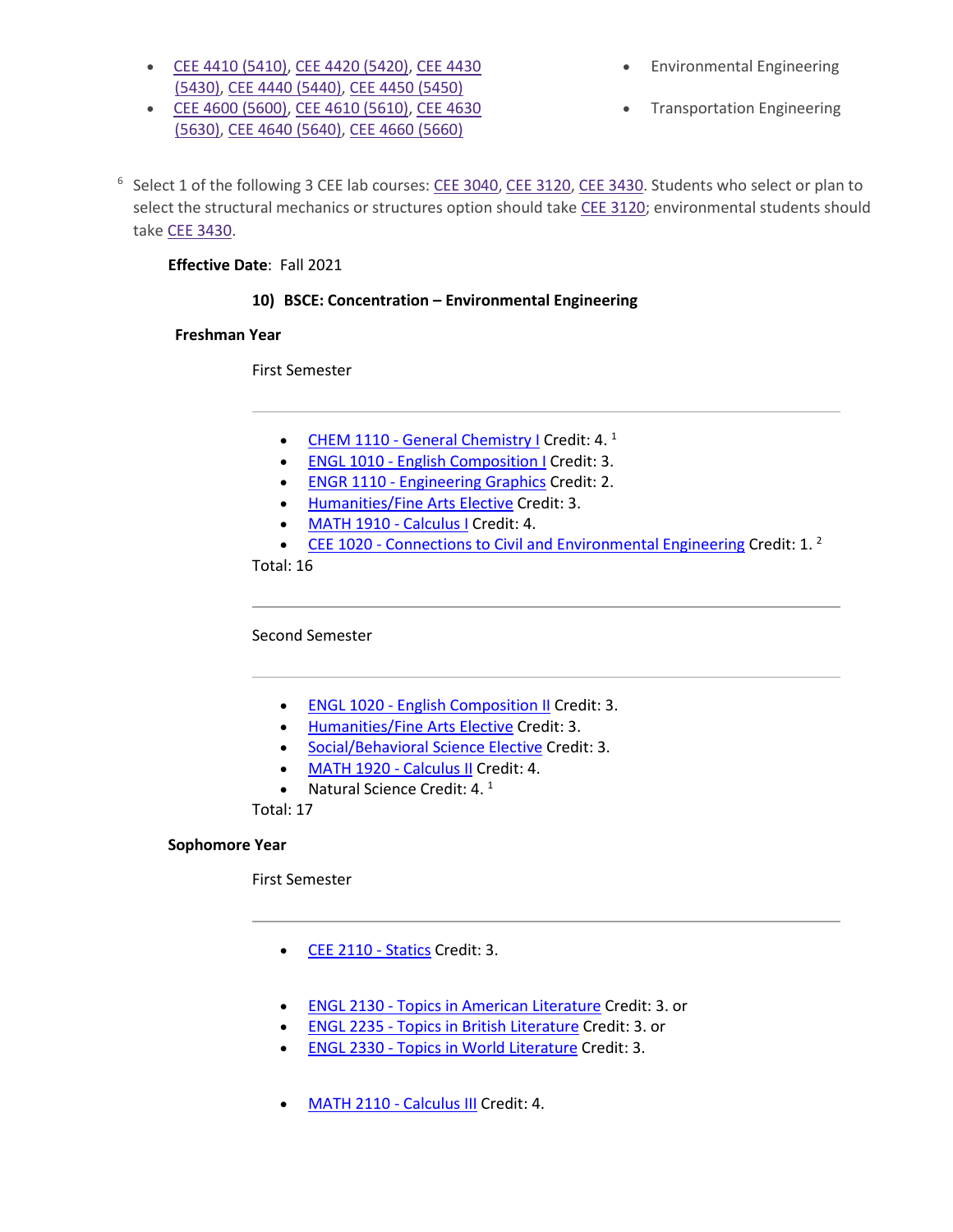- CEE 4410 [\(5410\),](http://catalog.tntech.edu/preview_program.php?catoid=27&poid=3241&returnto=5394#tt5499) CEE 4420 [\(5420\),](http://catalog.tntech.edu/preview_program.php?catoid=27&poid=3241&returnto=5394#tt3286) CEE [4430](http://catalog.tntech.edu/preview_program.php?catoid=27&poid=3241&returnto=5394#tt7206) [\(5430\),](http://catalog.tntech.edu/preview_program.php?catoid=27&poid=3241&returnto=5394#tt7206) CEE 4440 [\(5440\),](http://catalog.tntech.edu/preview_program.php?catoid=27&poid=3241&returnto=5394#tt6000) CEE 4450 [\(5450\)](http://catalog.tntech.edu/preview_program.php?catoid=27&poid=3241&returnto=5394#tt1752)
- CEE 4600 [\(5600\),](http://catalog.tntech.edu/preview_program.php?catoid=27&poid=3241&returnto=5394#tt8397) CEE 4610 [\(5610\),](http://catalog.tntech.edu/preview_program.php?catoid=27&poid=3241&returnto=5394#tt5646) CEE [4630](http://catalog.tntech.edu/preview_program.php?catoid=27&poid=3241&returnto=5394#tt4613) [\(5630\),](http://catalog.tntech.edu/preview_program.php?catoid=27&poid=3241&returnto=5394#tt4613) CEE 4640 [\(5640\),](http://catalog.tntech.edu/preview_program.php?catoid=27&poid=3241&returnto=5394#tt24) CEE 4660 [\(5660\)](http://catalog.tntech.edu/preview_program.php?catoid=27&poid=3241&returnto=5394#tt5867)
- Environmental Engineering
- Transportation Engineering

<sup>6</sup> Select 1 of the following 3 CEE lab courses: CEE [3040,](http://catalog.tntech.edu/preview_program.php?catoid=27&poid=3241&returnto=5394#tt1428) CEE [3120,](http://catalog.tntech.edu/preview_program.php?catoid=27&poid=3241&returnto=5394#tt61) CEE [3430.](http://catalog.tntech.edu/preview_program.php?catoid=27&poid=3241&returnto=5394#tt4339) Students who select or plan to select the structural mechanics or structures option should take CEE [3120;](http://catalog.tntech.edu/preview_program.php?catoid=27&poid=3241&returnto=5394#tt5450) environmental students should take CEE [3430.](http://catalog.tntech.edu/preview_program.php?catoid=27&poid=3241&returnto=5394#tt1772)

## **Effective Date**: Fall 2021

## **10) BSCE: Concentration – Environmental Engineering**

## **Freshman Year**

First Semester

- CHEM 1110 [General Chemistry I](http://catalog.tntech.edu/preview_program.php?catoid=27&poid=3241&returnto=5394) Credit: 4.<sup>1</sup>
- ENGL 1010 [English Composition I](http://catalog.tntech.edu/preview_program.php?catoid=27&poid=3241&returnto=5394) Credit: 3.
- ENGR 1110 [Engineering Graphics](http://catalog.tntech.edu/preview_program.php?catoid=27&poid=3241&returnto=5394) Credit: 2.
- [Humanities/Fine Arts Elective](http://catalog.tntech.edu/content.php?catoid=27&navoid=5438#Humanities_and_or_Fine_Arts) Credit: 3.
- [MATH 1910 -](http://catalog.tntech.edu/preview_program.php?catoid=27&poid=3241&returnto=5394) Calculus I Credit: 4.
- CEE 1020 [Connections to Civil and Environmental Engineering](http://catalog.tntech.edu/preview_program.php?catoid=27&poid=3241&returnto=5394) Credit: 1. $^2$

Total: 16

Second Semester

- ENGL 1020 [English Composition II](http://catalog.tntech.edu/preview_program.php?catoid=27&poid=3241&returnto=5394) Credit: 3.
- [Humanities/Fine Arts Elective](http://catalog.tntech.edu/content.php?catoid=27&navoid=5438#Humanities_and_or_Fine_Arts) Credit: 3.
- [Social/Behavioral Science Elective](http://catalog.tntech.edu/content.php?catoid=27&navoid=5438#Social_Behavioral_Sciences) Credit: 3.
- [MATH 1920 -](http://catalog.tntech.edu/preview_program.php?catoid=27&poid=3241&returnto=5394) Calculus II Credit: 4.
- Natural Science Credit: 4. $<sup>1</sup>$ </sup>

Total: 17

## **Sophomore Year**

First Semester

- [CEE 2110 -](http://catalog.tntech.edu/preview_program.php?catoid=27&poid=3241&returnto=5394) Statics Credit: 3.
- ENGL 2130 [Topics in American Literature](http://catalog.tntech.edu/preview_program.php?catoid=27&poid=3241&returnto=5394) Credit: 3. or
- ENGL 2235 [Topics in British Literature](http://catalog.tntech.edu/preview_program.php?catoid=27&poid=3241&returnto=5394) Credit: 3. or
- ENGL 2330 [Topics in World Literature](http://catalog.tntech.edu/preview_program.php?catoid=27&poid=3241&returnto=5394) Credit: 3.
- [MATH 2110 -](http://catalog.tntech.edu/preview_program.php?catoid=27&poid=3241&returnto=5394) Calculus III Credit: 4.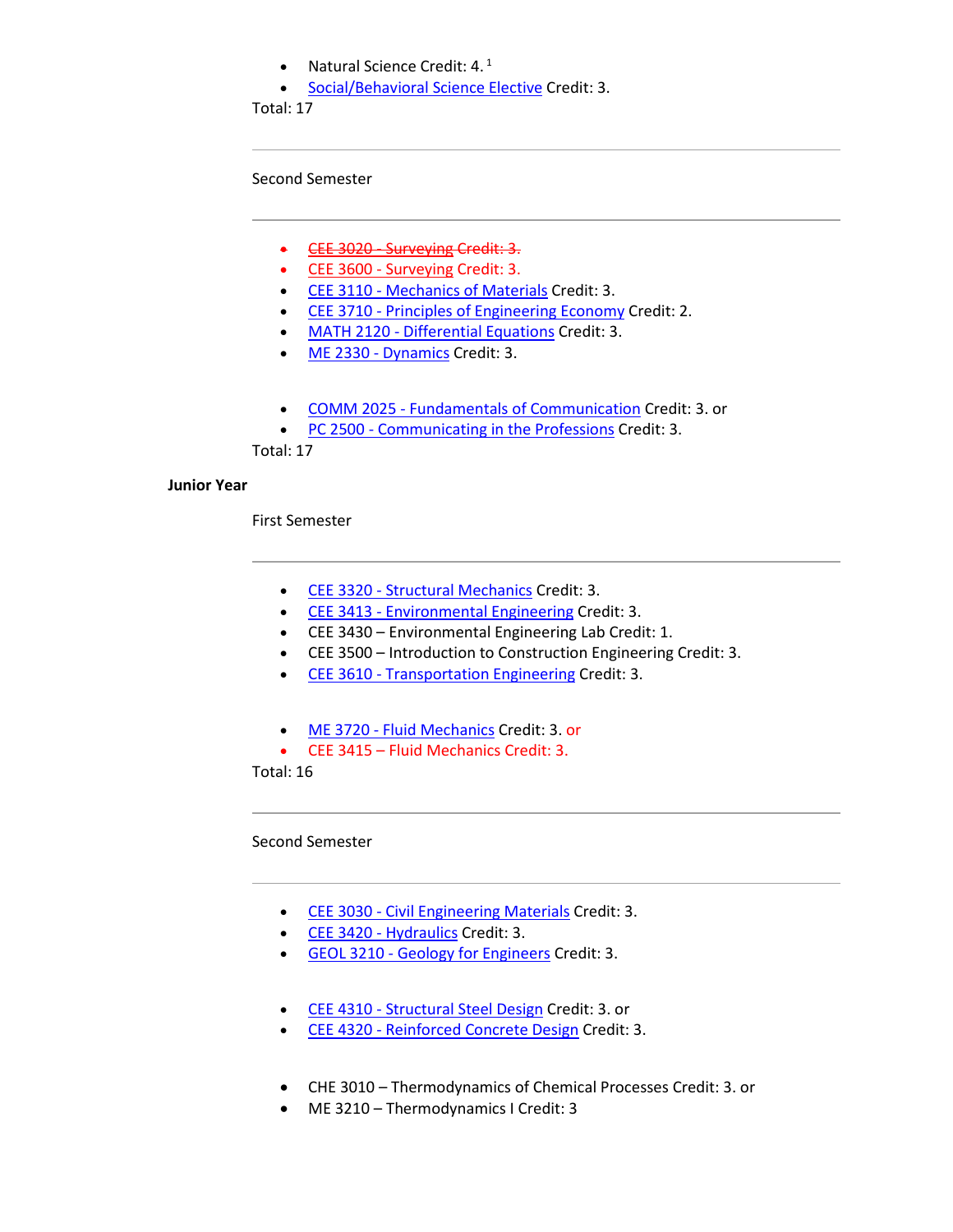- Natural Science Credit:  $4.1$
- [Social/Behavioral Science Elective](http://catalog.tntech.edu/content.php?catoid=27&navoid=5438#Social_Behavioral_Sciences) Credit: 3.

Total: 17

Second Semester

- [CEE 3020 -](http://catalog.tntech.edu/preview_program.php?catoid=27&poid=3241&returnto=5394) Surveying Credit: 3.
- [CEE 3600 -](http://catalog.tntech.edu/preview_program.php?catoid=27&poid=3241&returnto=5394) Surveying Credit: 3.
- CEE 3110 [Mechanics of Materials](http://catalog.tntech.edu/preview_program.php?catoid=27&poid=3241&returnto=5394) Credit: 3.
- CEE 3710 Principles [of Engineering Economy](http://catalog.tntech.edu/preview_program.php?catoid=27&poid=3241&returnto=5394) Credit: 2.
- MATH 2120 [Differential Equations](http://catalog.tntech.edu/preview_program.php?catoid=27&poid=3241&returnto=5394) Credit: 3.
- [ME 2330 -](http://catalog.tntech.edu/preview_program.php?catoid=27&poid=3241&returnto=5394) Dynamics Credit: 3.
- COMM 2025 [Fundamentals of Communication](http://catalog.tntech.edu/preview_program.php?catoid=27&poid=3241&returnto=5394) Credit: 3. or
- PC 2500 [Communicating in the Professions](http://catalog.tntech.edu/preview_program.php?catoid=27&poid=3241&returnto=5394) Credit: 3.

Total: 17

#### **Junior Year**

First Semester

- CEE 3320 [Structural Mechanics](http://catalog.tntech.edu/preview_program.php?catoid=27&poid=3241&returnto=5394) Credit: 3.
- CEE 3413 [Environmental Engineering](http://catalog.tntech.edu/preview_program.php?catoid=27&poid=3241&returnto=5394) Credit: 3.
- CEE 3430 Environmental Engineering Lab Credit: 1.
- CEE 3500 Introduction to Construction Engineering Credit: 3.
- CEE 3610 [Transportation Engineering](http://catalog.tntech.edu/preview_program.php?catoid=27&poid=3241&returnto=5394) Credit: 3.
- ME 3720 [Fluid Mechanics](http://catalog.tntech.edu/preview_program.php?catoid=27&poid=3241&returnto=5394) Credit: 3. or
- CEE 3415 Fluid Mechanics Credit: 3.

Total: 16

Second Semester

- CEE 3030 [Civil Engineering Materials](http://catalog.tntech.edu/preview_program.php?catoid=27&poid=3241&returnto=5394) Credit: 3.
- [CEE 3420 -](http://catalog.tntech.edu/preview_program.php?catoid=27&poid=3241&returnto=5394) Hydraulics Credit: 3.
- GEOL 3210 [Geology for Engineers](http://catalog.tntech.edu/preview_program.php?catoid=27&poid=3241&returnto=5394) Credit: 3.
- CEE 4310 [Structural Steel Design](http://catalog.tntech.edu/preview_program.php?catoid=27&poid=3241&returnto=5394) Credit: 3. or
- CEE 4320 [Reinforced Concrete Design](http://catalog.tntech.edu/preview_program.php?catoid=27&poid=3241&returnto=5394) Credit: 3.
- CHE 3010 Thermodynamics of Chemical Processes Credit: 3. or
- ME 3210 Thermodynamics I Credit: 3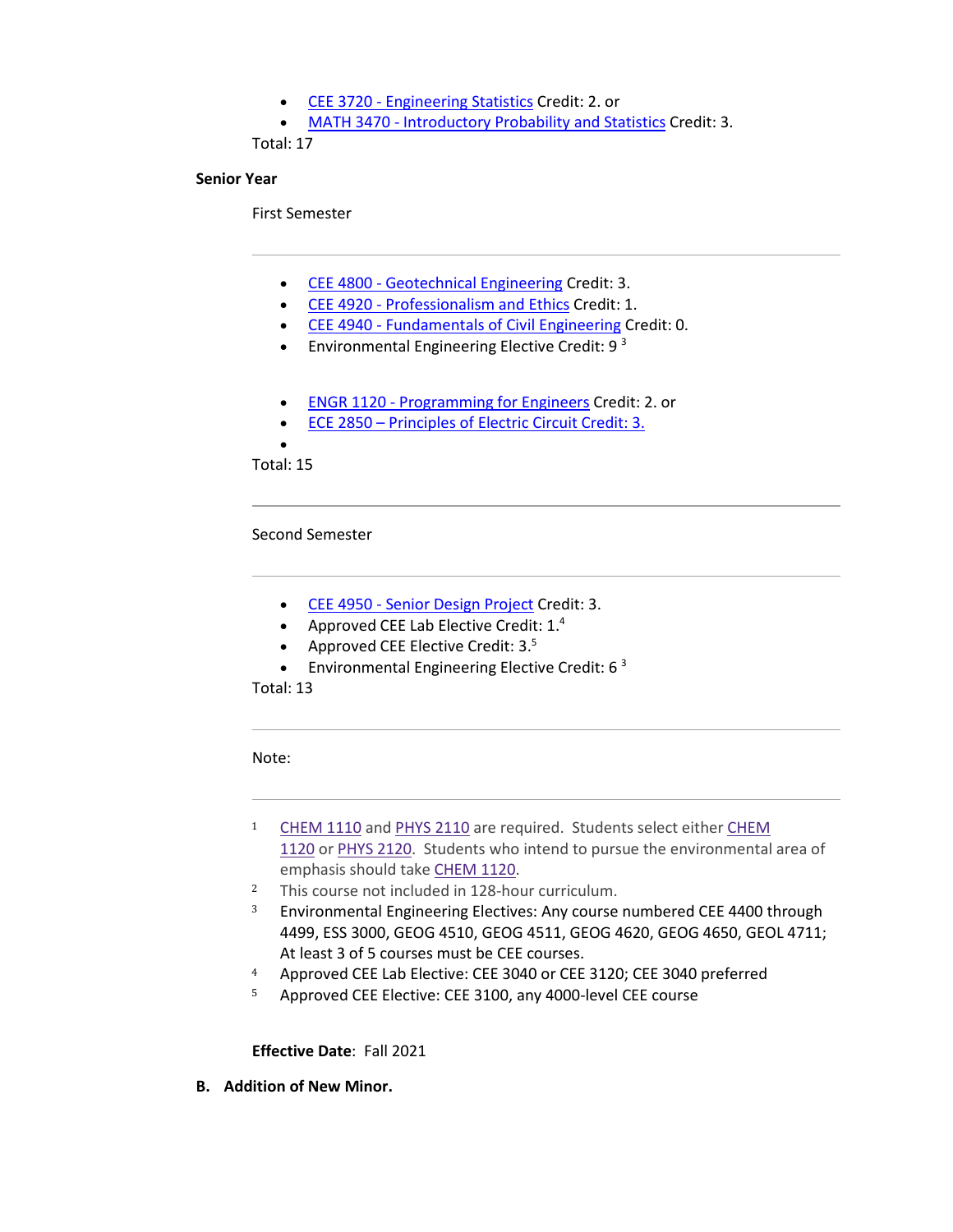- CEE 3720 [Engineering Statistics](http://catalog.tntech.edu/preview_program.php?catoid=27&poid=3241&returnto=5394) Credit: 2. or
- MATH 3470 [Introductory Probability and Statistics](http://catalog.tntech.edu/preview_program.php?catoid=27&poid=3241&returnto=5394) Credit: 3.

Total: 17

## **Senior Year**

First Semester

- CEE 4800 [Geotechnical Engineering](http://catalog.tntech.edu/preview_program.php?catoid=27&poid=3241&returnto=5394) Credit: 3.
- CEE 4920 [Professionalism and Ethics](http://catalog.tntech.edu/preview_program.php?catoid=27&poid=3241&returnto=5394) Credit: 1.
- CEE 4940 [Fundamentals of Civil Engineering](http://catalog.tntech.edu/preview_program.php?catoid=27&poid=3241&returnto=5394) Credit: 0.
- Environmental Engineering Elective Credit:  $9<sup>3</sup>$
- ENGR 1120 [Programming for Engineers](http://catalog.tntech.edu/preview_program.php?catoid=27&poid=3241&returnto=5394) Credit: 2. or
- ECE 2850 Principles of Electric Circuit Credit: 3.
- •

Total: 15

Second Semester

- CEE 4950 [Senior Design Project](http://catalog.tntech.edu/preview_program.php?catoid=27&poid=3241&returnto=5394) Credit: 3.
- Approved CEE Lab Elective Credit:  $1.^4$
- Approved CEE Elective Credit:  $3.5$
- Environmental Engineering Elective Credit:  $6<sup>3</sup>$

Total: 13

Note:

- <sup>1</sup> [CHEM](https://catalog.tntech.edu/preview_program.php?catoid=29&poid=3572&returnto=5913#tt7725) 1110 and [PHYS](https://catalog.tntech.edu/preview_program.php?catoid=29&poid=3572&returnto=5913#tt923) 2110 are required. Students select either [CHEM](https://catalog.tntech.edu/preview_program.php?catoid=29&poid=3572&returnto=5913#tt5283) [1120](https://catalog.tntech.edu/preview_program.php?catoid=29&poid=3572&returnto=5913#tt5283) or PHYS [2120.](https://catalog.tntech.edu/preview_program.php?catoid=29&poid=3572&returnto=5913#tt659) Students who intend to pursue the environmental area of emphasis should take [CHEM](https://catalog.tntech.edu/preview_program.php?catoid=29&poid=3572&returnto=5913#tt3292) 1120.
- <sup>2</sup> This course not included in 128-hour curriculum.
- <sup>3</sup> Environmental Engineering Electives: Any course numbered CEE 4400 through 4499, ESS 3000, GEOG 4510, GEOG 4511, GEOG 4620, GEOG 4650, GEOL 4711; At least 3 of 5 courses must be CEE courses.
- <sup>4</sup> Approved CEE Lab Elective: CEE 3040 or CEE 3120; CEE 3040 preferred
- <sup>5</sup> Approved CEE Elective: CEE 3100, any 4000-level CEE course

**Effective Date**: Fall 2021

**B. Addition of New Minor.**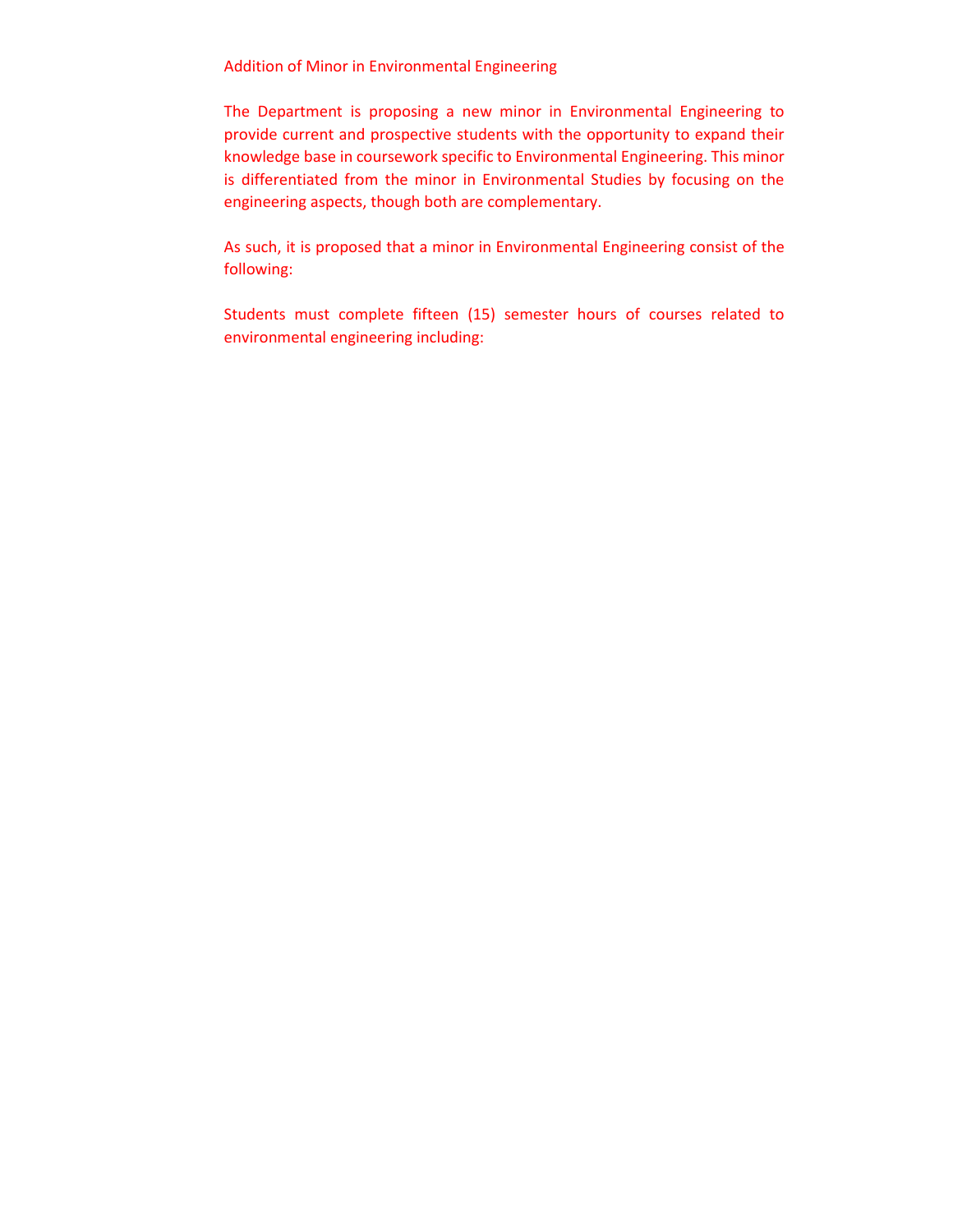Addition of Minor in Environmental Engineering

The Department is proposing a new minor in Environmental Engineering to provide current and prospective students with the opportunity to expand their knowledge base in coursework specific to Environmental Engineering. This minor is differentiated from the minor in Environmental Studies by focusing on the engineering aspects, though both are complementary.

As such, it is proposed that a minor in Environmental Engineering consist of the following:

Students must complete fifteen (15) semester hours of courses related to environmental engineering including: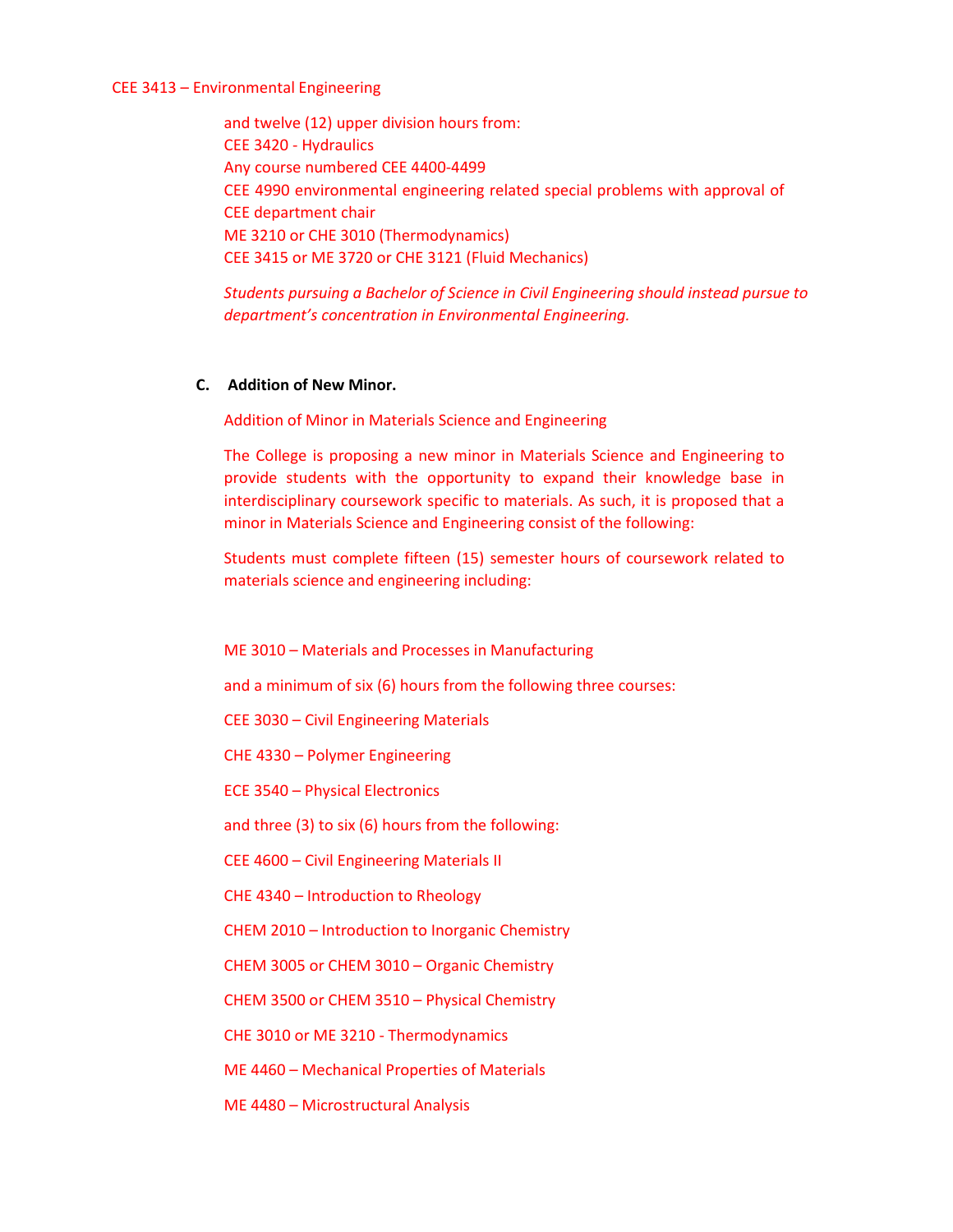#### CEE 3413 – Environmental Engineering

and twelve (12) upper division hours from: CEE 3420 - Hydraulics Any course numbered CEE 4400-4499 CEE 4990 environmental engineering related special problems with approval of CEE department chair ME 3210 or CHE 3010 (Thermodynamics) CEE 3415 or ME 3720 or CHE 3121 (Fluid Mechanics)

*Students pursuing a Bachelor of Science in Civil Engineering should instead pursue to department's concentration in Environmental Engineering.*

#### **C. Addition of New Minor.**

Addition of Minor in Materials Science and Engineering

The College is proposing a new minor in Materials Science and Engineering to provide students with the opportunity to expand their knowledge base in interdisciplinary coursework specific to materials. As such, it is proposed that a minor in Materials Science and Engineering consist of the following:

Students must complete fifteen (15) semester hours of coursework related to materials science and engineering including:

ME 3010 – Materials and Processes in Manufacturing

and a minimum of six (6) hours from the following three courses:

CEE 3030 – Civil Engineering Materials

CHE 4330 – Polymer Engineering

ECE 3540 – Physical Electronics

and three (3) to six (6) hours from the following:

CEE 4600 – Civil Engineering Materials II

CHE 4340 – Introduction to Rheology

CHEM 2010 – Introduction to Inorganic Chemistry

CHEM 3005 or CHEM 3010 – Organic Chemistry

CHEM 3500 or CHEM 3510 – Physical Chemistry

CHE 3010 or ME 3210 - Thermodynamics

ME 4460 – Mechanical Properties of Materials

ME 4480 – Microstructural Analysis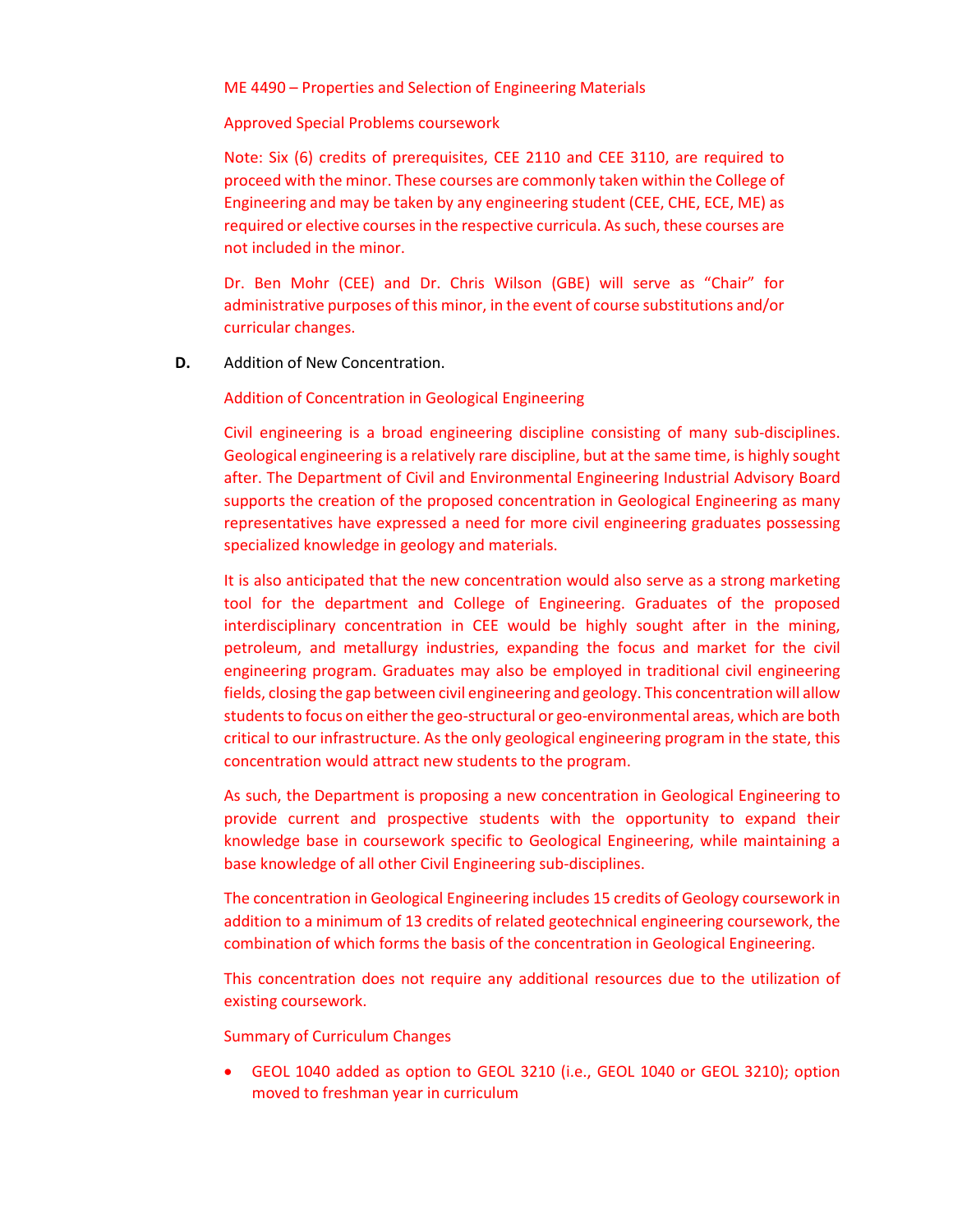ME 4490 – Properties and Selection of Engineering Materials

Approved Special Problems coursework

Note: Six (6) credits of prerequisites, CEE 2110 and CEE 3110, are required to proceed with the minor. These courses are commonly taken within the College of Engineering and may be taken by any engineering student (CEE, CHE, ECE, ME) as required or elective courses in the respective curricula. As such, these courses are not included in the minor.

Dr. Ben Mohr (CEE) and Dr. Chris Wilson (GBE) will serve as "Chair" for administrative purposes of this minor, in the event of course substitutions and/or curricular changes.

**D.** Addition of New Concentration.

Addition of Concentration in Geological Engineering

Civil engineering is a broad engineering discipline consisting of many sub-disciplines. Geological engineering is a relatively rare discipline, but at the same time, is highly sought after. The Department of Civil and Environmental Engineering Industrial Advisory Board supports the creation of the proposed concentration in Geological Engineering as many representatives have expressed a need for more civil engineering graduates possessing specialized knowledge in geology and materials.

It is also anticipated that the new concentration would also serve as a strong marketing tool for the department and College of Engineering. Graduates of the proposed interdisciplinary concentration in CEE would be highly sought after in the mining, petroleum, and metallurgy industries, expanding the focus and market for the civil engineering program. Graduates may also be employed in traditional civil engineering fields, closing the gap between civil engineering and geology. This concentration will allow students to focus on either the geo-structural or geo-environmental areas, which are both critical to our infrastructure. As the only geological engineering program in the state, this concentration would attract new students to the program.

As such, the Department is proposing a new concentration in Geological Engineering to provide current and prospective students with the opportunity to expand their knowledge base in coursework specific to Geological Engineering, while maintaining a base knowledge of all other Civil Engineering sub-disciplines.

The concentration in Geological Engineering includes 15 credits of Geology coursework in addition to a minimum of 13 credits of related geotechnical engineering coursework, the combination of which forms the basis of the concentration in Geological Engineering.

This concentration does not require any additional resources due to the utilization of existing coursework.

Summary of Curriculum Changes

• GEOL 1040 added as option to GEOL 3210 (i.e., GEOL 1040 or GEOL 3210); option moved to freshman year in curriculum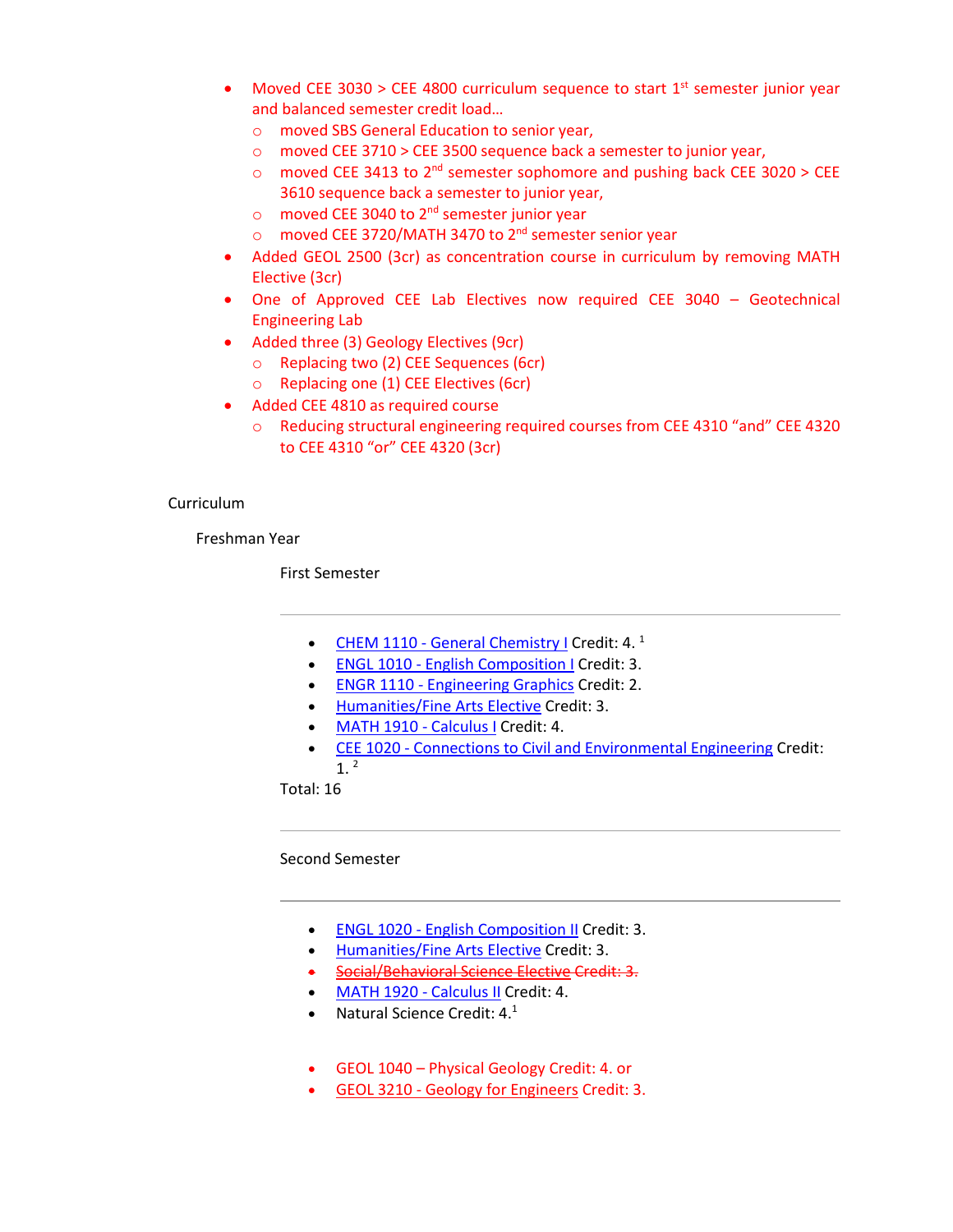- Moved CEE 3030 > CEE 4800 curriculum sequence to start  $1<sup>st</sup>$  semester junior year and balanced semester credit load…
	- o moved SBS General Education to senior year,
	- o moved CEE 3710 > CEE 3500 sequence back a semester to junior year,
	- o moved CEE 3413 to  $2^{nd}$  semester sophomore and pushing back CEE 3020 > CEE 3610 sequence back a semester to junior year,
	- o moved CEE 3040 to 2nd semester junior year
	- o moved CEE 3720/MATH 3470 to 2nd semester senior year
- Added GEOL 2500 (3cr) as concentration course in curriculum by removing MATH Elective (3cr)
- One of Approved CEE Lab Electives now required CEE 3040 Geotechnical Engineering Lab
- Added three (3) Geology Electives (9cr)
	- o Replacing two (2) CEE Sequences (6cr)
	- o Replacing one (1) CEE Electives (6cr)
- Added CEE 4810 as required course
	- o Reducing structural engineering required courses from CEE 4310 "and" CEE 4320 to CEE 4310 "or" CEE 4320 (3cr)

#### Curriculum

Freshman Year

First Semester

- CHEM 1110 [General Chemistry I](http://catalog.tntech.edu/preview_program.php?catoid=27&poid=3241&returnto=5394) Credit: 4.  $<sup>1</sup>$ </sup>
- ENGL 1010 [English Composition I](http://catalog.tntech.edu/preview_program.php?catoid=27&poid=3241&returnto=5394) Credit: 3.
- ENGR 1110 [Engineering Graphics](http://catalog.tntech.edu/preview_program.php?catoid=27&poid=3241&returnto=5394) Credit: 2.
- [Humanities/Fine Arts Elective](http://catalog.tntech.edu/content.php?catoid=27&navoid=5438#Humanities_and_or_Fine_Arts) Credit: 3.
- [MATH 1910 -](http://catalog.tntech.edu/preview_program.php?catoid=27&poid=3241&returnto=5394) Calculus I Credit: 4.
- CEE 1020 [Connections to Civil and Environmental Engineering](http://catalog.tntech.edu/preview_program.php?catoid=27&poid=3241&returnto=5394) Credit:  $1<sup>2</sup>$

Total: 16

Second Semester

- ENGL 1020 [English Composition II](http://catalog.tntech.edu/preview_program.php?catoid=27&poid=3241&returnto=5394) Credit: 3.
- [Humanities/Fine Arts Elective](http://catalog.tntech.edu/content.php?catoid=27&navoid=5438#Humanities_and_or_Fine_Arts) Credit: 3.
- [Social/Behavioral Science Elective](http://catalog.tntech.edu/content.php?catoid=27&navoid=5438#Social_Behavioral_Sciences) Credit: 3.
- [MATH 1920 -](http://catalog.tntech.edu/preview_program.php?catoid=27&poid=3241&returnto=5394) Calculus II Credit: 4.
- Natural Science Credit:  $4.^1$
- GEOL 1040 Physical Geology Credit: 4. or
- GEOL 3210 [Geology for Engineers](http://catalog.tntech.edu/preview_program.php?catoid=27&poid=3241&returnto=5394) Credit: 3.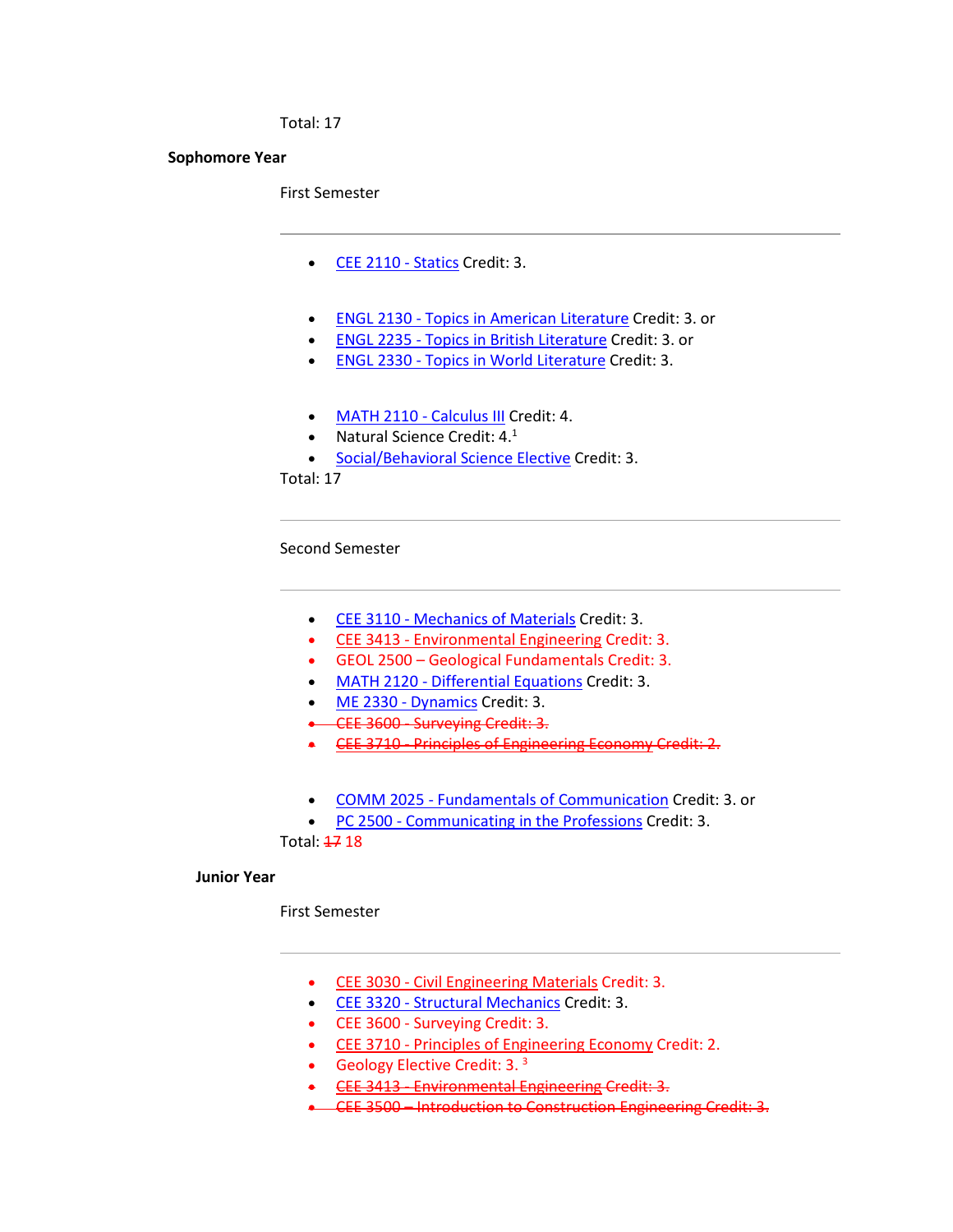Total: 17

#### **Sophomore Year**

First Semester

- [CEE 2110 -](http://catalog.tntech.edu/preview_program.php?catoid=27&poid=3241&returnto=5394) Statics Credit: 3.
- ENGL 2130 [Topics in American Literature](http://catalog.tntech.edu/preview_program.php?catoid=27&poid=3241&returnto=5394) Credit: 3. or
- ENGL 2235 [Topics in British Literature](http://catalog.tntech.edu/preview_program.php?catoid=27&poid=3241&returnto=5394) Credit: 3. or
- ENGL 2330 [Topics in World Literature](http://catalog.tntech.edu/preview_program.php?catoid=27&poid=3241&returnto=5394) Credit: 3.
- [MATH 2110 -](http://catalog.tntech.edu/preview_program.php?catoid=27&poid=3241&returnto=5394) Calculus III Credit: 4.
- Natural Science Credit:  $4.1$
- [Social/Behavioral Science Elective](http://catalog.tntech.edu/content.php?catoid=27&navoid=5438#Social_Behavioral_Sciences) Credit: 3.

Total: 17

Second Semester

- CEE 3110 [Mechanics of Materials](http://catalog.tntech.edu/preview_program.php?catoid=27&poid=3241&returnto=5394) Credit: 3.
- CEE 3413 [Environmental Engineering](http://catalog.tntech.edu/preview_program.php?catoid=27&poid=3241&returnto=5394) Credit: 3.
- GEOL 2500 Geological Fundamentals Credit: 3.
- MATH 2120 [Differential Equations](http://catalog.tntech.edu/preview_program.php?catoid=27&poid=3241&returnto=5394) Credit: 3.
- [ME 2330 -](http://catalog.tntech.edu/preview_program.php?catoid=27&poid=3241&returnto=5394) Dynamics Credit: 3.
- CEE 3600 Surveying Credit: 3.
- **CEE 3710 [Principles of Engineering Economy](http://catalog.tntech.edu/preview_program.php?catoid=27&poid=3241&returnto=5394) Credit: 2.**
- COMM 2025 [Fundamentals of Communication](http://catalog.tntech.edu/preview_program.php?catoid=27&poid=3241&returnto=5394) Credit: 3. or
- PC 2500 [Communicating in the Professions](http://catalog.tntech.edu/preview_program.php?catoid=27&poid=3241&returnto=5394) Credit: 3.

Total: 47 18

#### **Junior Year**

First Semester

- CEE 3030 [Civil Engineering Materials](http://catalog.tntech.edu/preview_program.php?catoid=27&poid=3241&returnto=5394) Credit: 3.
- CEE 3320 [Structural Mechanics](http://catalog.tntech.edu/preview_program.php?catoid=27&poid=3241&returnto=5394) Credit: 3.
- CEE 3600 Surveying Credit: 3.
- CEE 3710 [Principles of Engineering Economy](http://catalog.tntech.edu/preview_program.php?catoid=27&poid=3241&returnto=5394) Credit: 2.
- Geology Elective Credit:  $3.3$
- CEE 3413 [Environmental Engineering](http://catalog.tntech.edu/preview_program.php?catoid=27&poid=3241&returnto=5394) Credit: 3.
- CEE 3500 Introduction to Construction Engineering Credit: 3.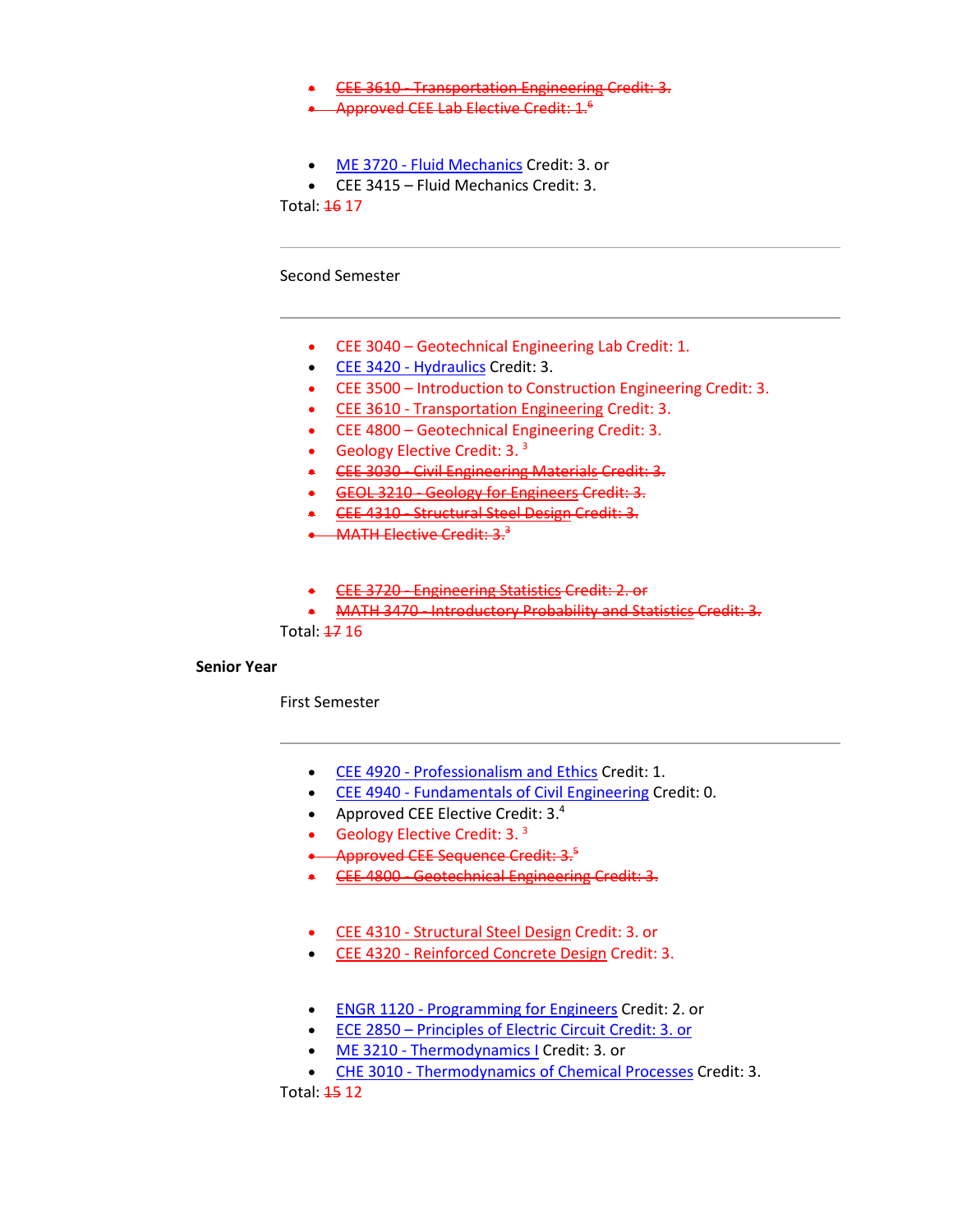- CEE 3610 [Transportation Engineering](http://catalog.tntech.edu/preview_program.php?catoid=27&poid=3241&returnto=5394) Credit: 3.
- Approved CEE Lab Elective Credit: 1.<sup>6</sup>
- ME 3720 [Fluid Mechanics](http://catalog.tntech.edu/preview_program.php?catoid=27&poid=3241&returnto=5394) Credit: 3. or
- CEE 3415 Fluid Mechanics Credit: 3.

Total: 46 17

Second Semester

- CEE 3040 Geotechnical Engineering Lab Credit: 1.
- [CEE 3420 -](http://catalog.tntech.edu/preview_program.php?catoid=27&poid=3241&returnto=5394) Hydraulics Credit: 3.
- CEE 3500 Introduction to Construction Engineering Credit: 3.
- CEE 3610 [Transportation Engineering](http://catalog.tntech.edu/preview_program.php?catoid=27&poid=3241&returnto=5394) Credit: 3.
- CEE 4800 Geotechnical Engineering Credit: 3.
- Geology Elective Credit:  $3.3$
- CEE 3030 [Civil Engineering Materials](http://catalog.tntech.edu/preview_program.php?catoid=27&poid=3241&returnto=5394) Credit: 3.
- GEOL 3210 [Geology for Engineers](http://catalog.tntech.edu/preview_program.php?catoid=27&poid=3241&returnto=5394) Credit: 3.
- CEE 4310 [Structural Steel Design](http://catalog.tntech.edu/preview_program.php?catoid=27&poid=3241&returnto=5394) Credit: 3.
- MATH Elective Credit:  $3.3$
- CEE 3720 [Engineering Statistics](http://catalog.tntech.edu/preview_program.php?catoid=27&poid=3241&returnto=5394) Credit: 2. or
- MATH 3470 [Introductory Probability and Statistics](http://catalog.tntech.edu/preview_program.php?catoid=27&poid=3241&returnto=5394) Credit: 3.

Total: 47 16

## **Senior Year**

First Semester

- CEE 4920 [Professionalism and Ethics](http://catalog.tntech.edu/preview_program.php?catoid=27&poid=3241&returnto=5394) Credit: 1.
- CEE 4940 [Fundamentals of Civil Engineering](http://catalog.tntech.edu/preview_program.php?catoid=27&poid=3241&returnto=5394) Credit: 0.
- Approved CEE Elective Credit: 3.4
- Geology Elective Credit: 3. $3$
- Approved CEE Sequence Credit: 3.5
- CEE 4800 [Geotechnical](http://catalog.tntech.edu/preview_program.php?catoid=27&poid=3241&returnto=5394) Engineering Credit: 3.
- CEE 4310 [Structural Steel Design](http://catalog.tntech.edu/preview_program.php?catoid=27&poid=3241&returnto=5394) Credit: 3. or
- CEE 4320 [Reinforced Concrete Design](http://catalog.tntech.edu/preview_program.php?catoid=27&poid=3241&returnto=5394) Credit: 3.
- ENGR 1120 [Programming for Engineers](http://catalog.tntech.edu/preview_program.php?catoid=27&poid=3241&returnto=5394) Credit: 2. or
- ECE 2850 Principles of Electric Circuit Credit: 3. or
- ME 3210 [Thermodynamics I](http://catalog.tntech.edu/preview_program.php?catoid=27&poid=3241&returnto=5394) Credit: 3. or
- CHE 3010 [Thermodynamics of Chemical Processes](http://catalog.tntech.edu/preview_program.php?catoid=27&poid=3241&returnto=5394) Credit: 3.

Total: 15 12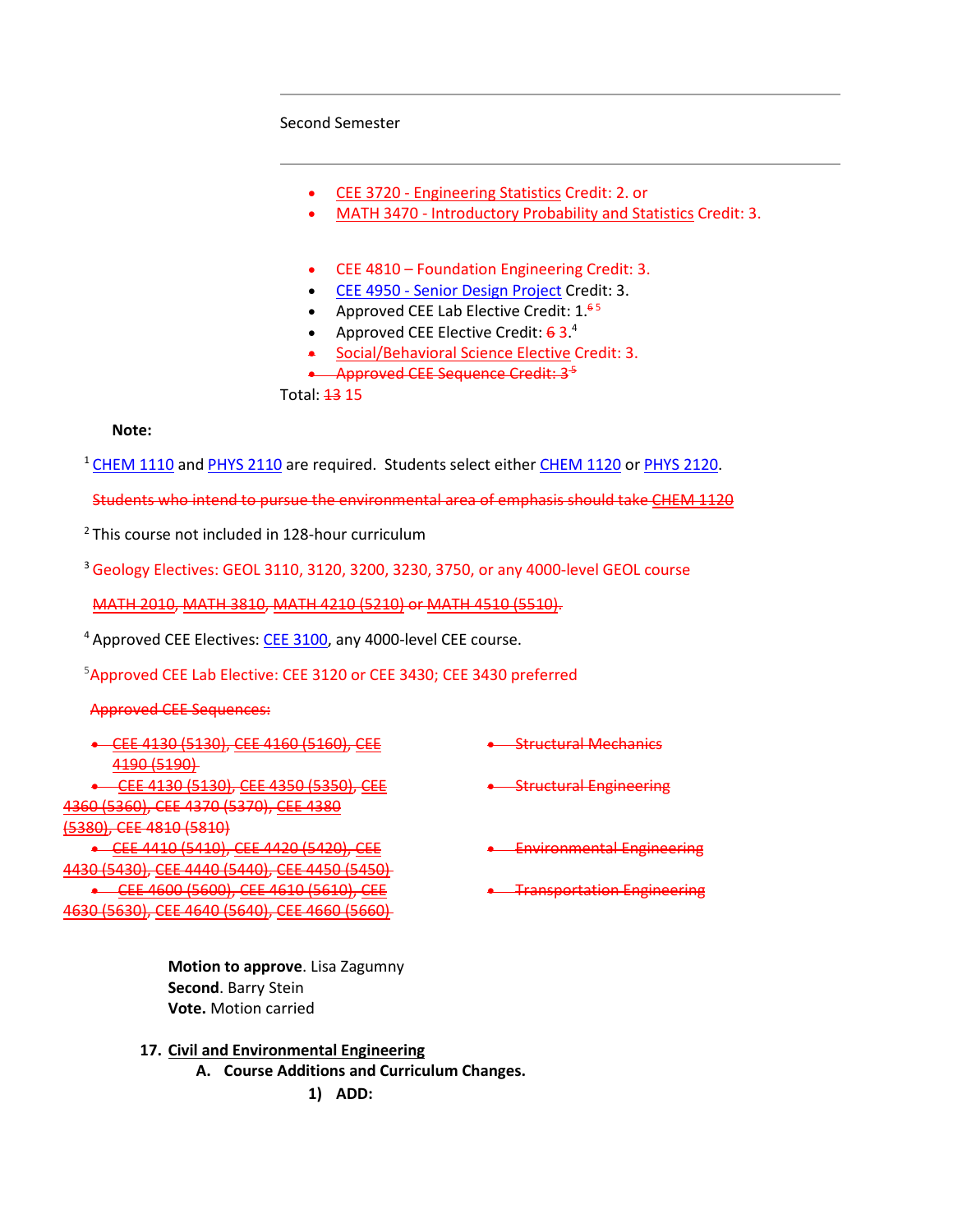#### Second Semester

- CEE 3720 [Engineering Statistics](http://catalog.tntech.edu/preview_program.php?catoid=27&poid=3241&returnto=5394) Credit: 2. or
- MATH 3470 [Introductory Probability and Statistics](http://catalog.tntech.edu/preview_program.php?catoid=27&poid=3241&returnto=5394) Credit: 3.
- CEE 4810 Foundation Engineering Credit: 3.
- CEE 4950 [Senior Design Project](http://catalog.tntech.edu/preview_program.php?catoid=27&poid=3241&returnto=5394) Credit: 3.
- Approved CEE Lab Elective Credit:  $1^{65}$
- Approved CEE Elective Credit:  $63.<sup>4</sup>$
- [Social/Behavioral Science Elective](http://catalog.tntech.edu/content.php?catoid=27&navoid=5438#Social_Behavioral_Sciences) Credit: 3.
- Approved CEE Sequence Credit: 3<sup>5</sup>

Total: 13 15

### **Note:**

<sup>1</sup> [CHEM 1110](http://catalog.tntech.edu/preview_program.php?catoid=27&poid=3241&returnto=5394#tt2483) and [PHYS](http://catalog.tntech.edu/preview_program.php?catoid=27&poid=3241&returnto=5394#tt4009) 2110 are required. Students select either [CHEM 1120](http://catalog.tntech.edu/preview_program.php?catoid=27&poid=3241&returnto=5394#tt3466) or [PHYS 2120.](http://catalog.tntech.edu/preview_program.php?catoid=27&poid=3241&returnto=5394#tt770)

Students who intend to pursue the environmental area of emphasis should take [CHEM 1120](http://catalog.tntech.edu/preview_program.php?catoid=27&poid=3241&returnto=5394#tt992)

<sup>2</sup> This course not included in 128-hour curriculum

<sup>3</sup> Geology Electives: GEOL 3110, 3120, 3200, 3230, 3750, or any 4000-level GEOL course

[MATH 2010,](http://catalog.tntech.edu/preview_program.php?catoid=27&poid=3241&returnto=5394#tt4768) [MATH 3810,](http://catalog.tntech.edu/preview_program.php?catoid=27&poid=3241&returnto=5394#tt6690) [MATH 4210 \(5210\)](http://catalog.tntech.edu/preview_program.php?catoid=27&poid=3241&returnto=5394#tt551) or [MATH 4510 \(5510\).](http://catalog.tntech.edu/preview_program.php?catoid=27&poid=3241&returnto=5394#tt925)

<sup>4</sup> Approved CEE Electives: [CEE 3100,](http://catalog.tntech.edu/preview_program.php?catoid=27&poid=3241&returnto=5394#tt4826) any 4000-level CEE course.

5 Approved CEE Lab Elective: CEE 3120 or CEE 3430; CEE 3430 preferred

### Approved CEE Sequences:

| <u>CEE 4130 (5130) CEE 4160 (5160) CEE</u>                         | <b>Structural Machanics</b>       |
|--------------------------------------------------------------------|-----------------------------------|
| 119015190<br>12-23-23-23-23-2                                      |                                   |
| <b>CEE 4130 (5130) CEE 4350 (5350) CEE</b>                         | -Structural Engineering           |
| <u>4360 (5360), CEE 4370 (5370), CEE 4380</u>                      |                                   |
| <u>I520AL CEE 101A I501AL</u><br><del>וטבסכן טבב 4017 וסטככן</del> |                                   |
| CEE 4410 (5410), CEE 4420 (5420), CEE                              | <b>Environmental Engineering</b>  |
| 4430 (5430), CEE 4440 (5440), CEE 4450 (5450)                      |                                   |
| CEE 4600 (5600), CEE 4610 (5610), CEE                              | <b>Transportation Engineering</b> |
| AC30~(EC30)<br>CEE AGAN (56AN) CEE AGGO ISGGOI<br>$\sigma$         |                                   |
|                                                                    |                                   |

**Motion to approve**. Lisa Zagumny **Second**. Barry Stein **Vote.** Motion carried

**17. Civil and Environmental Engineering A. Course Additions and Curriculum Changes. 1) ADD:**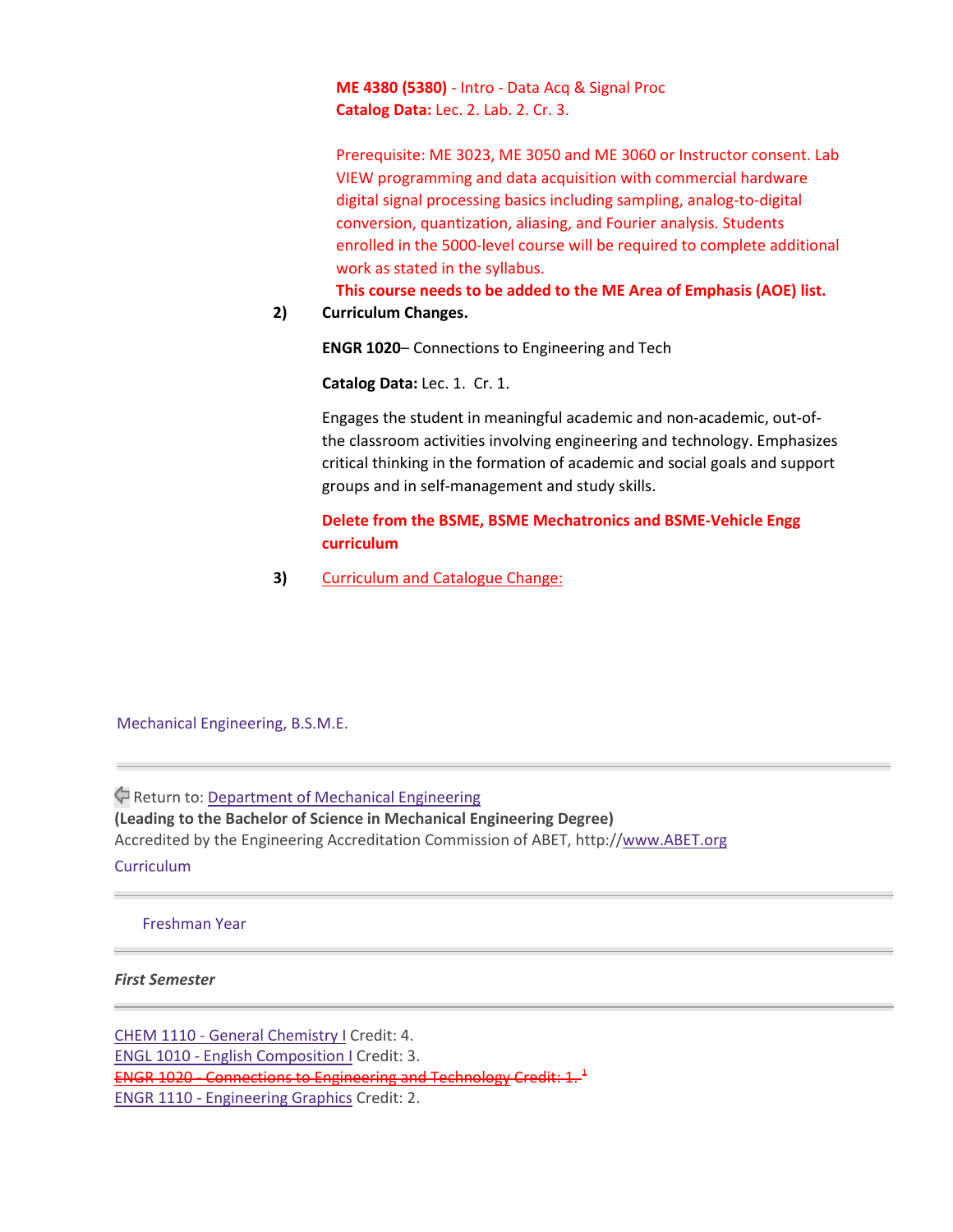**ME 4380 (5380)** - Intro - Data Acq & Signal Proc **Catalog Data:** Lec. 2. Lab. 2. Cr. 3.

Prerequisite: ME 3023, ME 3050 and ME 3060 or Instructor consent. Lab VIEW programming and data acquisition with commercial hardware digital signal processing basics including sampling, analog-to-digital conversion, quantization, aliasing, and Fourier analysis. Students enrolled in the 5000-level course will be required to complete additional work as stated in the syllabus.

**This course needs to be added to the ME Area of Emphasis (AOE) list.**

## **2) Curriculum Changes.**

**ENGR 1020**– Connections to Engineering and Tech

**Catalog Data:** Lec. 1. Cr. 1.

Engages the student in meaningful academic and non-academic, out-ofthe classroom activities involving engineering and technology. Emphasizes critical thinking in the formation of academic and social goals and support groups and in self-management and study skills.

## **Delete from the BSME, BSME Mechatronics and BSME-Vehicle Engg curriculum**

**3)** Curriculum and Catalogue Change:

Mechanical Engineering, B.S.M.E.

Return to[: Department](https://catalog.tntech.edu/content.php?catoid=29&navoid=5917) of Mechanical Engineering **(Leading to the Bachelor of Science in Mechanical Engineering Degree)** Accredited by the Engineering Accreditation Commission of ABET, http:/[/www.ABET.org](http://www.abet.org/) **Curriculum** 

#### Freshman Year

### *First Semester*

CHEM 1110 - General [Chemistry](https://catalog.tntech.edu/preview_program.php?catoid=29&poid=3627&returnto=5917) I Credit: 4. ENGL 1010 - English [Composition](https://catalog.tntech.edu/preview_program.php?catoid=29&poid=3627&returnto=5917) I Credit: 3. ENGR 1020 - [Connections](https://catalog.tntech.edu/preview_program.php?catoid=29&poid=3627&returnto=5917) to Engineering and Technology Credit: 1. <sup>1</sup> ENGR 1110 - [Engineering](https://catalog.tntech.edu/preview_program.php?catoid=29&poid=3627&returnto=5917) Graphics Credit: 2.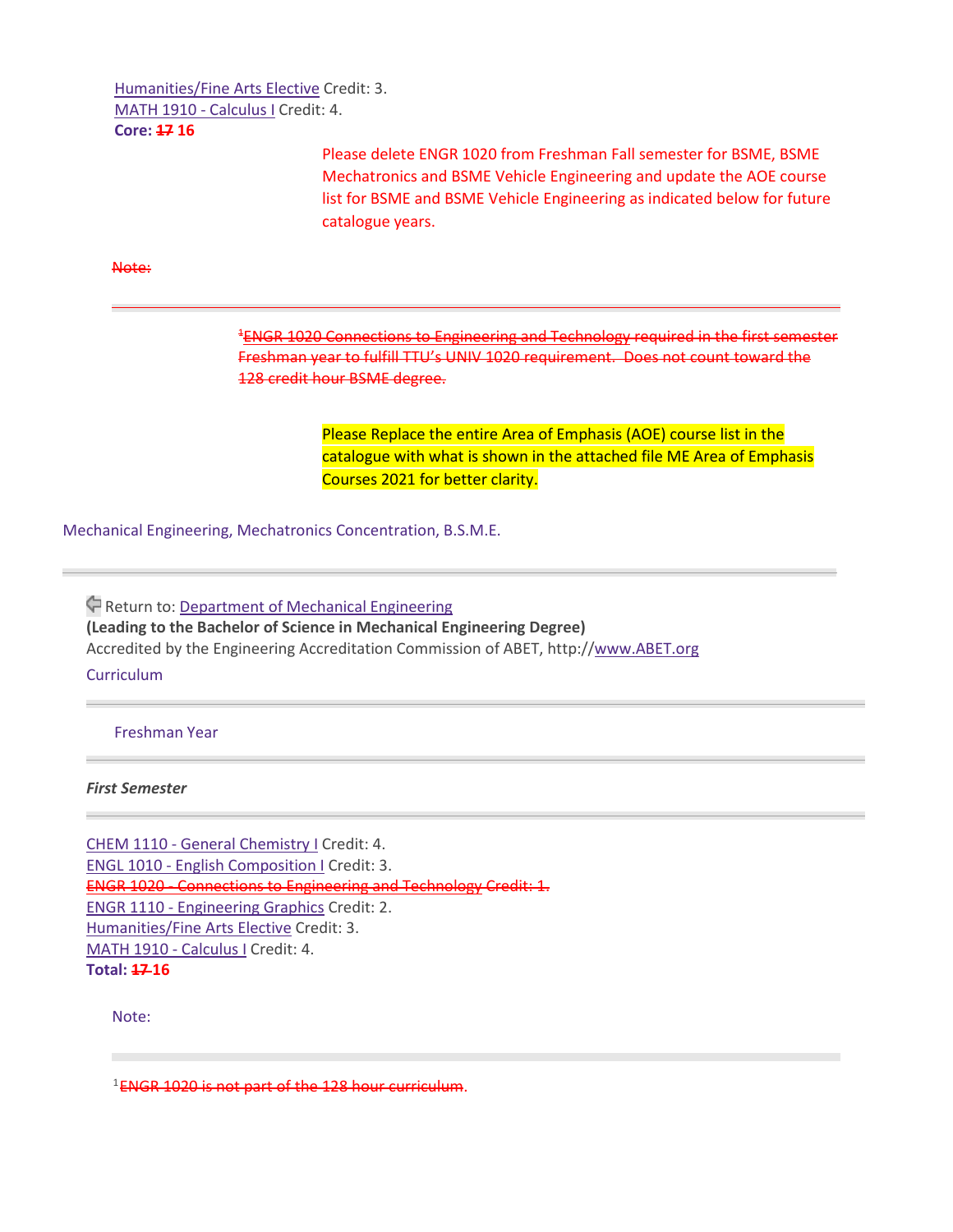[Humanities/Fine](https://catalog.tntech.edu/content.php?catoid=29&navoid=5957#Humanities_and_or_Fine_Arts) Arts Elective Credit: 3. MATH 1910 - [Calculus](https://catalog.tntech.edu/preview_program.php?catoid=29&poid=3627&returnto=5917) I Credit: 4. **Core: 17 16**

> Please delete ENGR 1020 from Freshman Fall semester for BSME, BSME Mechatronics and BSME Vehicle Engineering and update the AOE course list for BSME and BSME Vehicle Engineering as indicated below for future catalogue years.

Note:

<sup>1</sup>ENGR 1020 [Connections](https://catalog.tntech.edu/preview_program.php?catoid=29&poid=3627&returnto=5917#tt4417) to Engineering and Technology required in the first semester Freshman year to fulfill TTU's UNIV 1020 requirement. Does not count toward the 128 credit hour BSME degree.

> Please Replace the entire Area of Emphasis (AOE) course list in the catalogue with what is shown in the attached file ME Area of Emphasis Courses 2021 for better clarity.

Mechanical Engineering, Mechatronics Concentration, B.S.M.E.

Return to: [Department](https://catalog.tntech.edu/content.php?catoid=29&navoid=5917) of Mechanical Engineering **(Leading to the Bachelor of Science in Mechanical Engineering Degree)** Accredited by the Engineering Accreditation Commission of ABET, http:/[/www.ABET.org](http://www.abet.org/)

**Curriculum** 

Freshman Year

*First Semester*

CHEM 1110 - General [Chemistry](https://catalog.tntech.edu/preview_program.php?catoid=29&poid=3686&returnto=5917) I Credit: 4. ENGL 1010 - English [Composition](https://catalog.tntech.edu/preview_program.php?catoid=29&poid=3686&returnto=5917) I Credit: 3. ENGR 1020 - [Connections](https://catalog.tntech.edu/preview_program.php?catoid=29&poid=3686&returnto=5917) to Engineering and Technology Credit: 1. ENGR 1110 - [Engineering](https://catalog.tntech.edu/preview_program.php?catoid=29&poid=3686&returnto=5917) Graphics Credit: 2. [Humanities/Fine](https://catalog.tntech.edu/content.php?catoid=29&navoid=5957#Humanities_and_or_Fine_Arts) Arts Elective Credit: 3. MATH 1910 - [Calculus](https://catalog.tntech.edu/preview_program.php?catoid=29&poid=3686&returnto=5917) I Credit: 4. **Total: 17 16**

Note:

 $1$ ENGR 1020 is not part of the 128 hour curriculum.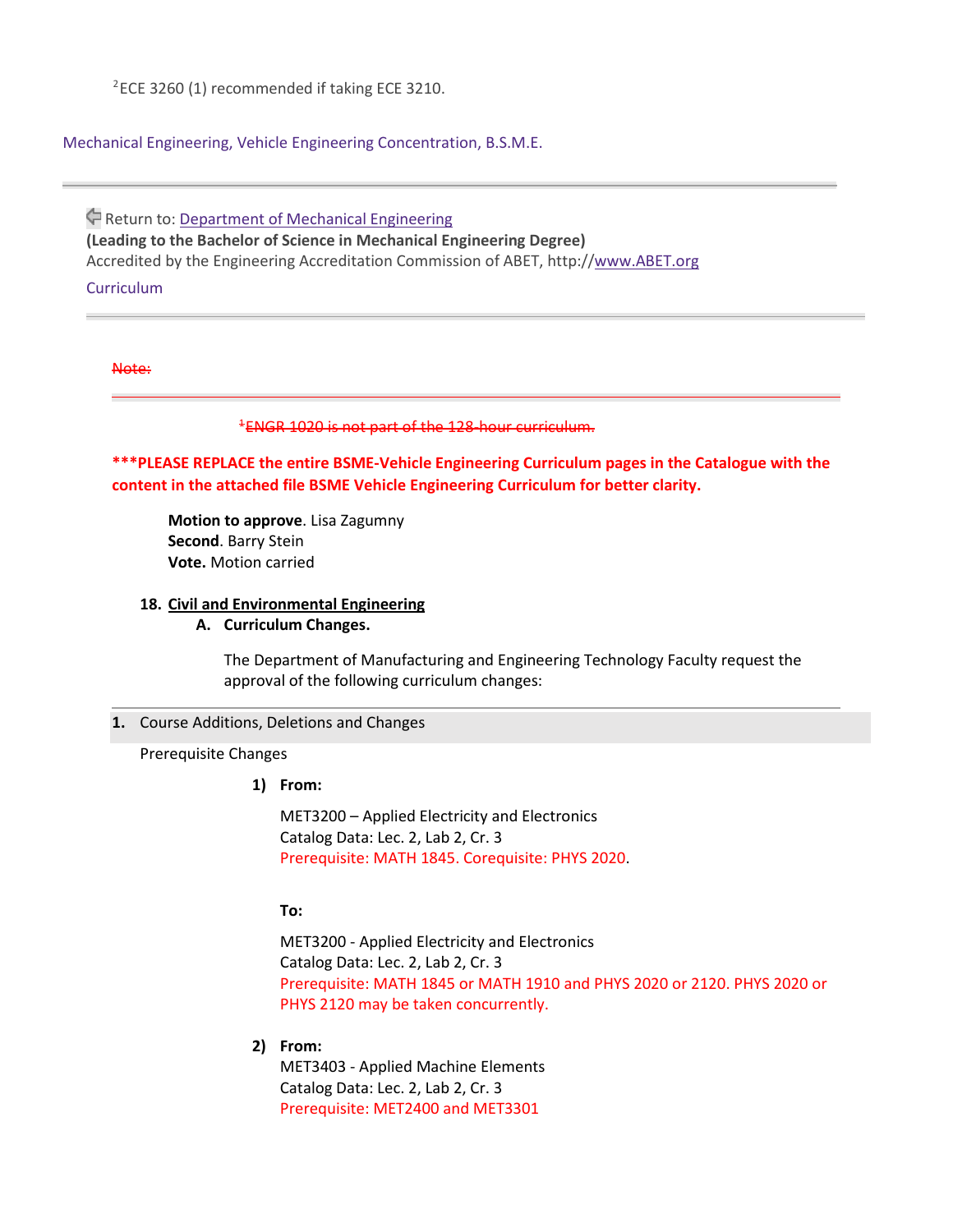#### Mechanical Engineering, Vehicle Engineering Concentration, B.S.M.E.

Return to: [Department](https://catalog.tntech.edu/content.php?catoid=29&navoid=5917) of Mechanical Engineering **(Leading to the Bachelor of Science in Mechanical Engineering Degree)** Accredited by the Engineering Accreditation Commission of ABET, http:/[/www.ABET.org](http://www.abet.org/) **Curriculum** 

#### Note:

<sup>1</sup>ENGR 1020 is not part of the 128-hour curriculum.

**\*\*\*PLEASE REPLACE the entire BSME-Vehicle Engineering Curriculum pages in the Catalogue with the content in the attached file BSME Vehicle Engineering Curriculum for better clarity.** 

**Motion to approve**. Lisa Zagumny **Second**. Barry Stein **Vote.** Motion carried

#### **18. Civil and Environmental Engineering**

**A. Curriculum Changes.**

The Department of Manufacturing and Engineering Technology Faculty request the approval of the following curriculum changes:

#### **1.** Course Additions, Deletions and Changes

Prerequisite Changes

#### **1) From:**

MET3200 – Applied Electricity and Electronics Catalog Data: Lec. 2, Lab 2, Cr. 3 Prerequisite: MATH 1845. Corequisite: PHYS 2020.

### **To:**

MET3200 - Applied Electricity and Electronics Catalog Data: Lec. 2, Lab 2, Cr. 3 Prerequisite: MATH 1845 or MATH 1910 and PHYS 2020 or 2120. PHYS 2020 or PHYS 2120 may be taken concurrently.

#### **2) From:**

MET3403 - Applied Machine Elements Catalog Data: Lec. 2, Lab 2, Cr. 3 Prerequisite: MET2400 and MET3301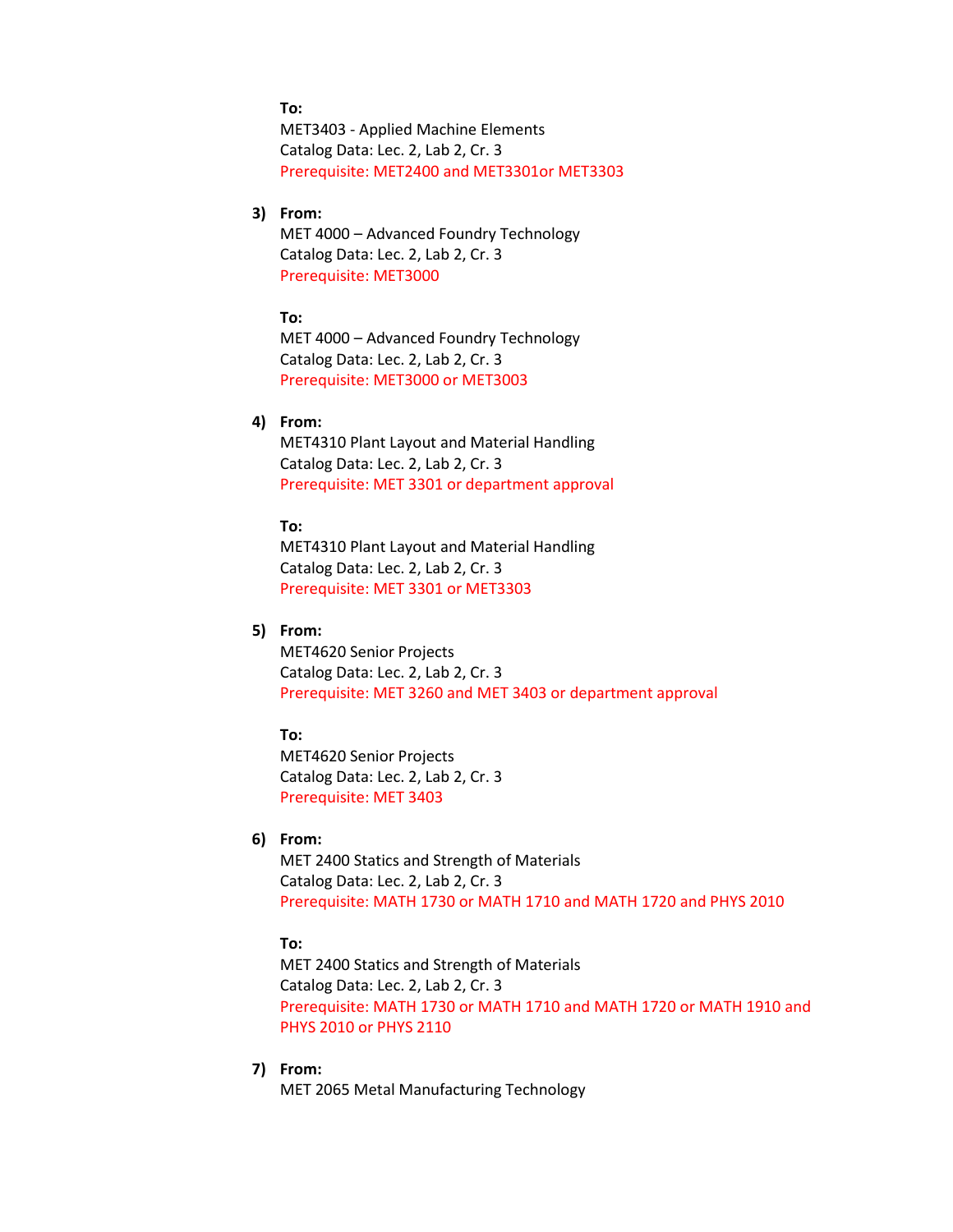**To:**

MET3403 - Applied Machine Elements Catalog Data: Lec. 2, Lab 2, Cr. 3 Prerequisite: MET2400 and MET3301or MET3303

### **3) From:**

MET 4000 – Advanced Foundry Technology Catalog Data: Lec. 2, Lab 2, Cr. 3 Prerequisite: MET3000

### **To:**

MET 4000 – Advanced Foundry Technology Catalog Data: Lec. 2, Lab 2, Cr. 3 Prerequisite: MET3000 or MET3003

### **4) From:**

MET4310 Plant Layout and Material Handling Catalog Data: Lec. 2, Lab 2, Cr. 3 Prerequisite: MET 3301 or department approval

#### **To:**

MET4310 Plant Layout and Material Handling Catalog Data: Lec. 2, Lab 2, Cr. 3 Prerequisite: MET 3301 or MET3303

### **5) From:**

MET4620 Senior Projects Catalog Data: Lec. 2, Lab 2, Cr. 3 Prerequisite: MET 3260 and MET 3403 or department approval

## **To:**

MET4620 Senior Projects Catalog Data: Lec. 2, Lab 2, Cr. 3 Prerequisite: MET 3403

### **6) From:**

MET 2400 Statics and Strength of Materials Catalog Data: Lec. 2, Lab 2, Cr. 3 Prerequisite: MATH 1730 or MATH 1710 and MATH 1720 and PHYS 2010

#### **To:**

MET 2400 Statics and Strength of Materials Catalog Data: Lec. 2, Lab 2, Cr. 3 Prerequisite: MATH 1730 or MATH 1710 and MATH 1720 or MATH 1910 and PHYS 2010 or PHYS 2110

### **7) From:**

MET 2065 Metal Manufacturing Technology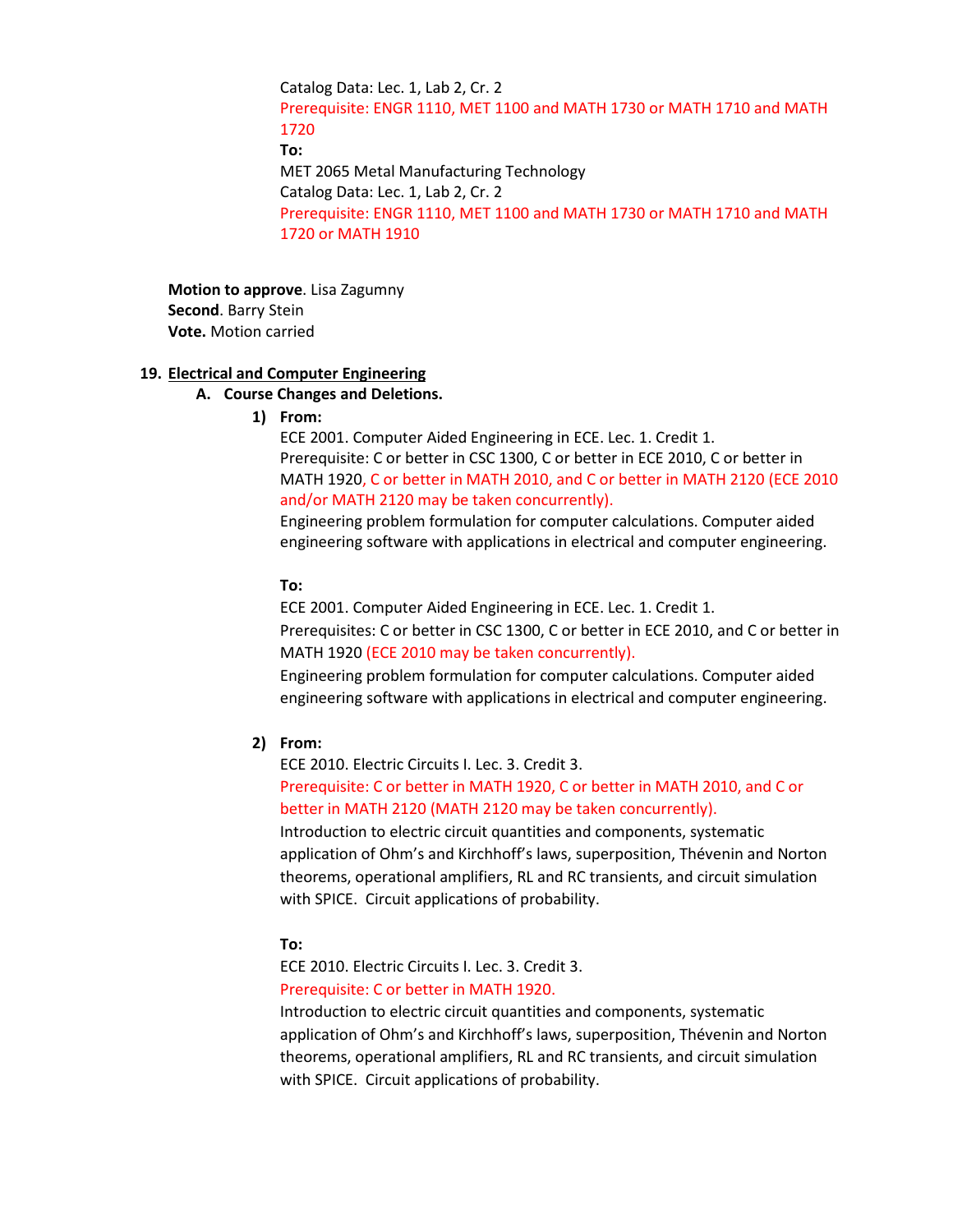Catalog Data: Lec. 1, Lab 2, Cr. 2 Prerequisite: ENGR 1110, MET 1100 and MATH 1730 or MATH 1710 and MATH 1720 **To:** MET 2065 Metal Manufacturing Technology Catalog Data: Lec. 1, Lab 2, Cr. 2 Prerequisite: ENGR 1110, MET 1100 and MATH 1730 or MATH 1710 and MATH 1720 or MATH 1910

**Motion to approve**. Lisa Zagumny **Second**. Barry Stein **Vote.** Motion carried

#### **19. Electrical and Computer Engineering**

- **A. Course Changes and Deletions.**
	- **1) From:**

ECE 2001. Computer Aided Engineering in ECE. Lec. 1. Credit 1. Prerequisite: C or better in CSC 1300, C or better in ECE 2010, C or better in MATH 1920, C or better in MATH 2010, and C or better in MATH 2120 (ECE 2010 and/or MATH 2120 may be taken concurrently).

Engineering problem formulation for computer calculations. Computer aided engineering software with applications in electrical and computer engineering.

#### **To:**

ECE 2001. Computer Aided Engineering in ECE. Lec. 1. Credit 1. Prerequisites: C or better in CSC 1300, C or better in ECE 2010, and C or better in MATH 1920 (ECE 2010 may be taken concurrently).

Engineering problem formulation for computer calculations. Computer aided engineering software with applications in electrical and computer engineering.

### **2) From:**

ECE 2010. Electric Circuits I. Lec. 3. Credit 3. Prerequisite: C or better in MATH 1920, C or better in MATH 2010, and C or better in MATH 2120 (MATH 2120 may be taken concurrently).

Introduction to electric circuit quantities and components, systematic application of Ohm's and Kirchhoff's laws, superposition, Thévenin and Norton theorems, operational amplifiers, RL and RC transients, and circuit simulation with SPICE. Circuit applications of probability.

#### **To:**

ECE 2010. Electric Circuits I. Lec. 3. Credit 3.

#### Prerequisite: C or better in MATH 1920.

Introduction to electric circuit quantities and components, systematic application of Ohm's and Kirchhoff's laws, superposition, Thévenin and Norton theorems, operational amplifiers, RL and RC transients, and circuit simulation with SPICE. Circuit applications of probability.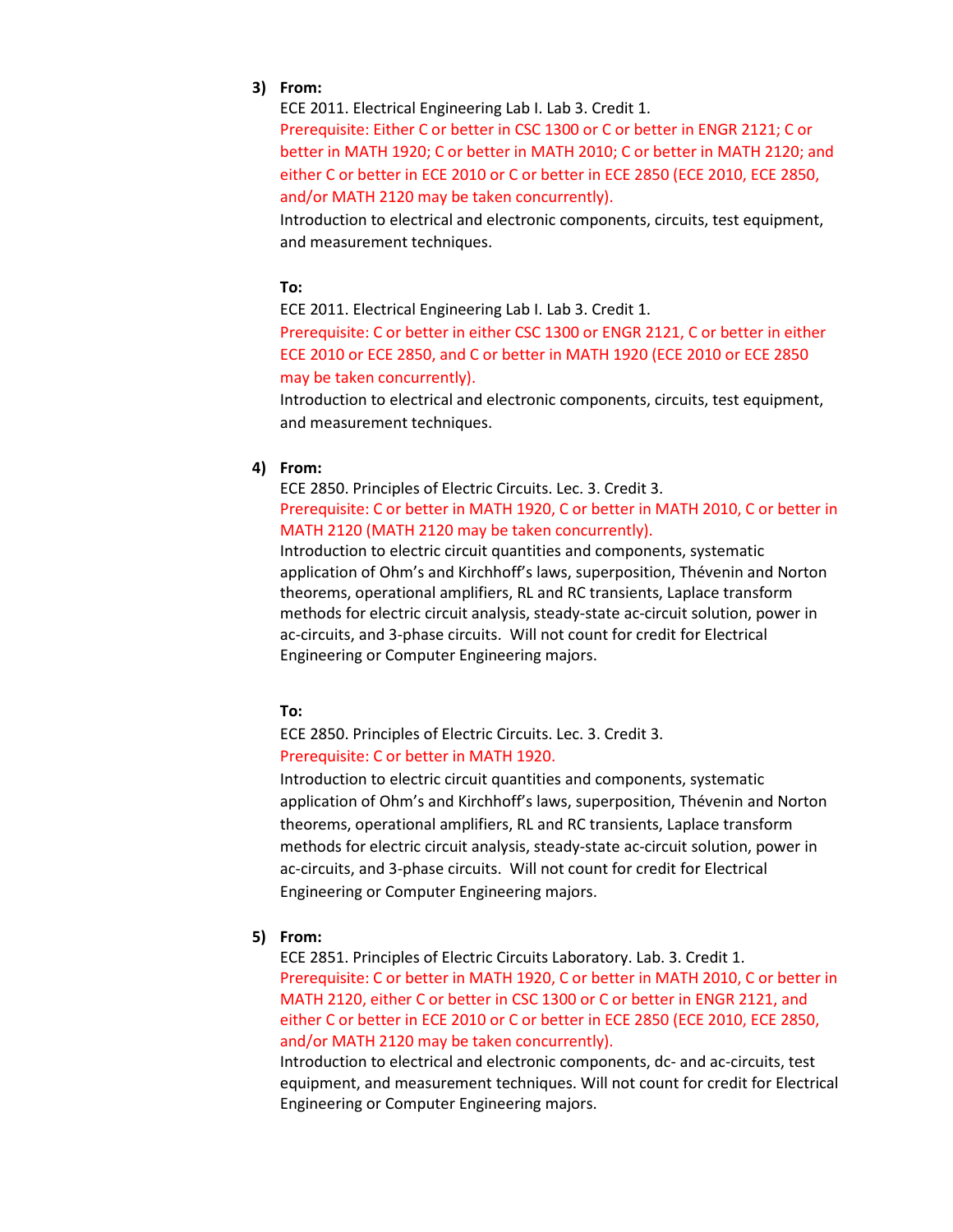#### **3) From:**

ECE 2011. Electrical Engineering Lab I. Lab 3. Credit 1.

Prerequisite: Either C or better in CSC 1300 or C or better in ENGR 2121; C or better in MATH 1920; C or better in MATH 2010; C or better in MATH 2120; and either C or better in ECE 2010 or C or better in ECE 2850 (ECE 2010, ECE 2850, and/or MATH 2120 may be taken concurrently).

Introduction to electrical and electronic components, circuits, test equipment, and measurement techniques.

### **To:**

ECE 2011. Electrical Engineering Lab I. Lab 3. Credit 1.

Prerequisite: C or better in either CSC 1300 or ENGR 2121, C or better in either ECE 2010 or ECE 2850, and C or better in MATH 1920 (ECE 2010 or ECE 2850 may be taken concurrently).

Introduction to electrical and electronic components, circuits, test equipment, and measurement techniques.

#### **4) From:**

ECE 2850. Principles of Electric Circuits. Lec. 3. Credit 3. Prerequisite: C or better in MATH 1920, C or better in MATH 2010, C or better in MATH 2120 (MATH 2120 may be taken concurrently).

Introduction to electric circuit quantities and components, systematic application of Ohm's and Kirchhoff's laws, superposition, Thévenin and Norton theorems, operational amplifiers, RL and RC transients, Laplace transform methods for electric circuit analysis, steady-state ac-circuit solution, power in ac-circuits, and 3-phase circuits. Will not count for credit for Electrical Engineering or Computer Engineering majors.

## **To:**

ECE 2850. Principles of Electric Circuits. Lec. 3. Credit 3. Prerequisite: C or better in MATH 1920.

Introduction to electric circuit quantities and components, systematic application of Ohm's and Kirchhoff's laws, superposition, Thévenin and Norton theorems, operational amplifiers, RL and RC transients, Laplace transform methods for electric circuit analysis, steady-state ac-circuit solution, power in ac-circuits, and 3-phase circuits. Will not count for credit for Electrical Engineering or Computer Engineering majors.

#### **5) From:**

ECE 2851. Principles of Electric Circuits Laboratory. Lab. 3. Credit 1. Prerequisite: C or better in MATH 1920, C or better in MATH 2010, C or better in MATH 2120, either C or better in CSC 1300 or C or better in ENGR 2121, and either C or better in ECE 2010 or C or better in ECE 2850 (ECE 2010, ECE 2850, and/or MATH 2120 may be taken concurrently).

Introduction to electrical and electronic components, dc- and ac-circuits, test equipment, and measurement techniques. Will not count for credit for Electrical Engineering or Computer Engineering majors.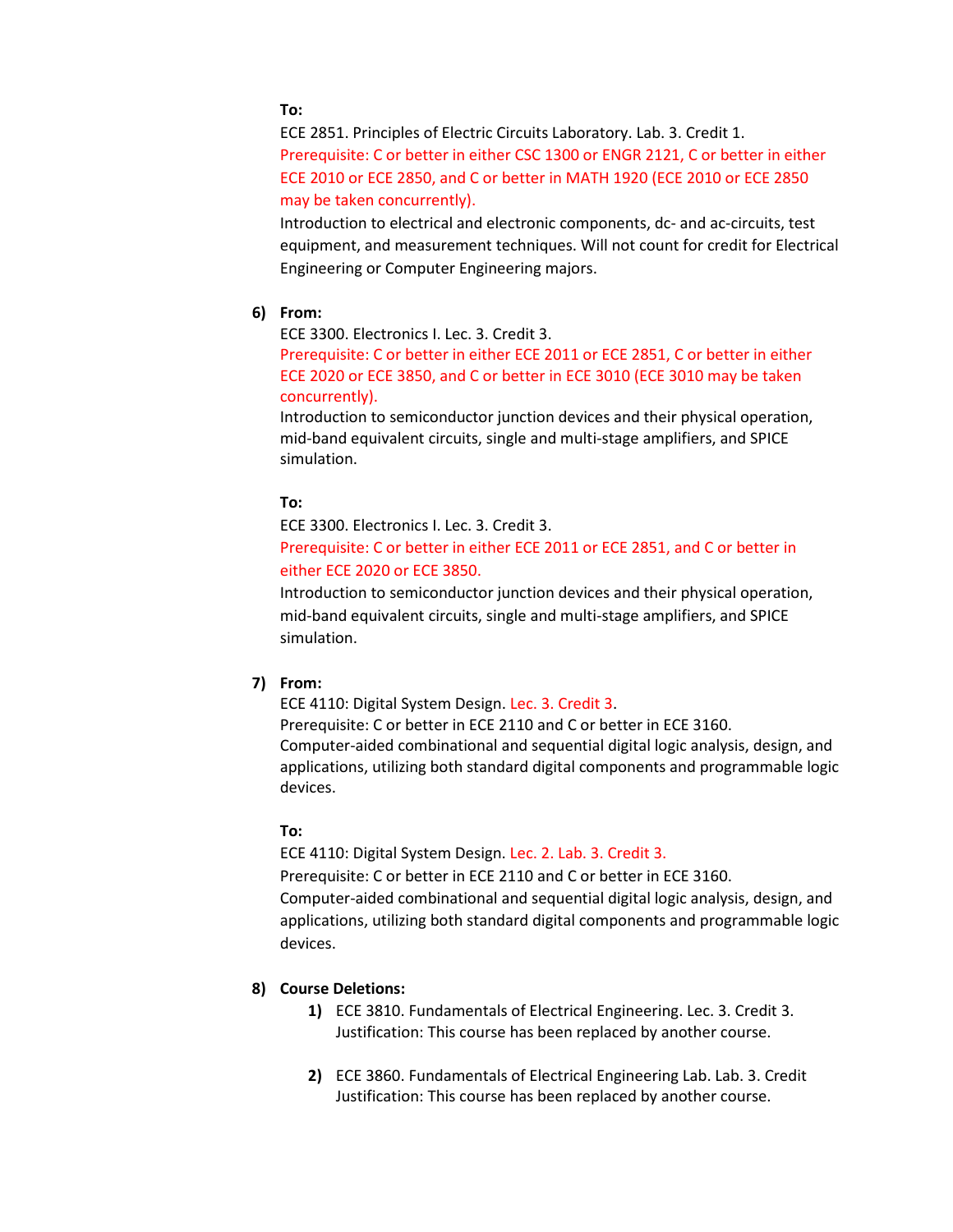**To:** 

ECE 2851. Principles of Electric Circuits Laboratory. Lab. 3. Credit 1. Prerequisite: C or better in either CSC 1300 or ENGR 2121, C or better in either ECE 2010 or ECE 2850, and C or better in MATH 1920 (ECE 2010 or ECE 2850 may be taken concurrently).

Introduction to electrical and electronic components, dc- and ac-circuits, test equipment, and measurement techniques. Will not count for credit for Electrical Engineering or Computer Engineering majors.

### **6) From:**

ECE 3300. Electronics I. Lec. 3. Credit 3.

Prerequisite: C or better in either ECE 2011 or ECE 2851, C or better in either ECE 2020 or ECE 3850, and C or better in ECE 3010 (ECE 3010 may be taken concurrently).

Introduction to semiconductor junction devices and their physical operation, mid-band equivalent circuits, single and multi-stage amplifiers, and SPICE simulation.

### **To:**

ECE 3300. Electronics I. Lec. 3. Credit 3.

## Prerequisite: C or better in either ECE 2011 or ECE 2851, and C or better in either ECE 2020 or ECE 3850.

Introduction to semiconductor junction devices and their physical operation, mid-band equivalent circuits, single and multi-stage amplifiers, and SPICE simulation.

### **7) From:**

ECE 4110: Digital System Design. Lec. 3. Credit 3. Prerequisite: C or better in ECE 2110 and C or better in ECE 3160. Computer-aided combinational and sequential digital logic analysis, design, and applications, utilizing both standard digital components and programmable logic devices.

#### **To:**

ECE 4110: Digital System Design. Lec. 2. Lab. 3. Credit 3. Prerequisite: C or better in ECE 2110 and C or better in ECE 3160. Computer-aided combinational and sequential digital logic analysis, design, and applications, utilizing both standard digital components and programmable logic devices.

### **8) Course Deletions:**

- **1)** ECE 3810. Fundamentals of Electrical Engineering. Lec. 3. Credit 3. Justification: This course has been replaced by another course.
- **2)** ECE 3860. Fundamentals of Electrical Engineering Lab. Lab. 3. Credit Justification: This course has been replaced by another course.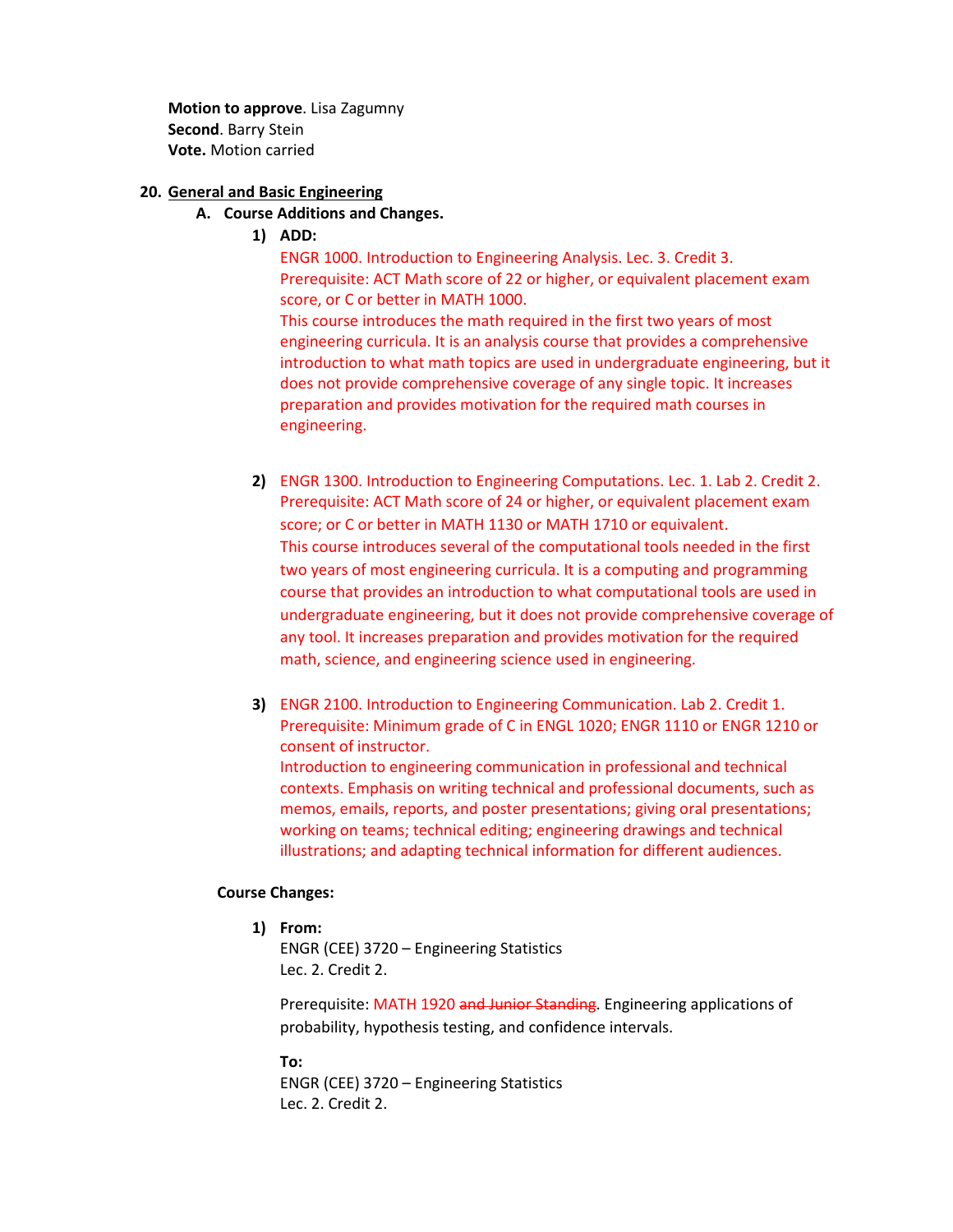**Motion to approve**. Lisa Zagumny **Second**. Barry Stein **Vote.** Motion carried

### **20. General and Basic Engineering**

## **A. Course Additions and Changes.**

**1) ADD:**

ENGR 1000. Introduction to Engineering Analysis. Lec. 3. Credit 3. Prerequisite: ACT Math score of 22 or higher, or equivalent placement exam score, or C or better in MATH 1000. This course introduces the math required in the first two years of most engineering curricula. It is an analysis course that provides a comprehensive introduction to what math topics are used in undergraduate engineering, but it does not provide comprehensive coverage of any single topic. It increases preparation and provides motivation for the required math courses in engineering.

- **2)** ENGR 1300. Introduction to Engineering Computations. Lec. 1. Lab 2. Credit 2. Prerequisite: ACT Math score of 24 or higher, or equivalent placement exam score; or C or better in MATH 1130 or MATH 1710 or equivalent. This course introduces several of the computational tools needed in the first two years of most engineering curricula. It is a computing and programming course that provides an introduction to what computational tools are used in undergraduate engineering, but it does not provide comprehensive coverage of any tool. It increases preparation and provides motivation for the required math, science, and engineering science used in engineering.
- **3)** ENGR 2100. Introduction to Engineering Communication. Lab 2. Credit 1. Prerequisite: Minimum grade of C in ENGL 1020; ENGR 1110 or ENGR 1210 or consent of instructor. Introduction to engineering communication in professional and technical contexts. Emphasis on writing technical and professional documents, such as memos, emails, reports, and poster presentations; giving oral presentations; working on teams; technical editing; engineering drawings and technical illustrations; and adapting technical information for different audiences.

### **Course Changes:**

**1) From:**

ENGR (CEE) 3720 – Engineering Statistics Lec. 2. Credit 2.

Prerequisite: MATH 1920 and Junior Standing. Engineering applications of probability, hypothesis testing, and confidence intervals.

**To:** ENGR (CEE) 3720 – Engineering Statistics Lec. 2. Credit 2.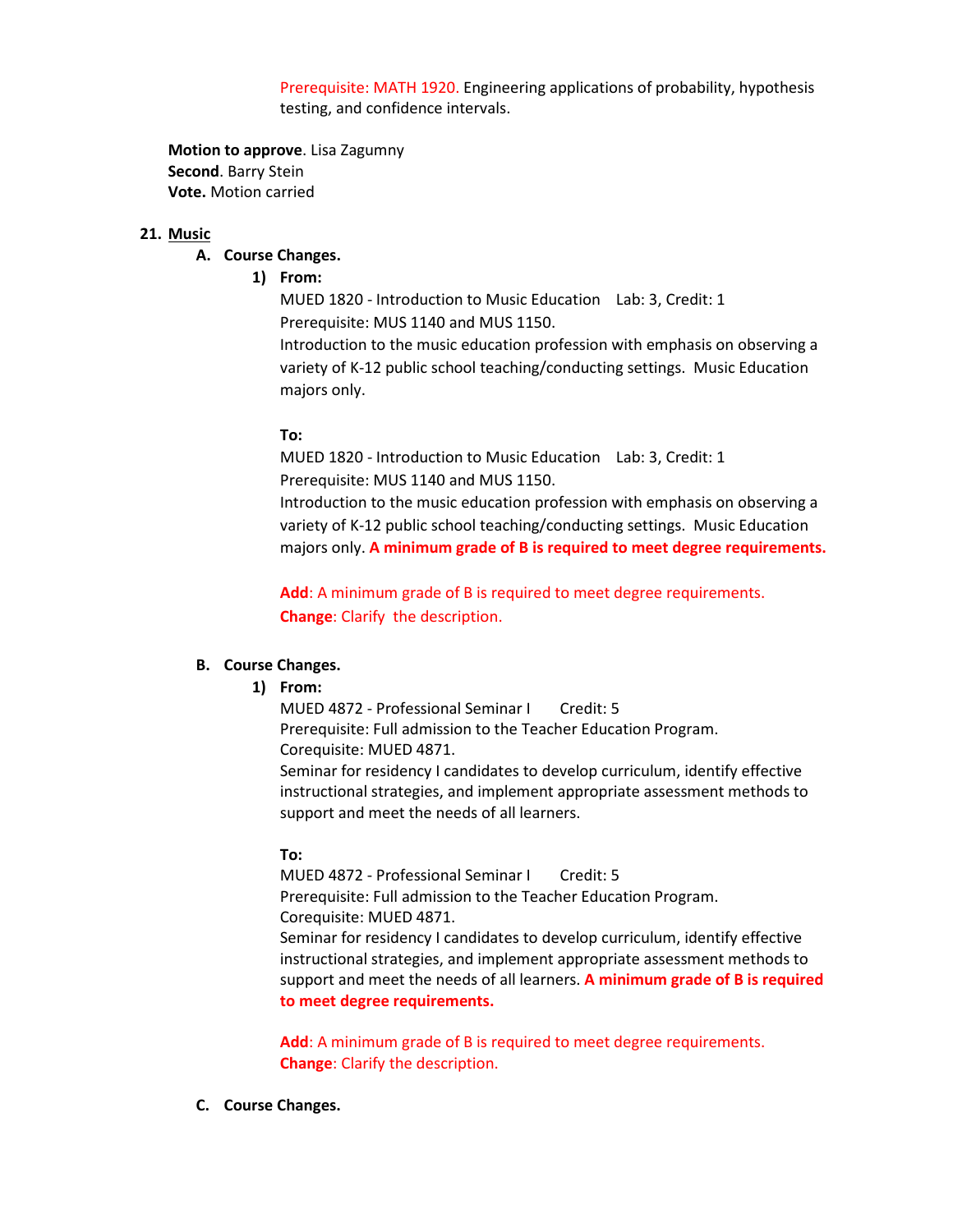Prerequisite: MATH 1920. Engineering applications of probability, hypothesis testing, and confidence intervals.

**Motion to approve**. Lisa Zagumny **Second**. Barry Stein **Vote.** Motion carried

#### **21. Music**

## **A. Course Changes.**

## **1) From:**

MUED 1820 - Introduction to Music Education Lab: 3, Credit: 1 Prerequisite: MUS 1140 and MUS 1150.

Introduction to the music education profession with emphasis on observing a variety of K-12 public school teaching/conducting settings. Music Education majors only.

#### **To:**

MUED 1820 - Introduction to Music Education Lab: 3, Credit: 1 Prerequisite: MUS 1140 and MUS 1150.

Introduction to the music education profession with emphasis on observing a variety of K-12 public school teaching/conducting settings. Music Education majors only. **A minimum grade of B is required to meet degree requirements.**

**Add**: A minimum grade of B is required to meet degree requirements. **Change**: Clarify the description.

## **B. Course Changes.**

### **1) From:**

MUED 4872 - Professional Seminar I Credit: 5 Prerequisite: Full admission to the Teacher Education Program. Corequisite: MUED 4871. Seminar for residency I candidates to develop curriculum, identify effective

instructional strategies, and implement appropriate assessment methods to support and meet the needs of all learners.

## **To:**

MUED 4872 - Professional Seminar I Credit: 5 Prerequisite: Full admission to the Teacher Education Program. Corequisite: MUED 4871. Seminar for residency I candidates to develop curriculum, identify effective instructional strategies, and implement appropriate assessment methods to support and meet the needs of all learners. **A minimum grade of B is required to meet degree requirements.**

**Add**: A minimum grade of B is required to meet degree requirements. **Change**: Clarify the description.

### **C. Course Changes.**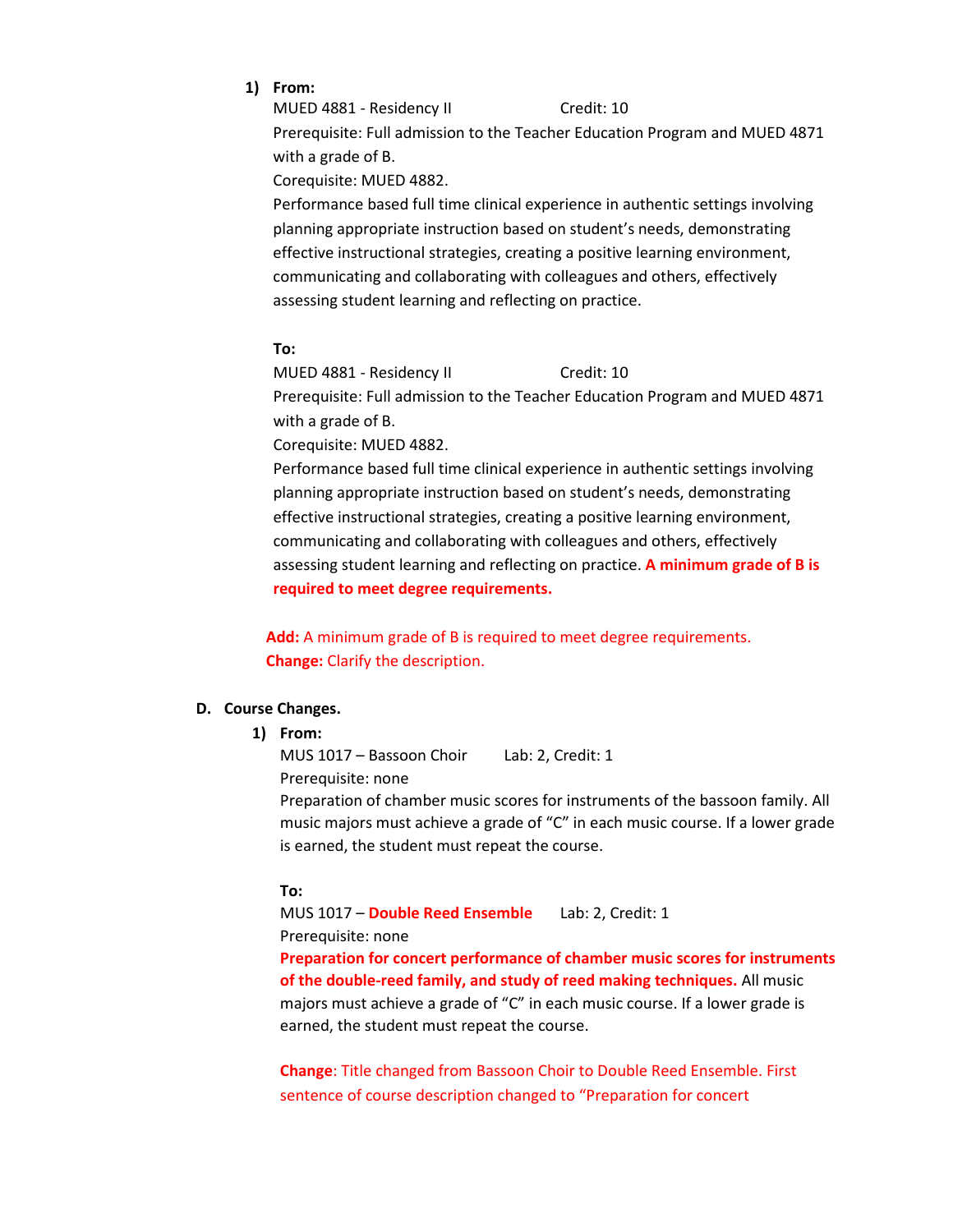**1) From:**

MUED 4881 - Residency II Credit: 10

Prerequisite: Full admission to the Teacher Education Program and MUED 4871 with a grade of B.

Corequisite: MUED 4882.

Performance based full time clinical experience in authentic settings involving planning appropriate instruction based on student's needs, demonstrating effective instructional strategies, creating a positive learning environment, communicating and collaborating with colleagues and others, effectively assessing student learning and reflecting on practice.

## **To:**

MUED 4881 - Residency II Credit: 10

Prerequisite: Full admission to the Teacher Education Program and MUED 4871 with a grade of B.

Corequisite: MUED 4882.

Performance based full time clinical experience in authentic settings involving planning appropriate instruction based on student's needs, demonstrating effective instructional strategies, creating a positive learning environment, communicating and collaborating with colleagues and others, effectively assessing student learning and reflecting on practice. **A minimum grade of B is required to meet degree requirements.**

**Add:** A minimum grade of B is required to meet degree requirements. **Change:** Clarify the description.

## **D. Course Changes.**

### **1) From:**

MUS 1017 – Bassoon Choir Lab: 2, Credit: 1 Prerequisite: none Preparation of chamber music scores for instruments of the bassoon family. All music majors must achieve a grade of "C" in each music course. If a lower grade

## **To:**

MUS 1017 – **Double Reed Ensemble** Lab: 2, Credit: 1 Prerequisite: none

is earned, the student must repeat the course.

**Preparation for concert performance of chamber music scores for instruments of the double-reed family, and study of reed making techniques.** All music majors must achieve a grade of "C" in each music course. If a lower grade is earned, the student must repeat the course.

**Change**: Title changed from Bassoon Choir to Double Reed Ensemble. First sentence of course description changed to "Preparation for concert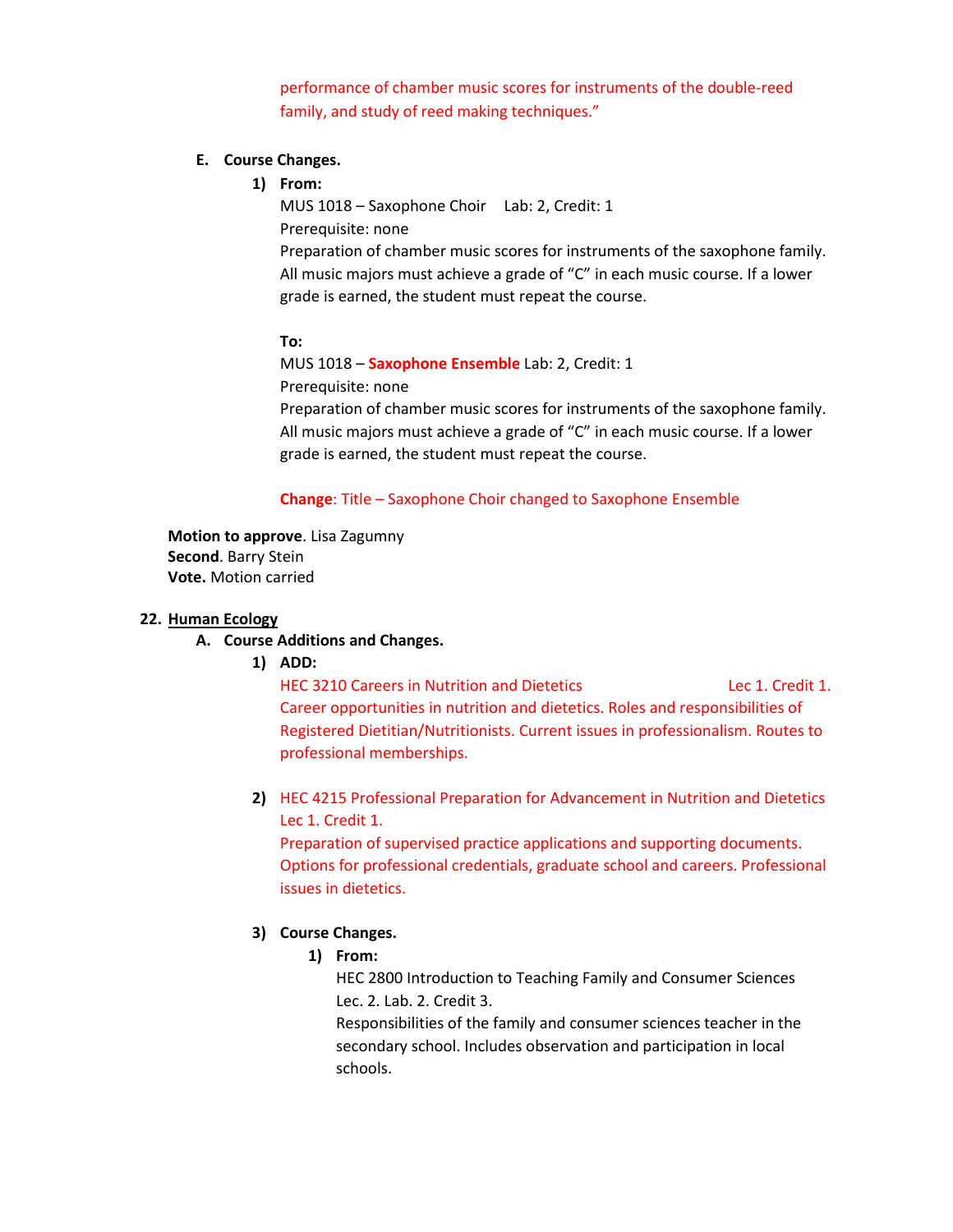performance of chamber music scores for instruments of the double-reed family, and study of reed making techniques."

## **E. Course Changes.**

**1) From:**

MUS 1018 – Saxophone Choir Lab: 2, Credit: 1 Prerequisite: none Preparation of chamber music scores for instruments of the saxophone family. All music majors must achieve a grade of "C" in each music course. If a lower grade is earned, the student must repeat the course.

#### **To:**

MUS 1018 – **Saxophone Ensemble** Lab: 2, Credit: 1 Prerequisite: none Preparation of chamber music scores for instruments of the saxophone family. All music majors must achieve a grade of "C" in each music course. If a lower grade is earned, the student must repeat the course.

### **Change**: Title – Saxophone Choir changed to Saxophone Ensemble

**Motion to approve**. Lisa Zagumny **Second**. Barry Stein **Vote.** Motion carried

### **22. Human Ecology**

- **A. Course Additions and Changes.**
	- **1) ADD:**

HEC 3210 Careers in Nutrition and Dietetics Lec 1. Credit 1. Career opportunities in nutrition and dietetics. Roles and responsibilities of Registered Dietitian/Nutritionists. Current issues in professionalism. Routes to professional memberships.

**2)** HEC 4215 Professional Preparation for Advancement in Nutrition and Dietetics Lec 1. Credit 1.

Preparation of supervised practice applications and supporting documents. Options for professional credentials, graduate school and careers. Professional issues in dietetics.

## **3) Course Changes.**

#### **1) From:**

HEC 2800 Introduction to Teaching Family and Consumer Sciences Lec. 2. Lab. 2. Credit 3.

Responsibilities of the family and consumer sciences teacher in the secondary school. Includes observation and participation in local schools.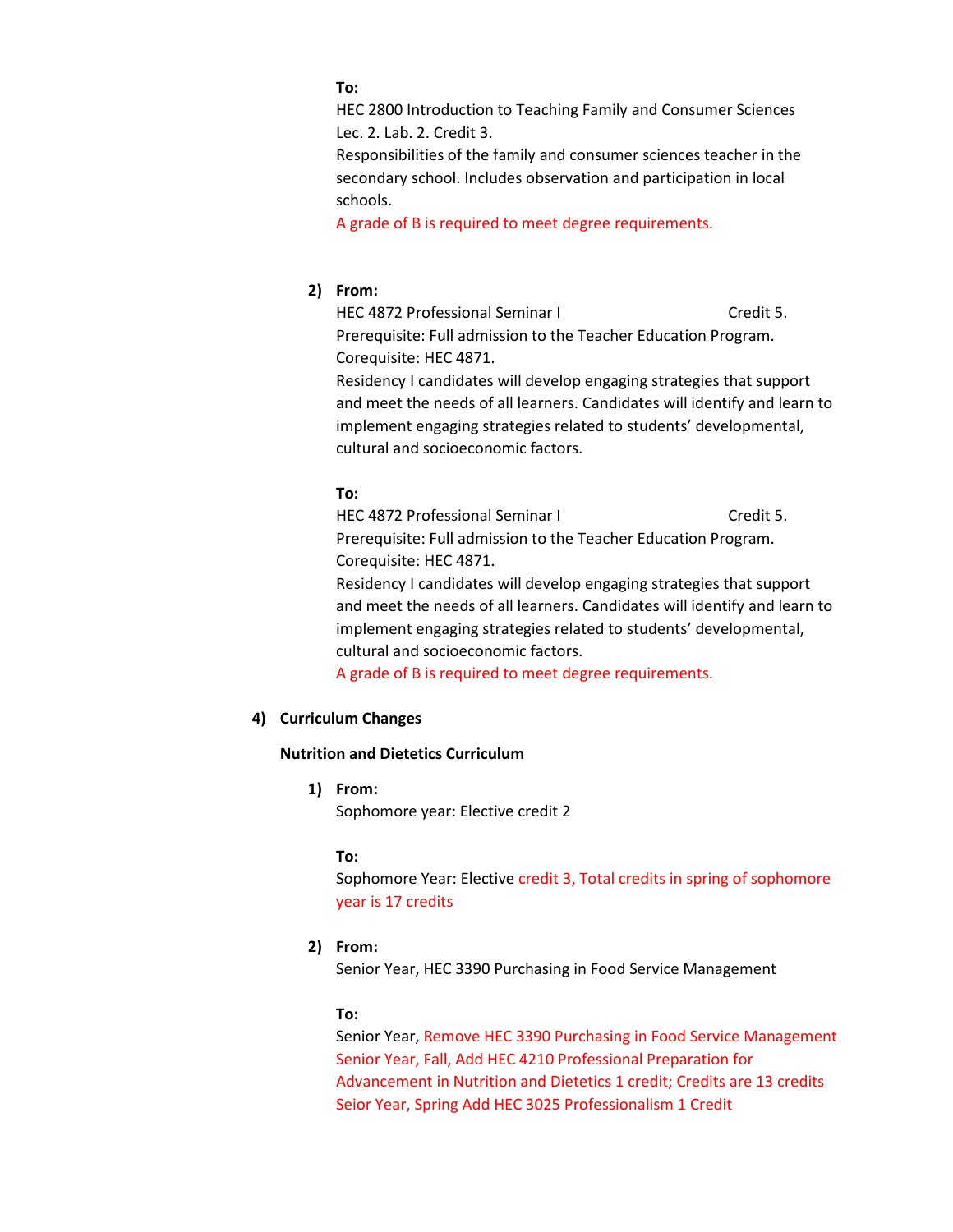### **To:**

HEC 2800 Introduction to Teaching Family and Consumer Sciences Lec. 2. Lab. 2. Credit 3.

Responsibilities of the family and consumer sciences teacher in the secondary school. Includes observation and participation in local schools.

A grade of B is required to meet degree requirements.

## **2) From:**

HEC 4872 Professional Seminar I Credit 5. Prerequisite: Full admission to the Teacher Education Program. Corequisite: HEC 4871.

Residency I candidates will develop engaging strategies that support and meet the needs of all learners. Candidates will identify and learn to implement engaging strategies related to students' developmental, cultural and socioeconomic factors.

#### **To:**

HEC 4872 Professional Seminar I Credit 5. Prerequisite: Full admission to the Teacher Education Program. Corequisite: HEC 4871. Residency I candidates will develop engaging strategies that support and meet the needs of all learners. Candidates will identify and learn to implement engaging strategies related to students' developmental, cultural and socioeconomic factors.

A grade of B is required to meet degree requirements.

## **4) Curriculum Changes**

## **Nutrition and Dietetics Curriculum**

**1) From:**

Sophomore year: Elective credit 2

### **To:**

Sophomore Year: Elective credit 3, Total credits in spring of sophomore year is 17 credits

### **2) From:**

Senior Year, HEC 3390 Purchasing in Food Service Management

### **To:**

Senior Year, Remove HEC 3390 Purchasing in Food Service Management Senior Year, Fall, Add HEC 4210 Professional Preparation for Advancement in Nutrition and Dietetics 1 credit; Credits are 13 credits Seior Year, Spring Add HEC 3025 Professionalism 1 Credit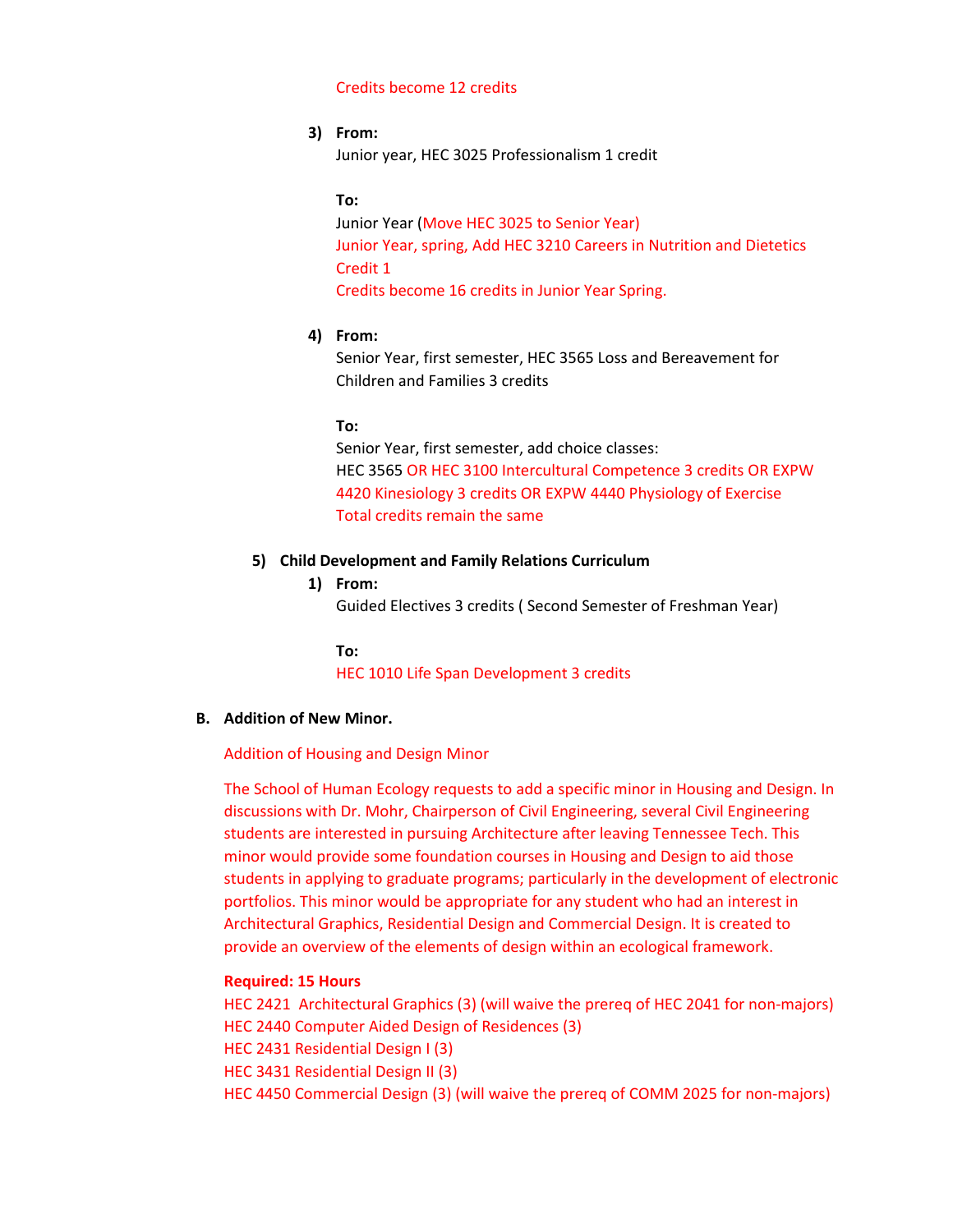#### Credits become 12 credits

#### **3) From:**

Junior year, HEC 3025 Professionalism 1 credit

#### **To:**

Junior Year (Move HEC 3025 to Senior Year) Junior Year, spring, Add HEC 3210 Careers in Nutrition and Dietetics Credit 1 Credits become 16 credits in Junior Year Spring.

#### **4) From:**

Senior Year, first semester, HEC 3565 Loss and Bereavement for Children and Families 3 credits

### **To:**

Senior Year, first semester, add choice classes: HEC 3565 OR HEC 3100 Intercultural Competence 3 credits OR EXPW 4420 Kinesiology 3 credits OR EXPW 4440 Physiology of Exercise Total credits remain the same

## **5) Child Development and Family Relations Curriculum**

## **1) From:**

Guided Electives 3 credits ( Second Semester of Freshman Year)

**To:**

HEC 1010 Life Span Development 3 credits

### **B. Addition of New Minor.**

Addition of Housing and Design Minor

The School of Human Ecology requests to add a specific minor in Housing and Design. In discussions with Dr. Mohr, Chairperson of Civil Engineering, several Civil Engineering students are interested in pursuing Architecture after leaving Tennessee Tech. This minor would provide some foundation courses in Housing and Design to aid those students in applying to graduate programs; particularly in the development of electronic portfolios. This minor would be appropriate for any student who had an interest in Architectural Graphics, Residential Design and Commercial Design. It is created to provide an overview of the elements of design within an ecological framework.

### **Required: 15 Hours**

HEC 2421 Architectural Graphics (3) (will waive the prereq of HEC 2041 for non-majors) HEC 2440 Computer Aided Design of Residences (3) HEC 2431 Residential Design I (3) HEC 3431 Residential Design II (3) HEC 4450 Commercial Design (3) (will waive the prereq of COMM 2025 for non-majors)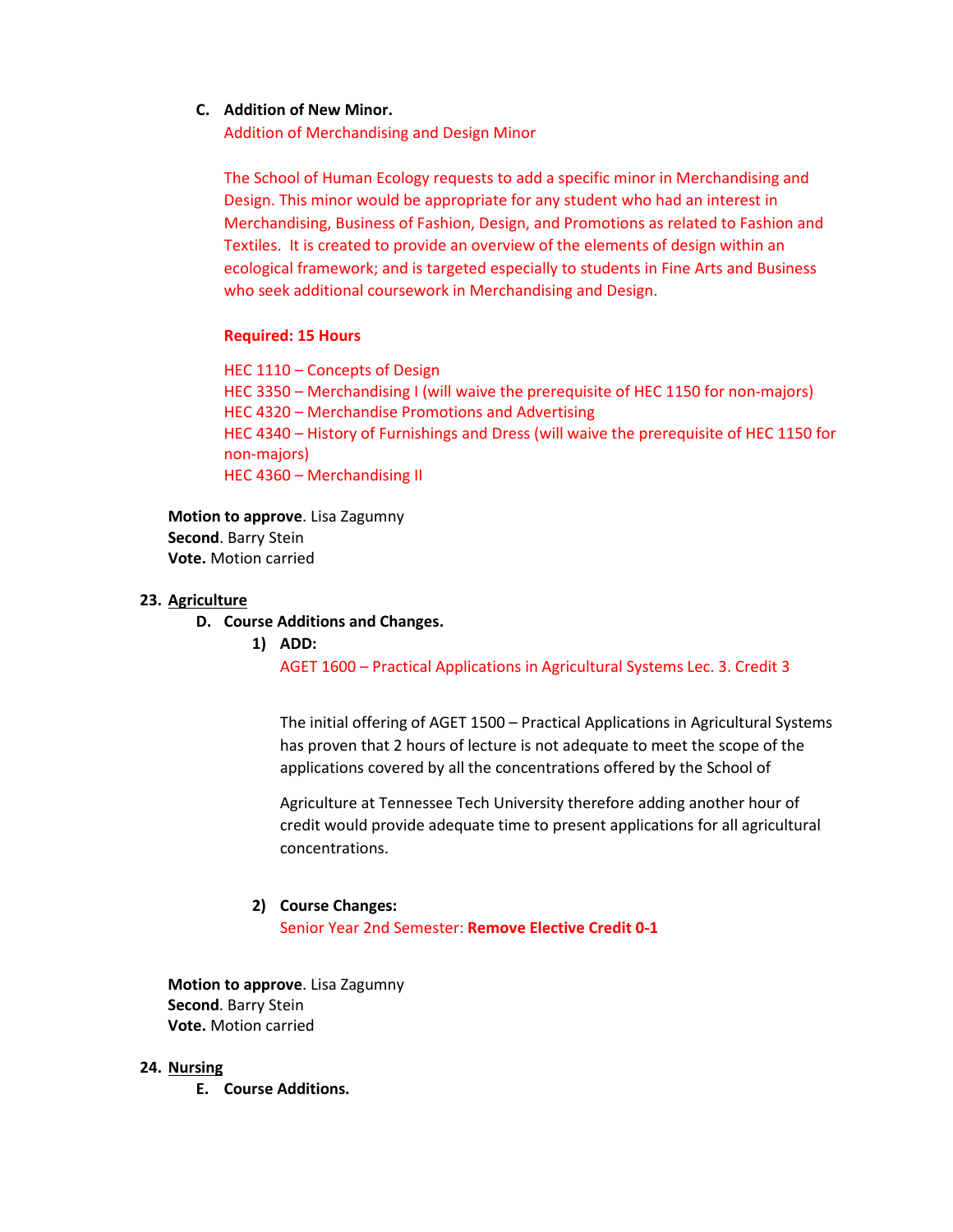## **C. Addition of New Minor.**

Addition of Merchandising and Design Minor

The School of Human Ecology requests to add a specific minor in Merchandising and Design. This minor would be appropriate for any student who had an interest in Merchandising, Business of Fashion, Design, and Promotions as related to Fashion and Textiles. It is created to provide an overview of the elements of design within an ecological framework; and is targeted especially to students in Fine Arts and Business who seek additional coursework in Merchandising and Design.

## **Required: 15 Hours**

HEC 1110 – Concepts of Design HEC 3350 – Merchandising I (will waive the prerequisite of HEC 1150 for non-majors) HEC 4320 – Merchandise Promotions and Advertising HEC 4340 – History of Furnishings and Dress (will waive the prerequisite of HEC 1150 for non-majors) HEC 4360 – Merchandising II

**Motion to approve**. Lisa Zagumny **Second**. Barry Stein **Vote.** Motion carried

## **23. Agriculture**

- **D. Course Additions and Changes.**
	- **1) ADD:**

AGET 1600 – Practical Applications in Agricultural Systems Lec. 3. Credit 3

The initial offering of AGET 1500 – Practical Applications in Agricultural Systems has proven that 2 hours of lecture is not adequate to meet the scope of the applications covered by all the concentrations offered by the School of

Agriculture at Tennessee Tech University therefore adding another hour of credit would provide adequate time to present applications for all agricultural concentrations.

### **2) Course Changes:**

Senior Year 2nd Semester: **Remove Elective Credit 0-1**

**Motion to approve**. Lisa Zagumny **Second**. Barry Stein **Vote.** Motion carried

### **24. Nursing**

**E. Course Additions.**